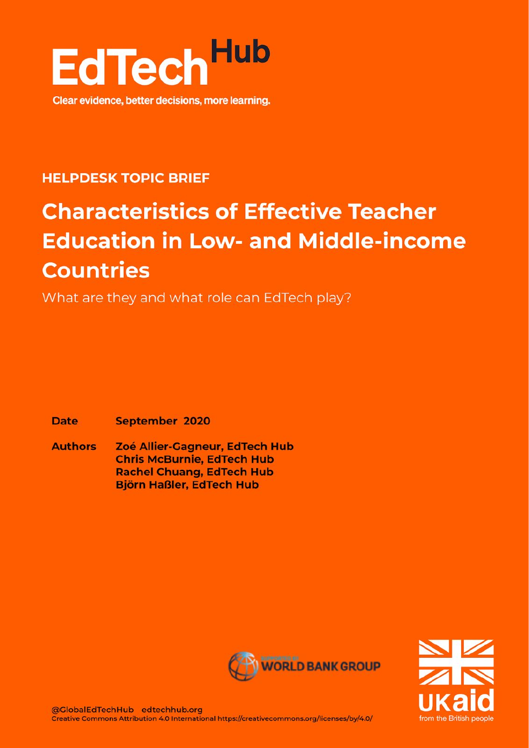

### **HELPDESK TOPIC BRIEF**

# **Characteristics of Effective Teacher Education in Low- and Middle-income Countries**

What are they and what role can EdTech play?

**Date September 2020** 

**Authors** Zoé Allier-Gagneur, EdTech Hub **Chris McBurnie, EdTech Hub Rachel Chuang, EdTech Hub Björn Haßler, EdTech Hub** 



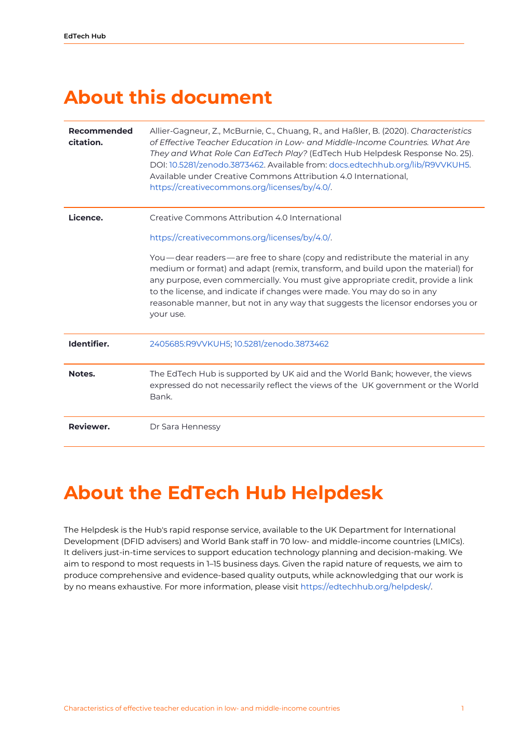### <span id="page-1-0"></span>**About this document**

| <b>Recommended</b><br>citation. | Allier-Gagneur, Z., McBurnie, C., Chuang, R., and Haßler, B. (2020). Characteristics<br>of Effective Teacher Education in Low- and Middle-Income Countries. What Are<br>They and What Role Can EdTech Play? (EdTech Hub Helpdesk Response No. 25).<br>DOI: 10.5281/zenodo.3873462. Available from: docs.edtechhub.org/lib/R9VVKUH5.<br>Available under Creative Commons Attribution 4.0 International,<br>https://creativecommons.org/licenses/by/4.0/. |  |
|---------------------------------|---------------------------------------------------------------------------------------------------------------------------------------------------------------------------------------------------------------------------------------------------------------------------------------------------------------------------------------------------------------------------------------------------------------------------------------------------------|--|
| Licence.                        | Creative Commons Attribution 4.0 International                                                                                                                                                                                                                                                                                                                                                                                                          |  |
|                                 | https://creativecommons.org/licenses/by/4.0/.                                                                                                                                                                                                                                                                                                                                                                                                           |  |
|                                 | You—dear readers—are free to share (copy and redistribute the material in any<br>medium or format) and adapt (remix, transform, and build upon the material) for<br>any purpose, even commercially. You must give appropriate credit, provide a link<br>to the license, and indicate if changes were made. You may do so in any<br>reasonable manner, but not in any way that suggests the licensor endorses you or<br>your use.                        |  |
| Identifier.                     | 2405685:R9VVKUH5; 10.5281/zenodo.3873462                                                                                                                                                                                                                                                                                                                                                                                                                |  |
| Notes.                          | The EdTech Hub is supported by UK aid and the World Bank; however, the views<br>expressed do not necessarily reflect the views of the UK government or the World<br>Bank.                                                                                                                                                                                                                                                                               |  |
| Reviewer.                       | Dr Sara Hennessy                                                                                                                                                                                                                                                                                                                                                                                                                                        |  |

### <span id="page-1-1"></span>**About the EdTech Hub Helpdesk**

The Helpdesk is the Hub's rapid response service, available to the UK Department for International Development (DFID advisers) and World Bank staff in 70 low- and middle-income countries (LMICs). It delivers just-in-time services to support education technology planning and decision-making. We aim to respond to most requests in 1–15 business days. Given the rapid nature of requests, we aim to produce comprehensive and evidence-based quality outputs, while acknowledging that our work is by no means exhaustive. For more information, please visit [https://edtechhub.org/helpdesk/.](https://edtechhub.org/helpdesk/)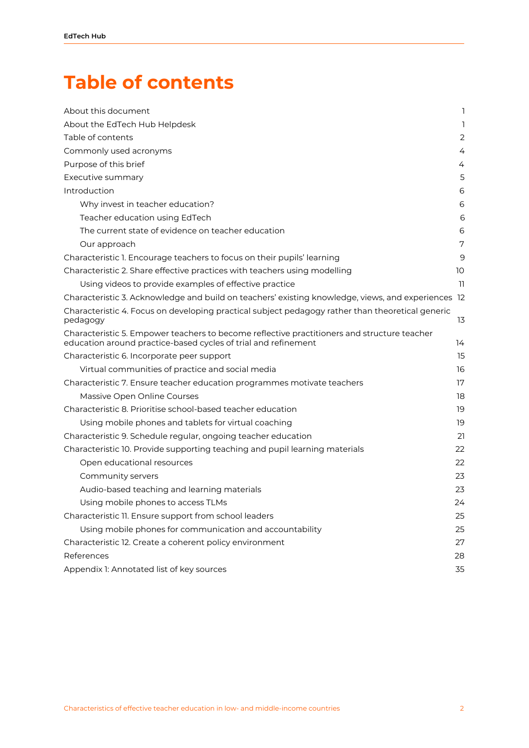## <span id="page-2-0"></span>**Table of contents**

| About this document                                                                                                                                           | 1  |
|---------------------------------------------------------------------------------------------------------------------------------------------------------------|----|
| About the EdTech Hub Helpdesk                                                                                                                                 | 1  |
| Table of contents                                                                                                                                             | 2  |
| Commonly used acronyms                                                                                                                                        | 4  |
| Purpose of this brief                                                                                                                                         | 4  |
| Executive summary                                                                                                                                             | 5  |
| Introduction                                                                                                                                                  | 6  |
| Why invest in teacher education?                                                                                                                              | 6  |
| Teacher education using EdTech                                                                                                                                | 6  |
| The current state of evidence on teacher education                                                                                                            | 6  |
| Our approach                                                                                                                                                  | 7  |
| Characteristic 1. Encourage teachers to focus on their pupils' learning                                                                                       | 9  |
| Characteristic 2. Share effective practices with teachers using modelling                                                                                     | 10 |
| Using videos to provide examples of effective practice                                                                                                        | 11 |
| Characteristic 3. Acknowledge and build on teachers' existing knowledge, views, and experiences 12                                                            |    |
| Characteristic 4. Focus on developing practical subject pedagogy rather than theoretical generic<br>pedagogy                                                  | 13 |
| Characteristic 5. Empower teachers to become reflective practitioners and structure teacher<br>education around practice-based cycles of trial and refinement | 14 |
| Characteristic 6. Incorporate peer support                                                                                                                    | 15 |
| Virtual communities of practice and social media                                                                                                              | 16 |
| Characteristic 7. Ensure teacher education programmes motivate teachers                                                                                       | 17 |
| Massive Open Online Courses                                                                                                                                   | 18 |
| Characteristic 8. Prioritise school-based teacher education                                                                                                   | 19 |
| Using mobile phones and tablets for virtual coaching                                                                                                          | 19 |
| Characteristic 9. Schedule regular, ongoing teacher education                                                                                                 | 21 |
| Characteristic 10. Provide supporting teaching and pupil learning materials                                                                                   | 22 |
| Open educational resources                                                                                                                                    | 22 |
| Community servers                                                                                                                                             | 23 |
| Audio-based teaching and learning materials                                                                                                                   | 23 |
| Using mobile phones to access TLMs                                                                                                                            | 24 |
| Characteristic 11. Ensure support from school leaders                                                                                                         | 25 |
| Using mobile phones for communication and accountability                                                                                                      | 25 |
| Characteristic 12. Create a coherent policy environment                                                                                                       | 27 |
| References                                                                                                                                                    | 28 |
| Appendix 1: Annotated list of key sources                                                                                                                     | 35 |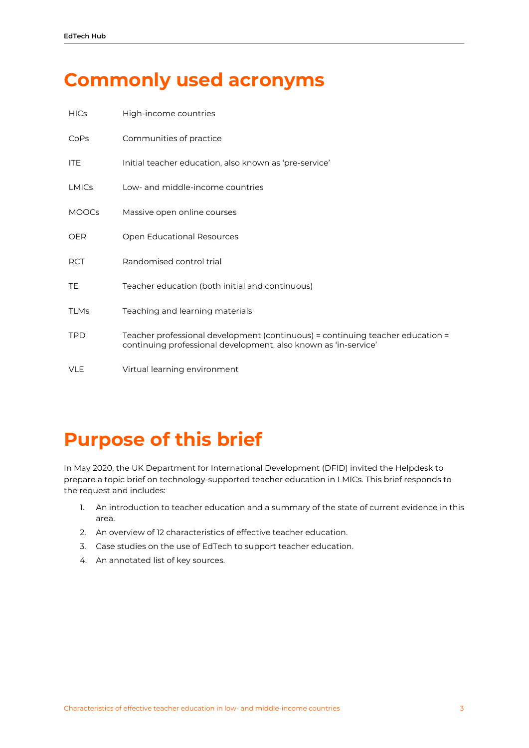### <span id="page-3-0"></span>**Commonly used acronyms**

| <b>HICs</b>  | High-income countries                                                                                                                             |
|--------------|---------------------------------------------------------------------------------------------------------------------------------------------------|
| CoPs         | Communities of practice                                                                                                                           |
| <b>ITE</b>   | Initial teacher education, also known as 'pre-service'                                                                                            |
| <b>LMICs</b> | Low- and middle-income countries                                                                                                                  |
| <b>MOOCs</b> | Massive open online courses                                                                                                                       |
| <b>OER</b>   | <b>Open Educational Resources</b>                                                                                                                 |
| <b>RCT</b>   | Randomised control trial                                                                                                                          |
| TE           | Teacher education (both initial and continuous)                                                                                                   |
| <b>TLMs</b>  | Teaching and learning materials                                                                                                                   |
| <b>TPD</b>   | Teacher professional development (continuous) = continuing teacher education =<br>continuing professional development, also known as 'in-service' |
| <b>VLE</b>   | Virtual learning environment                                                                                                                      |

### <span id="page-3-1"></span>**Purpose of this brief**

In May 2020, the UK Department for International Development (DFID) invited the Helpdesk to prepare a topic brief on technology-supported teacher education in LMICs. This brief responds to the request and includes:

- 1. An introduction to teacher education and a summary of the state of current evidence in this area.
- 2. An overview of 12 characteristics of effective teacher education.
- 3. Case studies on the use of EdTech to support teacher education.
- 4. An annotated list of key sources.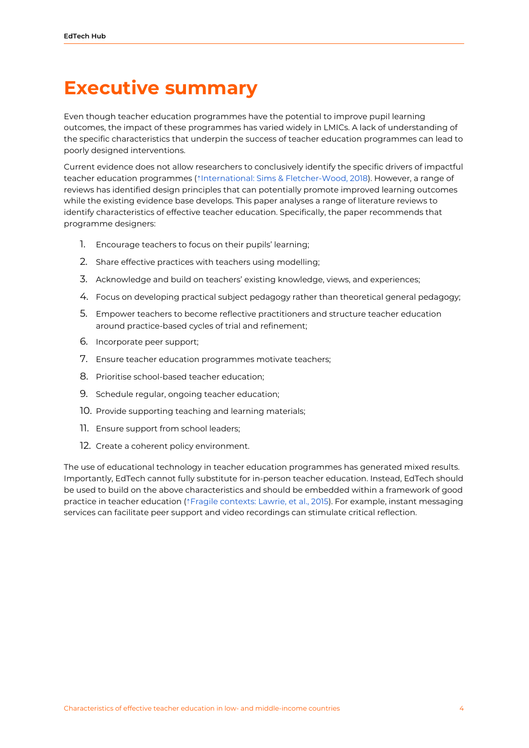### <span id="page-4-0"></span>**Executive summary**

Even though teacher education programmes have the potential to improve pupil learning outcomes, the impact of these programmes has varied widely in LMICs. A lack of understanding of the specific characteristics that underpin the success of teacher education programmes can lead to poorly designed interventions.

Current evidence does not allow researchers to conclusively identify the specific drivers of impactful teacher education programmes (⇡International: Sims & [Fletcher-Wood,](https://ref.opendeved.net/zo/zg/2405685/7/75VHL4AH/International:%20Sims%20&%20Fletcher-Wood,%202018) 2018). However, a range of reviews has identified design principles that can potentially promote improved learning outcomes while the existing evidence base develops. This paper analyses a range of literature reviews to identify characteristics of effective teacher education. Specifically, the paper recommends that programme designers:

- 1. Encourage teachers to focus on their pupils' learning;
- 2. Share effective practices with teachers using modelling;
- 3. Acknowledge and build on teachers' existing knowledge, views, and experiences;
- 4. Focus on developing practical subject pedagogy rather than theoretical general pedagogy;
- 5. Empower teachers to become reflective practitioners and structure teacher education around practice-based cycles of trial and refinement;
- 6. Incorporate peer support;
- 7. Ensure teacher education programmes motivate teachers;
- 8. Prioritise school-based teacher education;
- 9. Schedule regular, ongoing teacher education;
- 10. Provide supporting teaching and learning materials;
- 11. Ensure support from school leaders;
- 12. Create a coherent policy environment.

The use of educational technology in teacher education programmes has generated mixed results. Importantly, EdTech cannot fully substitute for in-person teacher education. Instead, EdTech should be used to build on the above characteristics and should be embedded within a framework of good practice in teacher education (⇡Fragile [contexts:](https://ref.opendeved.net/zo/zg/2405685/7/PKLI25VA/Fragile%20contexts:%20Lawrie,%20et%20al.,%202015) Lawrie, et al., 2015). For example, instant messaging services can facilitate peer support and video recordings can stimulate critical reflection.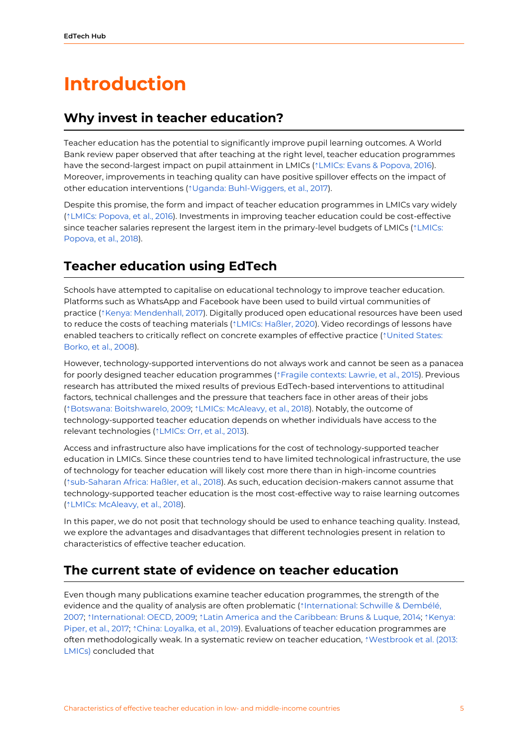### <span id="page-5-0"></span>**Introduction**

#### <span id="page-5-1"></span>**Why invest in teacher education?**

Teacher education has the potential to significantly improve pupil learning outcomes. A World Bank review paper observed that after teaching at the right level, teacher education programmes have the second-largest impact on pupil attainment in LMICs ( $\uparrow$ LMICs: Evans & [Popova,](https://ref.opendeved.net/zo/zg/2405685/7/QIM4VXJD/LMICs:%20Evans%20&%20Popova,%202016%E3%80%8Awarning:Low-%20and%20middle-income%20countries:%20Evans%20&%20Popova,%202016%E3%80%8B) 2016). Moreover, improvements in teaching quality can have positive spillover effects on the impact of other education interventions (⇡Uganda: [Buhl-Wiggers,](https://ref.opendeved.net/zo/zg/2405685/7/LSQR8MAH/Uganda:%20Buhl-Wiggers,%20et%20al.,%202017) et al., 2017).

Despite this promise, the form and impact of teacher education programmes in LMICs vary widely (⇡LMICs: [Popova,](https://ref.opendeved.net/zo/zg/2405685/7/9TQFMR8Y/LMICs:%20Popova,%20et%20al.,%202016%E3%80%8Awarning:Low-%20and%20middle-income%20countries:%20Popova,%20et%20al.,%202016%E3%80%8B) et al., 2016). Investments in improving teacher education could be cost-effective since teacher salaries represent the largest item in the primary-level budgets of LMICs ( $\uparrow$ [LMICs:](https://ref.opendeved.net/zo/zg/2405685/7/SQ5CWK8Q/Popova,%20et%20al.,%202018%E3%80%8Awarning:Low-%20and%20middle-income%20countries:%20Popova,%20et%20al.,%202018%E3%80%8B) [Popova,](https://ref.opendeved.net/zo/zg/2405685/7/SQ5CWK8Q/Popova,%20et%20al.,%202018%E3%80%8Awarning:Low-%20and%20middle-income%20countries:%20Popova,%20et%20al.,%202018%E3%80%8B) et al., 2018).

#### <span id="page-5-2"></span>**Teacher education using EdTech**

Schools have attempted to capitalise on educational technology to improve teacher education. Platforms such as WhatsApp and Facebook have been used to build virtual communities of practice ( $\frac{1}{2}$ Kenya: [Mendenhall,](https://ref.opendeved.net/zo/zg/2405685/7/32Z977JS/Kenya:%20Mendenhall,%202017) 2017). Digitally produced open educational resources have been used to reduce the costs of teaching materials (⇡LMICs: [Haßler,](https://ref.opendeved.net/zo/zg/2405685/7/H9W2X3KM/LMICs:%20Ha%C3%9Fler,%202020%E3%80%8Awarning:Low-income%20countries:%20Ha%C3%9Fler,%202020%E3%80%8B) 2020). Video recordings of lessons have enabled teachers to critically reflect on concrete examples of effective practice ( $\dagger$ [United](https://ref.opendeved.net/zo/zg/2405685/7/BWHR8RIX/United%20States:%20Borko,%20et%20al.,%202008) States: [Borko,](https://ref.opendeved.net/zo/zg/2405685/7/BWHR8RIX/United%20States:%20Borko,%20et%20al.,%202008) et al., 2008).

However, technology-supported interventions do not always work and cannot be seen as a panacea for poorly designed teacher education programmes (⇡Fragile [contexts:](https://ref.opendeved.net/zo/zg/2405685/7/PKLI25VA/Fragile%20contexts:%20Lawrie,%20et%20al.,%202015) Lawrie, et al., 2015). Previous research has attributed the mixed results of previous EdTech-based interventions to attitudinal factors, technical challenges and the pressure that teachers face in other areas of their jobs (⇡Botswana: [Boitshwarelo,](https://ref.opendeved.net/zo/zg/2405685/7/THJLBADH/Botswana:%20Boitshwarelo,%202009) 2009; ⇡LMICs: [McAleavy,](https://ref.opendeved.net/zo/zg/2405685/7/FXXS4882/LMICs:%20McAleavy,%20et%20al.,%202018%E3%80%8Awarning:Low-%20and%20middle-income%20countries:%20McAleavy,%20et%20al.,%202018%E3%80%8B) et al., 2018). Notably, the outcome of technology-supported teacher education depends on whether individuals have access to the relevant technologies (⇡[LMICs:](https://ref.opendeved.net/zo/zg/2405685/7/YAT9NL4R/LMICs:%20Orr,%20et%20al.,%202013%E3%80%8Awarning:Low-%20and%20middle-income%20countries:%20Orr,%20et%20al.,%202013%E3%80%8B) Orr, et al., 2013).

Access and infrastructure also have implications for the cost of technology-supported teacher education in LMICs. Since these countries tend to have limited technological infrastructure, the use of technology for teacher education will likely cost more there than in high-income countries (⇡[sub-Saharan](https://ref.opendeved.net/zo/zg/2405685/7/NZ3GKZCR/sub-Saharan%20Africa:%20Ha%C3%9Fler,%20et%20al.,%202018) Africa: Haßler, et al., 2018). As such, education decision-makers cannot assume that technology-supported teacher education is the most cost-effective way to raise learning outcomes (⇡LMICs: [McAleavy,](https://ref.opendeved.net/zo/zg/2405685/7/FXXS4882/LMICs:%20McAleavy,%20et%20al.,%202018%E3%80%8Awarning:Low-%20and%20middle-income%20countries:%20McAleavy,%20et%20al.,%202018%E3%80%8B) et al., 2018).

In this paper, we do not posit that technology should be used to enhance teaching quality. Instead, we explore the advantages and disadvantages that different technologies present in relation to characteristics of effective teacher education.

#### <span id="page-5-3"></span>**The current state of evidence on teacher education**

Even though many publications examine teacher education programmes, the strength of the evidence and the quality of analysis are often problematic (⇡[International:](https://ref.opendeved.net/zo/zg/2405685/7/XX6H8UUD/International:%20Schwille%20&%20Demb%C3%A9l%C3%A9,%202007) Schwille & Dembélé, [2007;](https://ref.opendeved.net/zo/zg/2405685/7/XX6H8UUD/International:%20Schwille%20&%20Demb%C3%A9l%C3%A9,%202007) ⇡[International:](https://ref.opendeved.net/zo/zg/2405685/7/9N4IMAQN/International:%20OECD,%202009) OECD, 2009; ⇡Latin America and the [Caribbean:](https://ref.opendeved.net/zo/zg/2405685/7/IWC7GUBK/Latin%20America%20and%20the%20Caribbean:%20Bruns%20&%20Luque,%202014%E3%80%8Awarning:Latin%20America%20and%20the%20Carribeans:%20Bruns%20&%20Luque,%202014%E3%80%8B) Bruns & Luque, 2014; ⇡[Kenya:](https://ref.opendeved.net/zo/zg/2405685/7/7L6V38N5/Kenya:%20Piper,%20et%20al.,%202017) [Piper,](https://ref.opendeved.net/zo/zg/2405685/7/7L6V38N5/Kenya:%20Piper,%20et%20al.,%202017) et al., 2017; <sup>\*</sup>China: [Loyalka,](https://ref.opendeved.net/zo/zg/2405685/7/JMUTWKKB/China:%20Loyalka,%20et%20al.,%202019) et al., 2019). Evaluations of teacher education programmes are often methodologically weak. In a systematic review on teacher education, ⇡[Westbrook](https://ref.opendeved.net/zo/zg/2405685/7/C85ZIVDI/Westbrook%20et%20al.%20(2013:%20LMICs)%E3%80%8Awarning:Low-%20and%20middle-income%20countries:%20Westbrook,%20et%20al.%20(2013)%E3%80%8B) et al. (2013: [LMICs\)](https://ref.opendeved.net/zo/zg/2405685/7/C85ZIVDI/Westbrook%20et%20al.%20(2013:%20LMICs)%E3%80%8Awarning:Low-%20and%20middle-income%20countries:%20Westbrook,%20et%20al.%20(2013)%E3%80%8B) concluded that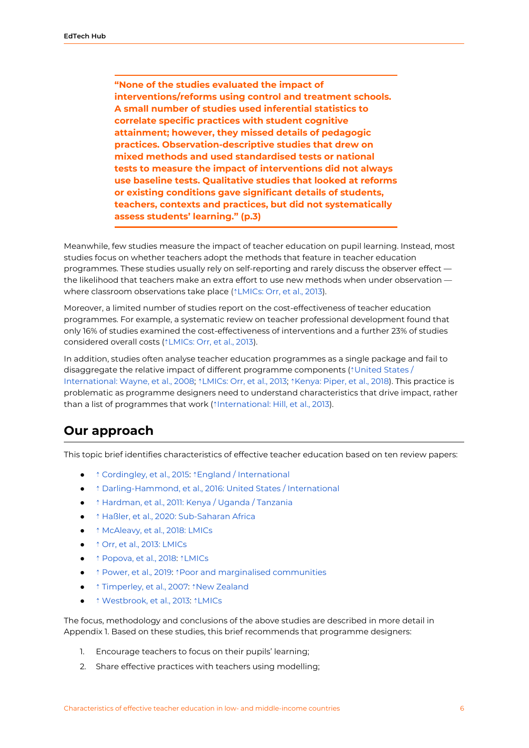**"None of the studies evaluated the impact of interventions/reforms using control and treatment schools. A small number of studies used inferential statistics to correlate specific practices with student cognitive attainment; however, they missed details of pedagogic practices. Observation-descriptive studies that drew on mixed methods and used standardised tests or national tests to measure the impact of interventions did not always use baseline tests. Qualitative studies that looked at reforms or existing conditions gave significant details of students, teachers, contexts and practices, but did not systematically assess students' learning." (p.3)**

Meanwhile, few studies measure the impact of teacher education on pupil learning. Instead, most studies focus on whether teachers adopt the methods that feature in teacher education programmes. These studies usually rely on self-reporting and rarely discuss the observer effect the likelihood that teachers make an extra effort to use new methods when under observation where classroom observations take place ( $*LMICS$ : Orr, et al., 2013).

Moreover, a limited number of studies report on the cost-effectiveness of teacher education programmes. For example, a systematic review on teacher professional development found that only 16% of studies examined the cost-effectiveness of interventions and a further 23% of studies considered overall costs (⇡[LMICs:](https://ref.opendeved.net/zo/zg/2405685/7/YAT9NL4R/LMICs:%20Orr,%20et%20al.,%202013%E3%80%8Awarning:Low-%20and%20middle-income%20countries:%20Orr,%20et%20al.%20(2013)%E3%80%8B) Orr, et al., 2013).

In addition, studies often analyse teacher education programmes as a single package and fail to disaggregate the relative impact of different programme components (⇡[United](https://ref.opendeved.net/zo/zg/2405685/7/FDVV5CN4/United%20States%20/%20International:%20Wayne,%20et%20al.,%202008%E3%80%8Awarning:United%20States/International:%20Wayne,%20et%20al.,%202008%E3%80%8B) States / [International:](https://ref.opendeved.net/zo/zg/2405685/7/FDVV5CN4/United%20States%20/%20International:%20Wayne,%20et%20al.,%202008%E3%80%8Awarning:United%20States/International:%20Wayne,%20et%20al.,%202008%E3%80%8B) Wayne, et al., 2008;  $\Delta$ [LMICs:](https://ref.opendeved.net/zo/zg/2405685/7/YAT9NL4R/LMICs:%20Orr,%20et%20al.,%202013%E3%80%8Awarning:Low-%20and%20middle-income%20countries:%20Orr,%20et%20al.,%202013%E3%80%8B) Orr, et al., 2013;  $\Delta$ [Kenya:](https://ref.opendeved.net/zo/zg/2405685/7/5LADY8ET/Kenya:%20Piper,%20et%20al.,%202018) Piper, et al., 2018). This practice is problematic as programme designers need to understand characteristics that drive impact, rather than a list of programmes that work (↑[International:](https://ref.opendeved.net/zo/zg/2405685/7/X5HM4IVD/International:%20Hill,%20et%20al.,%202013) Hill, et al., 2013).

#### <span id="page-6-0"></span>**Our approach**

This topic brief identifies characteristics of effective teacher education based on ten review papers:

- *↑* [Cordingley,](https://ref.opendeved.net/zo/zg/2405685/7/LLH3AAD5/%20Cordingley,%20et%20al.,%202015%E3%80%8Awarning:England/International:%20Cordingley,%20et%20al.,%202015%E3%80%8B) et al., 2015: ↑ England / [International](https://ref.opendeved.net/zo/zg/2405685/7/LLH3AAD5/England%20/%20International%E3%80%8Awarning:England/International:%20Cordingley,%20et%20al.,%202015%E3%80%8B)
- ↑ [Darling-Hammond,](https://ref.opendeved.net/zo/zg/2405685/7/3EICVTPU/%20Darling-Hammond,%20et%20al.,%202016:%20United%20States%20/%20International%E3%80%8Awarning:United%20States/International:%20Darling-Hammond,%20et%20al.,%202016%E3%80%8B) et al., 2016: United States / International
- ↑ [Hardman,](https://ref.opendeved.net/zo/zg/2405685/7/J57J3RGT/%20Hardman,%20et%20al.,%202011:%20Kenya%20/%20Uganda%20/%20Tanzania) et al., 2011: Kenya / Uganda / Tanzania
- ↑ Haßler, et al., 2020: [Sub-Saharan](https://ref.opendeved.net/zo/zg/2405685/7/TRRZUHFS/%20Ha%C3%9Fler,%20et%20al.,%202020:%20Sub-Saharan%20Africa%E3%80%8Awarning:sub-Saharan%20Africa:%20Ha%C3%9Fler,%20et%20al.,%202020%E3%80%8B) Africa
- ↑ [McAleavy,](https://ref.opendeved.net/zo/zg/2405685/7/FXXS4882/%20McAleavy,%20et%20al.,%202018:%20LMICs%E3%80%8Awarning:Low-%20and%20middle-income%20countries:%20McAleavy,%20et%20al.,%202018%E3%80%8B) et al., 2018: LMICs
- ↑ Orr, et al., 2013: [LMICs](https://ref.opendeved.net/zo/zg/2405685/7/YAT9NL4R/%20Orr,%20et%20al.,%202013:%20LMICs%E3%80%8Awarning:Low-%20and%20middle-income%20countries:%20Orr,%20et%20al.,%202013%E3%80%8B)
- ↑ [Popova,](https://ref.opendeved.net/zo/zg/2405685/7/SQ5CWK8Q/%20Popova,%20et%20al.,%202018%E3%80%8Awarning:Low-%20and%20middle-income%20countries:%20Popova,%20et%20al.,%202018%E3%80%8B) et al., 2018: ↑[LMICs](https://ref.opendeved.net/zo/zg/2405685/7/SQ5CWK8Q/LMICs%E3%80%8Awarning:Low-%20and%20middle-income%20countries:%20Popova,%20et%20al.,%202018%E3%80%8B)
- *↑* [Power,](https://ref.opendeved.net/zo/zg/2405685/7/26U2C9E5/%20Power,%20et%20al.,%202019%E3%80%8Awarning:Poor%20and%20marginalised%20communities:%20Power,%20et%20al.,%202019%E3%80%8B) et al., 2019: ↑ Poor and marginalised [communities](https://ref.opendeved.net/zo/zg/2405685/7/26U2C9E5/Poor%20and%20marginalised%20communities%E3%80%8Awarning:Poor%20and%20marginalised%20communities:%20Power,%20et%20al.,%202019%E3%80%8B)
- ↑ [Timperley,](https://ref.opendeved.net/zo/zg/2405685/7/FUMAUAXK/%20Timperley,%20et%20al.,%202007%E3%80%8Awarning:New%20Zealand:%20Timperley,%20et%20al.,%202007%E3%80%8B) et al., 2007: ↑ New [Zealand](https://ref.opendeved.net/zo/zg/2405685/7/FUMAUAXK/New%20Zealand%20%E3%80%8Awarning:New%20Zealand:%20Timperley,%20et%20al.,%202007%E3%80%8B)
- ↑ [Westbrook,](https://ref.opendeved.net/zo/zg/2405685/7/C85ZIVDI/%20Westbrook,%20et%20al.,%202013%E3%80%8Awarning:Low-%20and%20middle-income%20countries:%20Westbrook,%20et%20al.,%202013%E3%80%8B) et al., 2013: ↑ [LMICs](https://ref.opendeved.net/zo/zg/2405685/7/C85ZIVDI/LMICs%E3%80%8Awarning:Low-%20and%20middle-income%20countries:%20Westbrook,%20et%20al.,%202013%E3%80%8B)

The focus, methodology and conclusions of the above studies are described in more detail in Appendix 1. Based on these studies, this brief recommends that programme designers:

- 1. Encourage teachers to focus on their pupils' learning;
- 2. Share effective practices with teachers using modelling;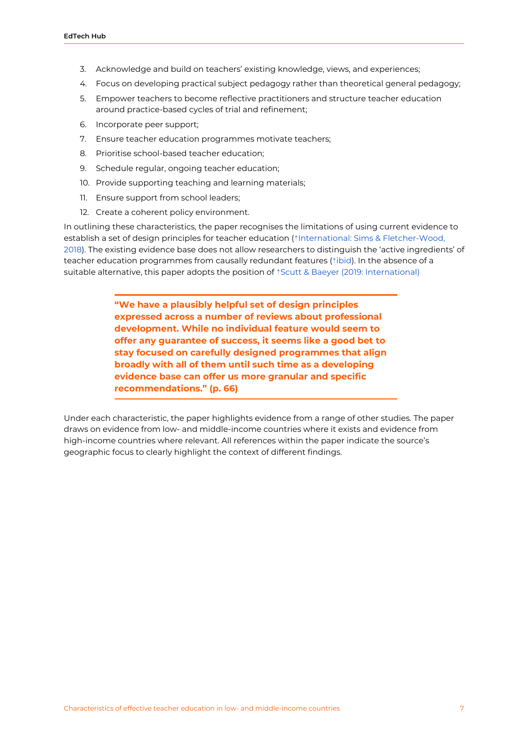- 3. Acknowledge and build on teachers' existing knowledge, views, and experiences;
- 4. Focus on developing practical subject pedagogy rather than theoretical general pedagogy;
- 5. Empower teachers to become reflective practitioners and structure teacher education around practice-based cycles of trial and refinement;
- 6. Incorporate peer support;
- 7. Ensure teacher education programmes motivate teachers;
- 8. Prioritise school-based teacher education;
- 9. Schedule regular, ongoing teacher education;
- 10. Provide supporting teaching and learning materials;
- 11. Ensure support from school leaders;
- 12. Create a coherent policy environment.

In outlining these characteristics, the paper recognises the limitations of using current evidence to establish a set of design principles for teacher education (⇡International: Sims & [Fletcher-Wood,](https://ref.opendeved.net/zo/zg/2405685/7/75VHL4AH/International:%20Sims%20&%20Fletcher-Wood,%202018%E3%80%8Awarning:International:%20Sims%20&%20Fletcher-Wood%20(2018)%E3%80%8B) [2018](https://ref.opendeved.net/zo/zg/2405685/7/75VHL4AH/International:%20Sims%20&%20Fletcher-Wood,%202018%E3%80%8Awarning:International:%20Sims%20&%20Fletcher-Wood%20(2018)%E3%80%8B)). The existing evidence base does not allow researchers to distinguish the 'active ingredients' of teacher education programmes from causally redundant features (⇡[ibid](https://ref.opendeved.net/zo/zg/2405685/7/75VHL4AH/ibid.%E3%80%8Awarning:International:%20Sims%20&%20Fletcher-Wood%20(2018)%E3%80%8B)). In the absence of a suitable alternative, this paper adopts the position of *<i>i*Scutt & Baeyer (2019: [International\)](https://ref.opendeved.net/zo/zg/2405685/7/36UKQ92L/Scutt%20&%20Baeyer%20(2019:%20International)%E3%80%8Awarning:International:%20Scutt%20&%20Baeyer%20%20(2019)%E3%80%8B)

> **"We have a plausibly helpful set of design principles expressed across a number of reviews about professional development. While no individual feature would seem to offer any guarantee of success, it seems like a good bet to stay focused on carefully designed programmes that align broadly with all of them until such time as a developing evidence base can offer us more granular and specific recommendations." (p. 66)**

Under each characteristic, the paper highlights evidence from a range of other studies. The paper draws on evidence from low- and middle-income countries where it exists and evidence from high-income countries where relevant. All references within the paper indicate the source's geographic focus to clearly highlight the context of different findings.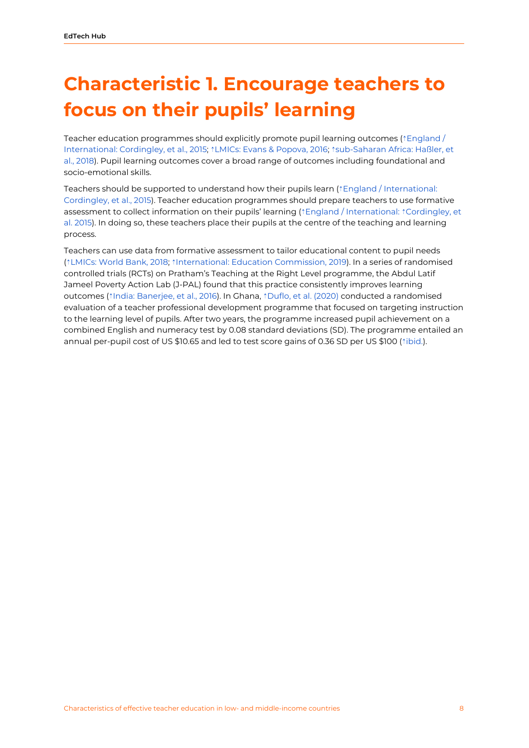## <span id="page-8-0"></span>**Characteristic 1. Encourage teachers to focus on their pupils' learning**

Teacher education programmes should explicitly promote pupil learning outcomes ( $\dagger$ [England](https://ref.opendeved.net/zo/zg/2405685/7/LLH3AAD5/England%20/%20International:%20Cordingley,%20et%20al.,%202015%E3%80%8Awarning:England/International:%20Cordingley,%20et%20al.,%202015%E3%80%8B) / [International:](https://ref.opendeved.net/zo/zg/2405685/7/LLH3AAD5/England%20/%20International:%20Cordingley,%20et%20al.,%202015%E3%80%8Awarning:England/International:%20Cordingley,%20et%20al.,%202015%E3%80%8B) Cordingley, et al., 2015; ⇡LMICs: Evans & [Popova,](https://ref.opendeved.net/zo/zg/2405685/7/QIM4VXJD/LMICs:%20Evans%20&%20Popova,%202016%E3%80%8Awarning:Low-%20and%20middle-income%20countries:%20Evans%20&%20Popova,%202016%E3%80%8B) 2016; ⇡[sub-Saharan](https://ref.opendeved.net/zo/zg/2405685/7/NZ3GKZCR/sub-Saharan%20Africa:%20Ha%C3%9Fler,%20et%20al.,%202018) Africa: Haßler, et al., [2018](https://ref.opendeved.net/zo/zg/2405685/7/NZ3GKZCR/sub-Saharan%20Africa:%20Ha%C3%9Fler,%20et%20al.,%202018)). Pupil learning outcomes cover a broad range of outcomes including foundational and socio-emotional skills.

Teachers should be supported to understand how their pupils learn (↑England / [International:](https://ref.opendeved.net/zo/zg/2405685/7/LLH3AAD5/England%20/%20International:%20Cordingley,%20et%20al.,%202015%E3%80%8Awarning:England/International:%20Cordingley,%20et%20al.,%202015%E3%80%8B) [Cordingley,](https://ref.opendeved.net/zo/zg/2405685/7/LLH3AAD5/England%20/%20International:%20Cordingley,%20et%20al.,%202015%E3%80%8Awarning:England/International:%20Cordingley,%20et%20al.,%202015%E3%80%8B) et al., 2015). Teacher education programmes should prepare teachers to use formative assessment to collect information on their pupils' learning (⇡England / [International:](https://ref.opendeved.net/zo/zg/2405685/7/LLH3AAD5/England%20/%20International:%E3%80%8Awarning:England/International:%20Cordingley,%20et%20al.,%202015%E3%80%8B) ⇡[Cordingley,](https://ref.opendeved.net/zo/zg/2405685/7/LLH3AAD5/Cordingley,%20et%20al.%202015) et al. [2015\)](https://ref.opendeved.net/zo/zg/2405685/7/LLH3AAD5/Cordingley,%20et%20al.%202015). In doing so, these teachers place their pupils at the centre of the teaching and learning process.

Teachers can use data from formative assessment to tailor educational content to pupil needs (⇡[LMICs:](https://ref.opendeved.net/zo/zg/2405685/7/HQFK65IQ/LMICs:%20World%20Bank,%202018%E3%80%8Awarning:Low-%20and%20middle-income%20countries:%20World%20Bank,%202018%E3%80%8B) World Bank, 2018; ⇡[International:](https://ref.opendeved.net/zo/zg/2405685/7/7JBG673D/International:%20Education%20Commission,%202019%E3%80%8Awarning:%20International:%20Education%20Commission,%202019%E3%80%8B) Education Commission, 2019). In a series of randomised controlled trials (RCTs) on Pratham's Teaching at the Right Level programme, the Abdul Latif Jameel Poverty Action Lab (J-PAL) found that this practice consistently improves learning outcomes (⇡India: [Banerjee,](https://ref.opendeved.net/zo/zg/2405685/7/LEGZTSPV/India:%20Banerjee,%20et%20al.,%202016) et al., 2016). In Ghana, ⇡Duflo, et al. [\(2020\)](https://ref.opendeved.net/zo/zg/2405685/7/YXBSPAQ7/Duflo,%20et%20al.%20(2020)) conducted a randomised evaluation of a teacher professional development programme that focused on targeting instruction to the learning level of pupils. After two years, the programme increased pupil achievement on a combined English and numeracy test by 0.08 standard deviations (SD). The programme entailed an annual per-pupil cost of US \$10.65 and led to test score gains of 0.36 SD per US \$100 (⇡[ibid.\)](https://ref.opendeved.net/zo/zg/2405685/7/YXBSPAQ7/ibid.).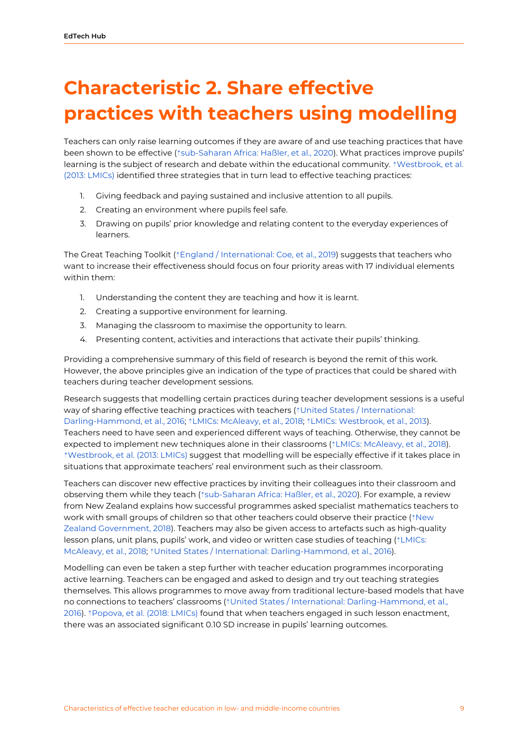## <span id="page-9-0"></span>**Characteristic 2. Share effective practices with teachers using modelling**

Teachers can only raise learning outcomes if they are aware of and use teaching practices that have been shown to be effective ( $\text{\texttt{``sub-Saharan Africa:} }\text{Haßler}, \text{et al., 2020}.$  $\text{\texttt{``sub-Saharan Africa:} }\text{Haßler}, \text{et al., 2020}.$  $\text{\texttt{``sub-Saharan Africa:} }\text{Haßler}, \text{et al., 2020}.$  What practices improve pupils' learning is the subject of research and debate within the educational community.  $\text{``Westbrook, et al.}$  $\text{``Westbrook, et al.}$  $\text{``Westbrook, et al.}$ (2013: [LMICs\)](https://ref.opendeved.net/zo/zg/2405685/7/C85ZIVDI/Westbrook,%20et%20al.%20(2013:%20LMICs)%E3%80%8Awarning:Low-%20and%20middle-income%20countries:%20Westbrook,%20et%20al.,%20(2013)%E3%80%8B) identified three strategies that in turn lead to effective teaching practices:

- 1. Giving feedback and paying sustained and inclusive attention to all pupils.
- 2. Creating an environment where pupils feel safe.
- 3. Drawing on pupils' prior knowledge and relating content to the everyday experiences of learners.

The Great Teaching Toolkit (⇡England / [International:](https://ref.opendeved.net/zo/zg/2405685/7/4IL87MTM/England%20/%20International:%20Coe,%20et%20al.,%202019%E3%80%8Awarning:England/International:%20Coe,%20et%20al.,%202019%E3%80%8B) Coe, et al., 2019) suggests that teachers who want to increase their effectiveness should focus on four priority areas with 17 individual elements within them:

- 1. Understanding the content they are teaching and how it is learnt.
- 2. Creating a supportive environment for learning.
- 3. Managing the classroom to maximise the opportunity to learn.
- 4. Presenting content, activities and interactions that activate their pupils' thinking.

Providing a comprehensive summary of this field of research is beyond the remit of this work. However, the above principles give an indication of the type of practices that could be shared with teachers during teacher development sessions.

Research suggests that modelling certain practices during teacher development sessions is a useful way of sharing effective teaching practices with teachers (*<u>¡United States / International</u>:* [Darling-Hammond,](https://ref.opendeved.net/zo/zg/2405685/7/3EICVTPU/United%20States%20/%20International:%20Darling-Hammond,%20et%20al.,%202016%E3%80%8Awarning:United%20States/International:%20Darling-Hammond,%20et%20al.,%202016%E3%80%8B) et al., 2016; ⇡LMICs: [McAleavy,](https://ref.opendeved.net/zo/zg/2405685/7/FXXS4882/LMICs:%20McAleavy,%20et%20al.,%202018%E3%80%8Awarning:Low-%20and%20middle-income%20countries:%20McAleavy,%20et%20al.,%202018%E3%80%8B) et al., 2018; ⇡LMICs: [Westbrook,](https://ref.opendeved.net/zo/zg/2405685/7/C85ZIVDI/LMICs:%20Westbrook,%20et%20al.,%202013%E3%80%8Awarning:Low-%20and%20middle-income%20countries:%20Westbrook,%20et%20al.,%202013%E3%80%8B) et al., 2013). Teachers need to have seen and experienced different ways of teaching. Otherwise, they cannot be expected to implement new techniques alone in their classrooms (⇡LMICs: [McAleavy,](https://ref.opendeved.net/zo/zg/2405685/7/FXXS4882/LMICs:%20McAleavy,%20et%20al.,%202018%E3%80%8Awarning:Low-%20and%20middle-income%20countries:%20McAleavy,%20et%20al.,%202018%E3%80%8B) et al., 2018). ⇡[Westbrook,](https://ref.opendeved.net/zo/zg/2405685/7/C85ZIVDI/Westbrook,%20et%20al.%20(2013:%20LMICs)%E3%80%8Awarning:Low-%20and%20middle-income%20countries:%20Westbrook,%20et%20al.%20%20(2013)%E3%80%8B) et al. (2013: LMICs) suggest that modelling will be especially effective if it takes place in situations that approximate teachers' real environment such as their classroom.

Teachers can discover new effective practices by inviting their colleagues into their classroom and observing them while they teach (⇡[sub-Saharan](https://ref.opendeved.net/zo/zg/2405685/7/TRRZUHFS/sub-Saharan%20Africa:%20Ha%C3%9Fler,%20et%20al.,%202020) Africa: Haßler, et al., 2020). For example, a review from New Zealand explains how successful programmes asked specialist mathematics teachers to work with small groups of children so that other teachers could observe their practice (<sup>\*</sup>[New](https://ref.opendeved.net/zo/zg/2405685/7/2XPLP8YB/New%20Zealand%20Government,%202018) Zealand [Government,](https://ref.opendeved.net/zo/zg/2405685/7/2XPLP8YB/New%20Zealand%20Government,%202018) 2018). Teachers may also be given access to artefacts such as high-quality lesson plans, unit plans, pupils' work, and video or written case studies of teaching (⇡[LMICs:](https://ref.opendeved.net/zo/zg/2405685/7/FXXS4882/LMICs:%20McAleavy,%20et%20al.,%202018%E3%80%8Awarning:Low-%20and%20middle-income%20countries:%20McAleavy,%20et%20al.,%202018%E3%80%8B) [McAleavy,](https://ref.opendeved.net/zo/zg/2405685/7/FXXS4882/LMICs:%20McAleavy,%20et%20al.,%202018%E3%80%8Awarning:Low-%20and%20middle-income%20countries:%20McAleavy,%20et%20al.,%202018%E3%80%8B) et al., 2018; ⇡United States / International: [Darling-Hammond,](https://ref.opendeved.net/zo/zg/2405685/7/3EICVTPU/United%20States%20/%20International:%20Darling-Hammond,%20et%20al.,%202016%E3%80%8Awarning:United%20States/International:%20Darling-Hammond,%20et%20al.,%202016%E3%80%8B) et al., 2016).

Modelling can even be taken a step further with teacher education programmes incorporating active learning. Teachers can be engaged and asked to design and try out teaching strategies themselves. This allows programmes to move away from traditional lecture-based models that have no connections to teachers' classrooms (⇡United States / International: [Darling-Hammond,](https://ref.opendeved.net/zo/zg/2405685/7/3EICVTPU/United%20States%20/%20International:%20Darling-Hammond,%20et%20al.,%202016%E3%80%8Awarning:United%20States/International:%20Darling-Hammond,%20et%20al.,%202016%E3%80%8B) et al., [2016\)](https://ref.opendeved.net/zo/zg/2405685/7/3EICVTPU/United%20States%20/%20International:%20Darling-Hammond,%20et%20al.,%202016%E3%80%8Awarning:United%20States/International:%20Darling-Hammond,%20et%20al.,%202016%E3%80%8B). ⇡[Popova,](https://ref.opendeved.net/zo/zg/2405685/7/SQ5CWK8Q/Popova,%20et%20al.%20(2018:%20LMICs)%E3%80%8Awarning:Low-%20and%20middle-income%20countries:%20Popova,%20et%20al.%20(2018)%E3%80%8B) et al. (2018: LMICs) found that when teachers engaged in such lesson enactment, there was an associated significant 0.10 SD increase in pupils' learning outcomes.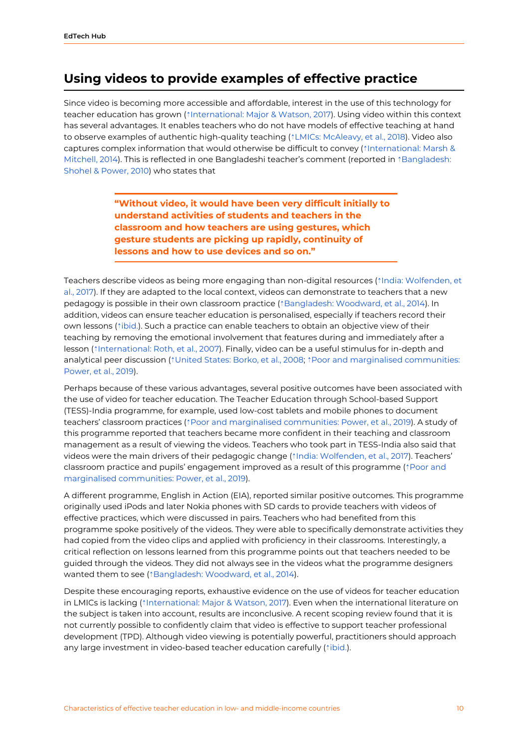#### <span id="page-10-0"></span>**Using videos to provide examples of effective practice**

Since video is becoming more accessible and affordable, interest in the use of this technology for teacher education has grown (⇡[International:](https://ref.opendeved.net/zo/zg/2405685/7/TKGRWCS3/International:%20Major%20&%20Watson,%202017%E3%80%8Awarning:%20International:%20Major%20&%20Watson,%202017%E3%80%8B) Major & Watson, 2017). Using video within this context has several advantages. It enables teachers who do not have models of effective teaching at hand to observe examples of authentic high-quality teaching (⇡LMICs: [McAleavy,](https://ref.opendeved.net/zo/zg/2405685/7/FXXS4882/LMICs:%20McAleavy,%20et%20al.,%202018%E3%80%8Awarning:Low-%20and%20middle-income%20countries:%20McAleavy,%20et%20al.,%202018%E3%80%8B) et al., 2018). Video also captures complex information that would otherwise be difficult to convey ( $\dagger$ [International:](https://ref.opendeved.net/zo/zg/2405685/7/QX23PU84/International:%20Marsh%20&%20Mitchell,%202014) Marsh & [Mitchell,](https://ref.opendeved.net/zo/zg/2405685/7/QX23PU84/International:%20Marsh%20&%20Mitchell,%202014) 2014). This is reflected in one Bangladeshi teacher's comment (reported in ⇡[Bangladesh:](https://ref.opendeved.net/zo/zg/2405685/7/UTNGW9R7/Bangladesh:%20Shohel%20&%20Power,%202010) [Shohel](https://ref.opendeved.net/zo/zg/2405685/7/UTNGW9R7/Bangladesh:%20Shohel%20&%20Power,%202010) & Power, 2010) who states that

> **"Without video, it would have been very difficult initially to understand activities of students and teachers in the classroom and how teachers are using gestures, which gesture students are picking up rapidly, continuity of lessons and how to use devices and so on."**

Teachers describe videos as being more engaging than non-digital resources (⇡India: [Wolfenden,](https://ref.opendeved.net/zo/zg/2405685/7/J2QYZC4N/%20India:%20Wolfenden,%20et%20al.,%202017%E3%80%8Awarning:%20India:%20Wolfenden,%20et%20al.,%20no%20date%E3%80%8B) et al., [2017\)](https://ref.opendeved.net/zo/zg/2405685/7/J2QYZC4N/%20India:%20Wolfenden,%20et%20al.,%202017%E3%80%8Awarning:%20India:%20Wolfenden,%20et%20al.,%20no%20date%E3%80%8B). If they are adapted to the local context, videos can demonstrate to teachers that a new pedagogy is possible in their own classroom practice (¡[Bangladesh:](https://ref.opendeved.net/zo/zg/2405685/7/VLPHGQ5H/Bangladesh:%20Woodward,%20et%20al.,%202014) Woodward, et al., 2014). In addition, videos can ensure teacher education is personalised, especially if teachers record their own lessons (⇡[ibid.](https://ref.opendeved.net/zo/zg/2405685/7/VLPHGQ5H/ibid.%E3%80%8Awarning:Bangladesh:%20Woodward,%20et%20al.,%202014%E3%80%8B)). Such a practice can enable teachers to obtain an objective view of their teaching by removing the emotional involvement that features during and immediately after a lesson (⇡[International:](https://ref.opendeved.net/zo/zg/2405685/7/MSWLJ5Z6/International:%20Roth,%20et%20al.,%202007) Roth, et al., 2007). Finally, video can be a useful stimulus for in-depth and analytical peer discussion (<sup>↑</sup>[United](https://ref.opendeved.net/zo/zg/2405685/7/BWHR8RIX/United%20States:%20Borko,%20et%20al.,%202008) States: Borko, et al., 2008; ↑Poor and marginalised [communities:](https://ref.opendeved.net/zo/zg/2405685/7/26U2C9E5/Poor%20and%20marginalised%20communities:%20Power,%20et%20al.,%202019) [Power,](https://ref.opendeved.net/zo/zg/2405685/7/26U2C9E5/Poor%20and%20marginalised%20communities:%20Power,%20et%20al.,%202019) et al., 2019).

Perhaps because of these various advantages, several positive outcomes have been associated with the use of video for teacher education. The Teacher Education through School-based Support (TESS)-India programme, for example, used low-cost tablets and mobile phones to document teachers' classroom practices (⇡Poor and marginalised [communities:](https://ref.opendeved.net/zo/zg/2405685/7/26U2C9E5/Poor%20and%20marginalised%20communities:%20Power,%20et%20al.,%202019) Power, et al., 2019). A study of this programme reported that teachers became more confident in their teaching and classroom management as a result of viewing the videos. Teachers who took part in TESS-India also said that videos were the main drivers of their pedagogic change (⇡India: [Wolfenden,](https://ref.opendeved.net/zo/zg/2405685/7/J2QYZC4N/India:%20Wolfenden,%20et%20al.,%202017%E3%80%8Awarning:%20India:%20Wolfenden,%20et%20al.,%202017%E3%80%8B) et al., 2017). Teachers' classroom practice and pupils' engagement improved as a result of this programme (⇡[Poor](https://ref.opendeved.net/zo/zg/2405685/7/26U2C9E5/Poor%20and%20marginalised%20communities:%20Power,%20et%20al.,%202019) and marginalised [communities:](https://ref.opendeved.net/zo/zg/2405685/7/26U2C9E5/Poor%20and%20marginalised%20communities:%20Power,%20et%20al.,%202019) Power, et al., 2019).

A different programme, English in Action (EIA), reported similar positive outcomes. This programme originally used iPods and later Nokia phones with SD cards to provide teachers with videos of effective practices, which were discussed in pairs. Teachers who had benefited from this programme spoke positively of the videos. They were able to specifically demonstrate activities they had copied from the video clips and applied with proficiency in their classrooms. Interestingly, a critical reflection on lessons learned from this programme points out that teachers needed to be guided through the videos. They did not always see in the videos what the programme designers wanted them to see (⇡[Bangladesh:](https://ref.opendeved.net/zo/zg/2405685/7/VLPHGQ5H/Bangladesh:%20Woodward,%20et%20al.,%202014) Woodward, et al., 2014).

Despite these encouraging reports, exhaustive evidence on the use of videos for teacher education in LMICs is lacking (⇡[International:](https://ref.opendeved.net/zo/zg/2405685/7/TKGRWCS3/%20International:%20Major%20&%20Watson,%202017) Major & Watson, 2017). Even when the international literature on the subject is taken into account, results are inconclusive. A recent scoping review found that it is not currently possible to confidently claim that video is effective to support teacher professional development (TPD). Although video viewing is potentially powerful, practitioners should approach any large investment in video-based teacher education carefully ( $\text{`ibid.}$ ).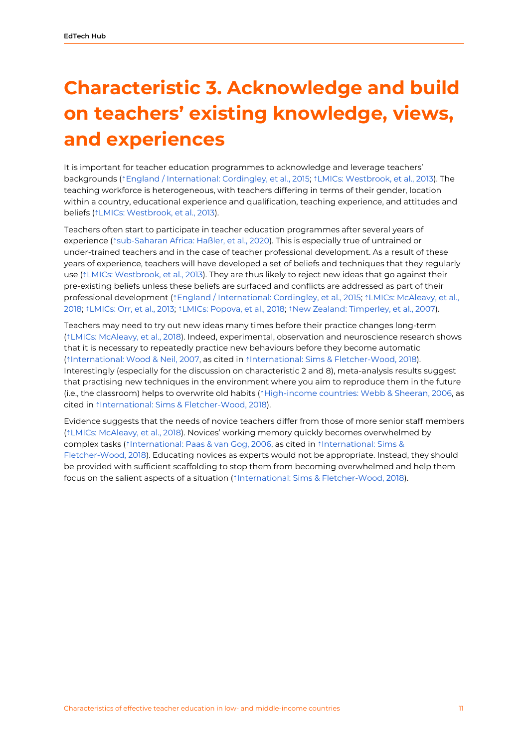# <span id="page-11-0"></span>**Characteristic 3. Acknowledge and build on teachers' existing knowledge, views, and experiences**

It is important for teacher education programmes to acknowledge and leverage teachers' backgrounds (⇡England / [International:](https://ref.opendeved.net/zo/zg/2405685/7/LLH3AAD5/England%20/%20International:%20Cordingley,%20et%20al.,%202015%E3%80%8Awarning:England/International:%20Cordingley,%20et%20al.,%202015%E3%80%8B) Cordingley, et al., 2015; ⇡LMICs: [Westbrook,](https://ref.opendeved.net/zo/zg/2405685/7/C85ZIVDI/LMICs:%20Westbrook,%20et%20al.,%202013%E3%80%8Awarning:Low-%20and%20middle-income%20countries:%20Westbrook,%20et%20al.,%202013%E3%80%8B) et al., 2013). The teaching workforce is heterogeneous, with teachers differing in terms of their gender, location within a country, educational experience and qualification, teaching experience, and attitudes and beliefs ( $*LMICS$ : [Westbrook,](https://ref.opendeved.net/zo/zg/2405685/7/C85ZIVDI/LMICs:%20Westbrook,%20et%20al.,%202013%E3%80%8Awarning:Low-%20and%20middle-income%20countries:%20Westbrook,%20et%20al.,%202013%E3%80%8B) et al., 2013).

Teachers often start to participate in teacher education programmes after several years of experience (⇡[sub-Saharan](https://ref.opendeved.net/zo/zg/2405685/7/TRRZUHFS/sub-Saharan%20Africa:%20Ha%C3%9Fler,%20et%20al.,%202020) Africa: Haßler, et al., 2020). This is especially true of untrained or under-trained teachers and in the case of teacher professional development. As a result of these years of experience, teachers will have developed a set of beliefs and techniques that they regularly use ( $\frac{1}{2}$  LMICs: [Westbrook,](https://ref.opendeved.net/zo/zg/2405685/7/C85ZIVDI/LMICs:%20Westbrook,%20et%20al.,%202013%E3%80%8Awarning:Low-%20and%20middle-income%20countries:%20Westbrook,%20et%20al.,%202013%E3%80%8B) et al., 2013). They are thus likely to reject new ideas that go against their pre-existing beliefs unless these beliefs are surfaced and conflicts are addressed as part of their professional development ( ${[England / International: Cordingley, et al., 2015; {[LMICs: McAlexy, et al.,$  ${[England / International: Cordingley, et al., 2015; {[LMICs: McAlexy, et al.,$  ${[England / International: Cordingley, et al., 2015; {[LMICs: McAlexy, et al.,$ [2018](https://ref.opendeved.net/zo/zg/2405685/7/FXXS4882/LMICs:%20McAleavy,%20et%20al.,%202018%E3%80%8Awarning:Low-%20and%20middle-income%20countries:%20McAleavy,%20et%20al.,%202018%E3%80%8B); ⇡[LMICs:](https://ref.opendeved.net/zo/zg/2405685/7/YAT9NL4R/LMICs:%20Orr,%20et%20al.,%202013%E3%80%8Awarning:Low-%20and%20middle-income%20countries:%20Orr,%20et%20al.,%202013%E3%80%8B) Orr, et al., 2013; ⇡LMICs: [Popova,](https://ref.opendeved.net/zo/zg/2405685/7/SQ5CWK8Q/LMICs:%20Popova,%20et%20al.,%202018%E3%80%8Awarning:Low-%20and%20middle-income%20countries:%20Popova,%20et%20al.,%202018%E3%80%8B) et al., 2018; ⇡New Zealand: [Timperley,](https://ref.opendeved.net/zo/zg/2405685/7/FUMAUAXK/New%20Zealand:%20Timperley,%20et%20al.,%202007) et al., 2007).

Teachers may need to try out new ideas many times before their practice changes long-term (⇡LMICs: [McAleavy,](https://ref.opendeved.net/zo/zg/2405685/7/FXXS4882/LMICs:%20McAleavy,%20et%20al.,%202018%E3%80%8Awarning:Low-%20and%20middle-income%20countries:%20McAleavy,%20et%20al.,%202018%E3%80%8B) et al., 2018). Indeed, experimental, observation and neuroscience research shows that it is necessary to repeatedly practice new behaviours before they become automatic (⇡[International:](https://ref.opendeved.net/zo/zg/2405685/7/XZK2S4WM/International:%20Wood%20&%20Neil,%202007) Wood & Neil, 2007, as cited in ⇡International: Sims & [Fletcher-Wood,](https://ref.opendeved.net/zo/zg/2405685/7/75VHL4AH/International:%20Sims%20&%20Fletcher-Wood,%202018) 2018). Interestingly (especially for the discussion on characteristic 2 and 8), meta-analysis results suggest that practising new techniques in the environment where you aim to reproduce them in the future (i.e., the classroom) helps to overwrite old habits (⇡[High-income](https://ref.opendeved.net/zo/zg/2405685/7/FQQMQ9MQ/High-income%20countries:%20Webb%20&%20Sheeran,%202006) countries: Webb & Sheeran, 2006, as cited in ⇡International: Sims & [Fletcher-Wood,](https://ref.opendeved.net/zo/zg/2405685/7/75VHL4AH/International:%20Sims%20&%20Fletcher-Wood,%202018) 2018).

Evidence suggests that the needs of novice teachers differ from those of more senior staff members (⇡LMICs: [McAleavy,](https://ref.opendeved.net/zo/zg/2405685/7/FXXS4882/LMICs:%20McAleavy,%20et%20al.,%202018%E3%80%8Awarning:Low-%20and%20middle-income%20countries:%20McAleavy,%20et%20al.,%202018%E3%80%8B) et al., 2018). Novices' working memory quickly becomes overwhelmed by complex tasks (⇡[International:](https://ref.opendeved.net/zo/zg/2405685/7/GQ7VHTE3/International:%20Paas%20&%20van%20Gog,%202006) Paas & van Gog, 2006, as cited in ⇡[International:](https://ref.opendeved.net/zo/zg/2405685/7/75VHL4AH/International:%20Sims%20&%20Fletcher-Wood,%202018) Sims & [Fletcher-Wood,](https://ref.opendeved.net/zo/zg/2405685/7/75VHL4AH/International:%20Sims%20&%20Fletcher-Wood,%202018) 2018). Educating novices as experts would not be appropriate. Instead, they should be provided with sufficient scaffolding to stop them from becoming overwhelmed and help them focus on the salient aspects of a situation (⇡International: Sims & [Fletcher-Wood,](https://ref.opendeved.net/zo/zg/2405685/7/75VHL4AH/International:%20Sims%20&%20Fletcher-Wood,%202018) 2018).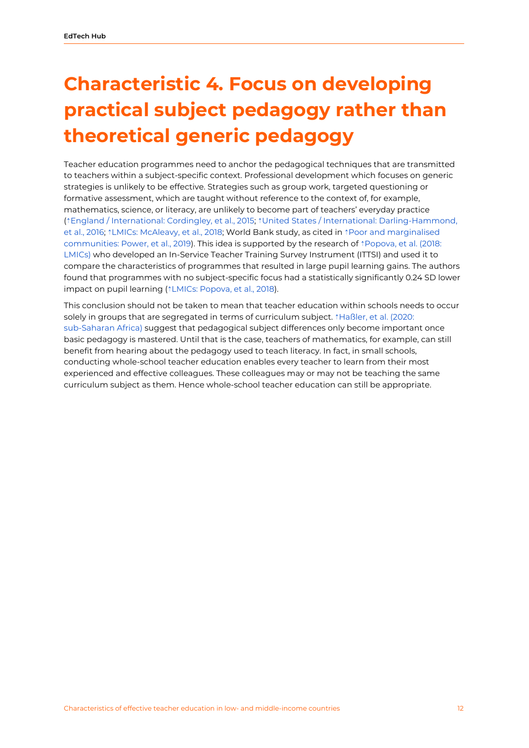# <span id="page-12-0"></span>**Characteristic 4. Focus on developing practical subject pedagogy rather than theoretical generic pedagogy**

Teacher education programmes need to anchor the pedagogical techniques that are transmitted to teachers within a subject-specific context. Professional development which focuses on generic strategies is unlikely to be effective. Strategies such as group work, targeted questioning or formative assessment, which are taught without reference to the context of, for example, mathematics, science, or literacy, are unlikely to become part of teachers' everyday practice (⇡England / [International:](https://ref.opendeved.net/zo/zg/2405685/7/LLH3AAD5/England%20/%20International:%20Cordingley,%20et%20al.,%202015%E3%80%8Awarning:England/International:%20Cordingley,%20et%20al.,%202015%E3%80%8B) Cordingley, et al., 2015; ⇡United States / International: [Darling-Hammond,](https://ref.opendeved.net/zo/zg/2405685/7/3EICVTPU/United%20States%20/%20International:%20Darling-Hammond,%20et%20al.,%202016%E3%80%8Awarning:United%20States/International:%20Darling-Hammond,%20et%20al.,%202016%E3%80%8B) et al., [2016](https://ref.opendeved.net/zo/zg/2405685/7/3EICVTPU/United%20States%20/%20International:%20Darling-Hammond,%20et%20al.,%202016%E3%80%8Awarning:United%20States/International:%20Darling-Hammond,%20et%20al.,%202016%E3%80%8B); ⇡LMICs: [McAleavy,](https://ref.opendeved.net/zo/zg/2405685/7/FXXS4882/LMICs:%20McAleavy,%20et%20al.,%202018%E3%80%8Awarning:Low-%20and%20middle-income%20countries:%20McAleavy,%20et%20al.,%202018%E3%80%8B) et al., 2018; World Bank study, as cited in ⇡Poor and [marginalised](https://ref.opendeved.net/zo/zg/2405685/7/26U2C9E5/Poor%20and%20marginalised%20communities:%20Power,%20et%20al.,%202019) [communities:](https://ref.opendeved.net/zo/zg/2405685/7/26U2C9E5/Poor%20and%20marginalised%20communities:%20Power,%20et%20al.,%202019) Power, et al., 2019). This idea is supported by the research of ⇡[Popova,](https://ref.opendeved.net/zo/zg/2405685/7/SQ5CWK8Q/Popova,%20et%20al.%20(2018:%20LMICs)%E3%80%8Awarning:Low-%20and%20middle-income%20countries:%20Popova,%20et%20al.,%20(2018)%E3%80%8B) et al. (2018: [LMICs\)](https://ref.opendeved.net/zo/zg/2405685/7/SQ5CWK8Q/Popova,%20et%20al.%20(2018:%20LMICs)%E3%80%8Awarning:Low-%20and%20middle-income%20countries:%20Popova,%20et%20al.,%20(2018)%E3%80%8B) who developed an In-Service Teacher Training Survey Instrument (ITTSI) and used it to compare the characteristics of programmes that resulted in large pupil learning gains. The authors found that programmes with no subject-specific focus had a statistically significantly 0.24 SD lower impact on pupil learning (↑LMICs: [Popova,](https://ref.opendeved.net/zo/zg/2405685/7/SQ5CWK8Q/LMICs:%20Popova,%20et%20al.,%202018) et al., 2018).

This conclusion should not be taken to mean that teacher education within schools needs to occur solely in groups that are segregated in terms of curriculum subject. <sup>↑</sup>[Haßler,](https://ref.opendeved.net/zo/zg/2405685/7/TRRZUHFS/Ha%C3%9Fler,%20et%20al.%20(2020:%20sub-Saharan%20Africa)%E3%80%8Awarning:sub-Saharan%20Africa:%20Ha%C3%9Fler,%20et%20al.%20%20(2020)%E3%80%8B) et al. (2020: [sub-Saharan](https://ref.opendeved.net/zo/zg/2405685/7/TRRZUHFS/Ha%C3%9Fler,%20et%20al.%20(2020:%20sub-Saharan%20Africa)%E3%80%8Awarning:sub-Saharan%20Africa:%20Ha%C3%9Fler,%20et%20al.%20%20(2020)%E3%80%8B) Africa) suggest that pedagogical subject differences only become important once basic pedagogy is mastered. Until that is the case, teachers of mathematics, for example, can still benefit from hearing about the pedagogy used to teach literacy. In fact, in small schools, conducting whole-school teacher education enables every teacher to learn from their most experienced and effective colleagues. These colleagues may or may not be teaching the same curriculum subject as them. Hence whole-school teacher education can still be appropriate.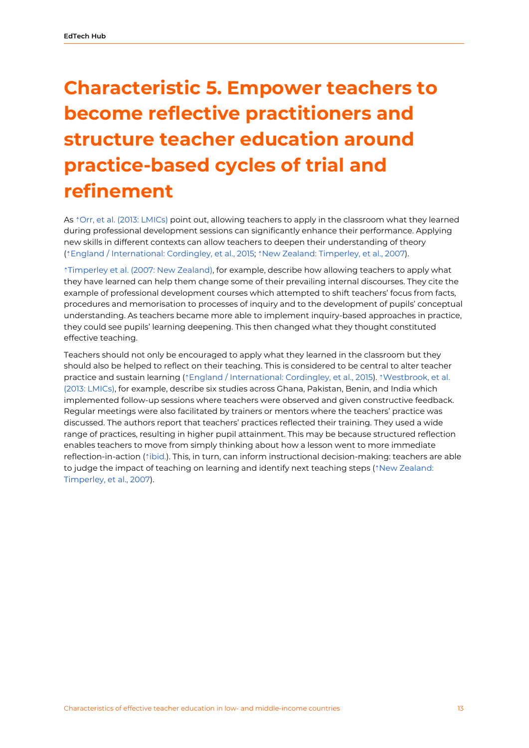# <span id="page-13-0"></span>**Characteristic 5. Empower teachers to become reflective practitioners and structure teacher education around practice-based cycles of trial and refinement**

As *<i>t*Orr, et al. (2013: [LMICs\)](https://ref.opendeved.net/zo/zg/2405685/7/YAT9NL4R/Orr,%20et%20al.%20(2013:%20LMICs)%E3%80%8Awarning:Low-%20and%20middle-income%20countries:%20Orr,%20et%20al.%20%20(2013)%E3%80%8B) point out, allowing teachers to apply in the classroom what they learned during professional development sessions can significantly enhance their performance. Applying new skills in different contexts can allow teachers to deepen their understanding of theory (⇡England / [International:](https://ref.opendeved.net/zo/zg/2405685/7/LLH3AAD5/England%20/%20International:%20Cordingley,%20et%20al.,%202015%E3%80%8Awarning:England/International:%20Cordingley,%20et%20al.,%202015%E3%80%8B) Cordingley, et al., 2015; ⇡New Zealand: [Timperley,](https://ref.opendeved.net/zo/zg/2405685/7/FUMAUAXK/New%20Zealand:%20Timperley,%20et%20al.,%202007) et al., 2007).

⇡[Timperley](https://ref.opendeved.net/zo/zg/2405685/7/FUMAUAXK/Timperley%20et%20al.%20(2007:%20New%20Zealand)%E3%80%8Awarning:New%20Zealand:%20Timperley,%20et%20al.%20(2007)%E3%80%8B) et al. (2007: New Zealand), for example, describe how allowing teachers to apply what they have learned can help them change some of their prevailing internal discourses. They cite the example of professional development courses which attempted to shift teachers' focus from facts, procedures and memorisation to processes of inquiry and to the development of pupils' conceptual understanding. As teachers became more able to implement inquiry-based approaches in practice, they could see pupils' learning deepening. This then changed what they thought constituted effective teaching.

Teachers should not only be encouraged to apply what they learned in the classroom but they should also be helped to reflect on their teaching. This is considered to be central to alter teacher practice and sustain learning (⇡England / [International:](https://ref.opendeved.net/zo/zg/2405685/7/LLH3AAD5/England%20/%20International:%20Cordingley,%20et%20al.,%202015%E3%80%8Awarning:England/International:%20Cordingley,%20et%20al.,%202015%E3%80%8B) Cordingley, et al., 2015). ⇡[Westbrook,](https://ref.opendeved.net/zo/zg/2405685/7/C85ZIVDI/Westbrook,%20et%20al.%20(2013:%20LMICs)%E3%80%8Awarning:Low-%20and%20middle-income%20countries:%20Westbrook,%20et%20al%20(2013)%E3%80%8B) et al. (2013: [LMICs\)](https://ref.opendeved.net/zo/zg/2405685/7/C85ZIVDI/Westbrook,%20et%20al.%20(2013:%20LMICs)%E3%80%8Awarning:Low-%20and%20middle-income%20countries:%20Westbrook,%20et%20al%20(2013)%E3%80%8B), for example, describe six studies across Ghana, Pakistan, Benin, and India which implemented follow-up sessions where teachers were observed and given constructive feedback. Regular meetings were also facilitated by trainers or mentors where the teachers' practice was discussed. The authors report that teachers' practices reflected their training. They used a wide range of practices, resulting in higher pupil attainment. This may be because structured reflection enables teachers to move from simply thinking about how a lesson went to more immediate reflection-in-action (⇡[ibid.\)](https://ref.opendeved.net/zo/zg/2405685/7/C85ZIVDI/ibid.%E3%80%8Awarning:Low-%20and%20middle-income%20countries:%20Westbrook,%20et%20al.,%202013%E3%80%8B). This, in turn, can inform instructional decision-making: teachers are able to judge the impact of teaching on learning and identify next teaching steps (↑New [Zealand:](https://ref.opendeved.net/zo/zg/2405685/7/FUMAUAXK/New%20Zealand:%20Timperley,%20et%20al.,%202007) [Timperley,](https://ref.opendeved.net/zo/zg/2405685/7/FUMAUAXK/New%20Zealand:%20Timperley,%20et%20al.,%202007) et al., 2007).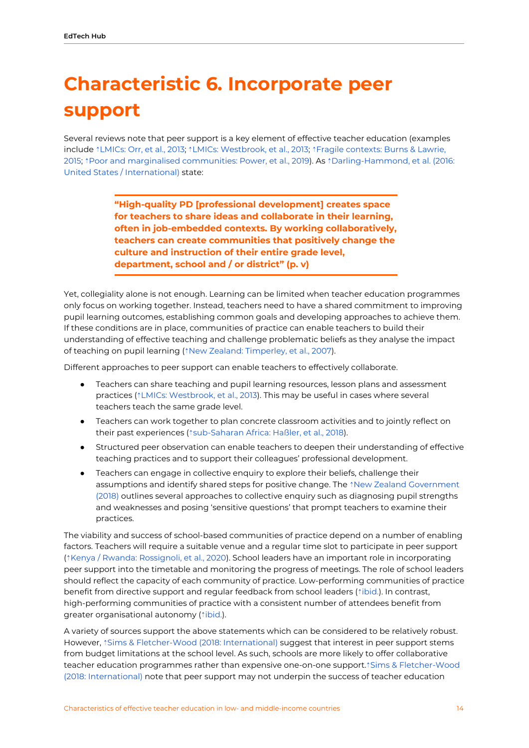## <span id="page-14-0"></span>**Characteristic 6. Incorporate peer support**

Several reviews note that peer support is a key element of effective teacher education (examples include ⇡[LMICs:](https://ref.opendeved.net/zo/zg/2405685/7/YAT9NL4R/LMICs:%20Orr,%20et%20al.,%202013%E3%80%8Awarning:Low-%20and%20middle-income%20countries:%20Orr,%20et%20al.,%202013%E3%80%8B) Orr, et al., 2013; ⇡LMICs: [Westbrook,](https://ref.opendeved.net/zo/zg/2405685/7/C85ZIVDI/LMICs:%20Westbrook,%20et%20al.,%202013%E3%80%8Awarning:Low-%20and%20middle-income%20countries:%20Westbrook,%20et%20al.,%202013%E3%80%8B) et al., 2013; ⇡Fragile [contexts:](https://ref.opendeved.net/zo/zg/2405685/7/XABT3JHM/Fragile%20contexts:%20Burns%20&%20Lawrie,%202015) Burns & Lawrie, [2015;](https://ref.opendeved.net/zo/zg/2405685/7/XABT3JHM/Fragile%20contexts:%20Burns%20&%20Lawrie,%202015) ⇡Poor and marginalised [communities:](https://ref.opendeved.net/zo/zg/2405685/7/26U2C9E5/Poor%20and%20marginalised%20communities:%20Power,%20et%20al.,%202019) Power, et al., 2019). As ⇡[Darling-Hammond,](https://ref.opendeved.net/zo/zg/2405685/7/3EICVTPU/Darling-Hammond,%20et%20al.%20(2016:%20United%20States%20/%20International)%E3%80%8Awarning:United%20States/International:%20Darling-Hammond,%20et%20al.%20%20(2016)%E3%80%8B) et al. (2016: United States / [International\)](https://ref.opendeved.net/zo/zg/2405685/7/3EICVTPU/Darling-Hammond,%20et%20al.%20(2016:%20United%20States%20/%20International)%E3%80%8Awarning:United%20States/International:%20Darling-Hammond,%20et%20al.%20%20(2016)%E3%80%8B) state:

> **"High-quality PD [professional development] creates space for teachers to share ideas and collaborate in their learning, often in job-embedded contexts. By working collaboratively, teachers can create communities that positively change the culture and instruction of their entire grade level, department, school and / or district" (p. v)**

Yet, collegiality alone is not enough. Learning can be limited when teacher education programmes only focus on working together. Instead, teachers need to have a shared commitment to improving pupil learning outcomes, establishing common goals and developing approaches to achieve them. If these conditions are in place, communities of practice can enable teachers to build their understanding of effective teaching and challenge problematic beliefs as they analyse the impact of teaching on pupil learning (<sup>↑</sup>New Zealand: [Timperley,](https://ref.opendeved.net/zo/zg/2405685/7/FUMAUAXK/New%20Zealand:%20Timperley,%20et%20al.,%202007) et al., 2007).

Different approaches to peer support can enable teachers to effectively collaborate.

- Teachers can share teaching and pupil learning resources, lesson plans and assessment practices (⇡LMICs: [Westbrook,](https://ref.opendeved.net/zo/zg/2405685/7/C85ZIVDI/LMICs:%20Westbrook,%20et%20al.,%202013%E3%80%8Awarning:Low-%20and%20middle-income%20countries:%20Westbrook,%20et%20al.,%202013%E3%80%8B) et al., 2013). This may be useful in cases where several teachers teach the same grade level.
- Teachers can work together to plan concrete classroom activities and to jointly reflect on their past experiences (↑[sub-Saharan](https://ref.opendeved.net/zo/zg/2405685/7/CUHYHFLV/sub-Saharan%20Africa:%20Ha%C3%9Fler,%20et%20al.,%202018) Africa: Haßler, et al., 2018).
- Structured peer observation can enable teachers to deepen their understanding of effective teaching practices and to support their colleagues' professional development.
- Teachers can engage in collective enquiry to explore their beliefs, challenge their assumptions and identify shared steps for positive change. The ⇡New Zealand [Government](https://ref.opendeved.net/zo/zg/2405685/7/2XPLP8YB/New%20Zealand%20Government%20(2018)) [\(2018\)](https://ref.opendeved.net/zo/zg/2405685/7/2XPLP8YB/New%20Zealand%20Government%20(2018)) outlines several approaches to collective enquiry such as diagnosing pupil strengths and weaknesses and posing 'sensitive questions' that prompt teachers to examine their practices.

The viability and success of school-based communities of practice depend on a number of enabling factors. Teachers will require a suitable venue and a regular time slot to participate in peer support (⇡Kenya / Rwanda: [Rossignoli,](https://ref.opendeved.net/zo/zg/2405685/7/WFJZTGQZ/Kenya%20/%20Rwanda:%20Rossignoli,%20et%20al.,%202020) et al., 2020). School leaders have an important role in incorporating peer support into the timetable and monitoring the progress of meetings. The role of school leaders should reflect the capacity of each community of practice. Low-performing communities of practice benefit from directive support and regular feedback from school leaders ( $\dagger$ [ibid.\)](https://ref.opendeved.net/zo/zg/2405685/7/WFJZTGQZ/ibid.%E3%80%8Awarning:Kenya%20/%20Rwanda:%20Rossignoli,%20et%20al.,%202020%E3%80%8B). In contrast, high-performing communities of practice with a consistent number of attendees benefit from greater organisational autonomy (<sup>↑[ibid.](https://ref.opendeved.net/zo/zg/2405685/7/WFJZTGQZ/ibid.%E3%80%8Awarning:Kenya%20/%20Rwanda:%20Rossignoli,%20et%20al.,%202020%E3%80%8B)</sup>).

A variety of sources support the above statements which can be considered to be relatively robust. However, ↑Sims & [Fletcher-Wood](https://ref.opendeved.net/zo/zg/2405685/7/75VHL4AH/Sims%20&%20Fletcher-Wood%20(2018:%20International)%E3%80%8Awarning:International:%20Sims%20&%20Fletcher-Wood%20(2018)%E3%80%8B) (2018: International) suggest that interest in peer support stems from budget limitations at the school level. As such, schools are more likely to offer collaborative teacher education programmes rather than expensive one-on-one support.⇡Sims & [Fletcher-Wood](https://ref.opendeved.net/zo/zg/2405685/7/75VHL4AH/Sims%20&%20Fletcher-Wood%20(2018:%20International)%E3%80%8Awarning:International:%20Sims%20&%20Fletcher-Wood%20(2018)%E3%80%8B) (2018: [International\)](https://ref.opendeved.net/zo/zg/2405685/7/75VHL4AH/Sims%20&%20Fletcher-Wood%20(2018:%20International)%E3%80%8Awarning:International:%20Sims%20&%20Fletcher-Wood%20(2018)%E3%80%8B) note that peer support may not underpin the success of teacher education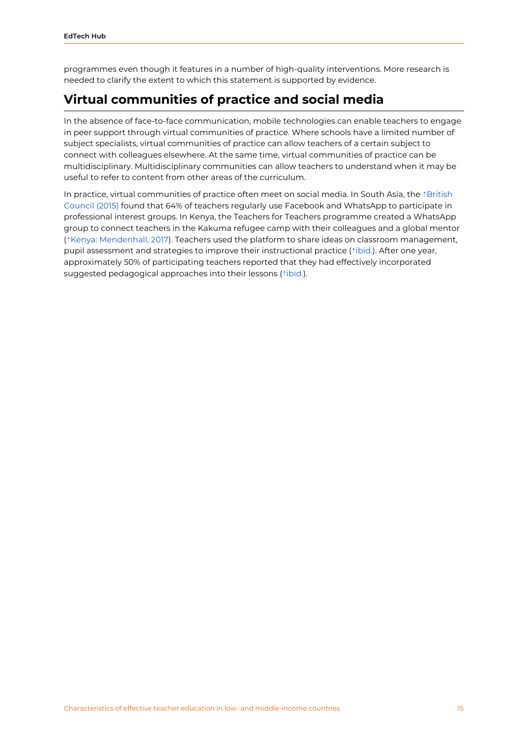programmes even though it features in a number of high-quality interventions. More research is needed to clarify the extent to which this statement is supported by evidence.

### <span id="page-15-0"></span>**Virtual communities of practice and social media**

In the absence of face-to-face communication, mobile technologies can enable teachers to engage in peer support through virtual communities of practice. Where schools have a limited number of subject specialists, virtual communities of practice can allow teachers of a certain subject to connect with colleagues elsewhere. At the same time, virtual communities of practice can be multidisciplinary. Multidisciplinary communities can allow teachers to understand when it may be useful to refer to content from other areas of the curriculum.

In practice, virtual communities of practice often meet on social media. In South Asia, the  $\uparrow$ [British](https://ref.opendeved.net/zo/zg/2405685/7/UE23QGKH/British%20Council%20(2015)) [Council](https://ref.opendeved.net/zo/zg/2405685/7/UE23QGKH/British%20Council%20(2015)) (2015) found that 64% of teachers regularly use Facebook and WhatsApp to participate in professional interest groups. In Kenya, the Teachers for Teachers programme created a WhatsApp group to connect teachers in the Kakuma refugee camp with their colleagues and a global mentor (⇡Kenya: [Mendenhall,](https://ref.opendeved.net/zo/zg/2405685/7/32Z977JS/Kenya:%20Mendenhall,%202017) 2017). Teachers used the platform to share ideas on classroom management, pupil assessment and strategies to improve their instructional practice (<u>┆ibid</u>.). After one year, approximately 50% of participating teachers reported that they had effectively incorporated suggested pedagogical approaches into their lessons (*<u>ibid</u>.*).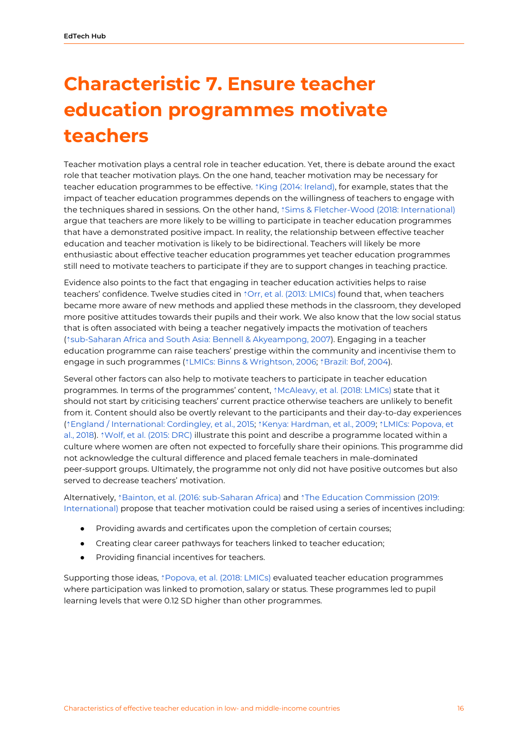# <span id="page-16-0"></span>**Characteristic 7. Ensure teacher education programmes motivate teachers**

Teacher motivation plays a central role in teacher education. Yet, there is debate around the exact role that teacher motivation plays. On the one hand, teacher motivation may be necessary for teacher education programmes to be effective. *<u>\*King</u>* (2014: [Ireland\),](https://ref.opendeved.net/zo/zg/2405685/7/EUPCICWT/King%20(2014:%20Ireland)) for example, states that the impact of teacher education programmes depends on the willingness of teachers to engage with the techniques shared in sessions. On the other hand, ⇡Sims & [Fletcher-Wood](https://ref.opendeved.net/zo/zg/2405685/7/75VHL4AH/Sims%20&%20Fletcher-Wood%20(2018:%20International)%E3%80%8Awarning:International:%20Sims%20&%20Fletcher-Wood%20%20(2018)%E3%80%8B) (2018: International) argue that teachers are more likely to be willing to participate in teacher education programmes that have a demonstrated positive impact. In reality, the relationship between effective teacher education and teacher motivation is likely to be bidirectional. Teachers will likely be more enthusiastic about effective teacher education programmes yet teacher education programmes still need to motivate teachers to participate if they are to support changes in teaching practice.

Evidence also points to the fact that engaging in teacher education activities helps to raise teachers' confidence. Twelve studies cited in ⇡Orr, et al. (2013: [LMICs\)](https://ref.opendeved.net/zo/zg/2405685/7/YAT9NL4R/Orr,%20et%20al.%20(2013:%20LMICs)%E3%80%8Awarning:Low-%20and%20middle-income%20countries:%20Orr,%20et%20al.%20%20(2013)%E3%80%8B) found that, when teachers became more aware of new methods and applied these methods in the classroom, they developed more positive attitudes towards their pupils and their work. We also know that the low social status that is often associated with being a teacher negatively impacts the motivation of teachers (⇡sub-Saharan Africa and South Asia: Bennell & [Akyeampong,](https://ref.opendeved.net/zo/zg/2405685/7/25GLFYDL/sub-Saharan%20Africa%20and%20South%20Asia:%20Bennell%20&%20Akyeampong,%202007) 2007). Engaging in a teacher education programme can raise teachers' prestige within the community and incentivise them to engage in such programmes (⇡LMICs: Binns & [Wrightson,](https://ref.opendeved.net/zo/zg/2405685/7/3IPM5K7Y/LMICs:%20Binns%20&%20Wrightson,%202006%E3%80%8Awarning:Low-%20and%20middle-income%20countries:%20Binns%20&%20Wrightson,%202006%E3%80%8B) 2006; ⇡[Brazil:](https://ref.opendeved.net/zo/zg/2405685/7/7N6P78H9/Brazil:%20Bof,%202004) Bof, 2004).

Several other factors can also help to motivate teachers to participate in teacher education programmes. In terms of the programmes' content, ↑[McAleavy,](https://ref.opendeved.net/zo/zg/2405685/7/FXXS4882/McAleavy,%20et%20al.%20(2018:%20LMICs)%E3%80%8Awarning:Low-%20and%20middle-income%20countries:%20McAleavy,%20et%20al.%20(2018)%E3%80%8B) et al. (2018: LMICs) state that it should not start by criticising teachers' current practice otherwise teachers are unlikely to benefit from it. Content should also be overtly relevant to the participants and their day-to-day experiences (⇡England / [International:](https://ref.opendeved.net/zo/zg/2405685/7/LLH3AAD5/England%20/%20International:%20Cordingley,%20et%20al.,%202015%E3%80%8Awarning:England/International:%20Cordingley,%20et%20al.,%202015%E3%80%8B) Cordingley, et al., 2015; ⇡Kenya: [Hardman,](https://ref.opendeved.net/zo/zg/2405685/7/YDTY3JCV/Kenya:%20Hardman,%20et%20al.,%202009) et al., 2009; ⇡LMICs: [Popova,](https://ref.opendeved.net/zo/zg/2405685/7/SQ5CWK8Q/LMICs:%20Popova,%20et%20al.,%202018%E3%80%8Awarning:Low-%20and%20middle-income%20countries:%20Popova,%20et%20al.,%202018%E3%80%8B) et al., [2018](https://ref.opendeved.net/zo/zg/2405685/7/SQ5CWK8Q/LMICs:%20Popova,%20et%20al.,%202018%E3%80%8Awarning:Low-%20and%20middle-income%20countries:%20Popova,%20et%20al.,%202018%E3%80%8B)). ⇡Wolf, et al. [\(2015:](https://ref.opendeved.net/zo/zg/2405685/7/CW48D6C7/Wolf,%20et%20al.%20(2015:%20DRC)) DRC) illustrate this point and describe a programme located within a culture where women are often not expected to forcefully share their opinions. This programme did not acknowledge the cultural difference and placed female teachers in male-dominated peer-support groups. Ultimately, the programme not only did not have positive outcomes but also served to decrease teachers' motivation.

Alternatively, ⇡Bainton, et al. (2016: [sub-Saharan](https://ref.opendeved.net/zo/zg/2405685/7/CLHEDE9L/Bainton,%20et%20al.%20(2016:%20sub-Saharan%20Africa)%E3%80%8Awarning:sub-Saharan%20Africa:%20Bainton,%20et%20al.%20(2016)%E3%80%8B) Africa) and ⇡The Education [Commission](https://ref.opendeved.net/zo/zg/2405685/7/7JBG673D/The%20Education%20Commission%20(2019:%20International)%E3%80%8Awarning:%20International:%20Education%20Commission%20(2019)%E3%80%8B) (2019: [International\)](https://ref.opendeved.net/zo/zg/2405685/7/7JBG673D/The%20Education%20Commission%20(2019:%20International)%E3%80%8Awarning:%20International:%20Education%20Commission%20(2019)%E3%80%8B) propose that teacher motivation could be raised using a series of incentives including:

- Providing awards and certificates upon the completion of certain courses;
- Creating clear career pathways for teachers linked to teacher education;
- Providing financial incentives for teachers.

Supporting those ideas, <sup>↑</sup>[Popova,](https://ref.opendeved.net/zo/zg/2405685/7/SQ5CWK8Q/Popova,%20et%20al.%20(2018:%20LMICs)%E3%80%8Awarning:Low-%20and%20middle-income%20countries:%20Popova,%20et%20al.%20(2018)%E3%80%8B) et al. (2018: LMICs) evaluated teacher education programmes where participation was linked to promotion, salary or status. These programmes led to pupil learning levels that were 0.12 SD higher than other programmes.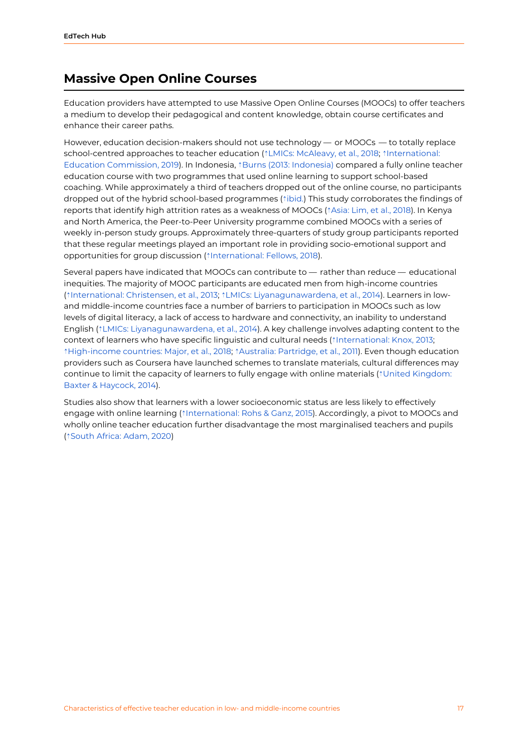#### <span id="page-17-0"></span>**Massive Open Online Courses**

Education providers have attempted to use Massive Open Online Courses (MOOCs) to offer teachers a medium to develop their pedagogical and content knowledge, obtain course certificates and enhance their career paths.

However, education decision-makers should not use technology — or MOOCs — to totally replace school-centred approaches to teacher education (⇡LMICs: [McAleavy,](https://ref.opendeved.net/zo/zg/2405685/7/FXXS4882/LMICs:%20McAleavy,%20et%20al.,%202018%E3%80%8Awarning:Low-%20and%20middle-income%20countries:%20McAleavy,%20et%20al.,%202018%E3%80%8B) et al., 2018; ⇡[International:](https://ref.opendeved.net/zo/zg/2405685/7/7JBG673D/International:%20Education%20Commission,%202019%E3%80%8Awarning:%20International:%20Education%20Commission,%202019%E3%80%8B) Education [Commission,](https://ref.opendeved.net/zo/zg/2405685/7/7JBG673D/International:%20Education%20Commission,%202019%E3%80%8Awarning:%20International:%20Education%20Commission,%202019%E3%80%8B) 2019). In Indonesia, ⇡Burns (2013: [Indonesia\)](https://ref.opendeved.net/zo/zg/2405685/7/QM54QTRZ/Burns%20(2013:%20Indonesia)) compared a fully online teacher education course with two programmes that used online learning to support school-based coaching. While approximately a third of teachers dropped out of the online course, no participants dropped out of the hybrid school-based programmes (⇡[ibid.](https://ref.opendeved.net/zo/zg/2405685/7/QM54QTRZ/ibid.)) This study corroborates the findings of reports that identify high attrition rates as a weakness of MOOCs (⇡[Asia:](https://ref.opendeved.net/zo/zg/2405685/7/ZXUFKWM5/Asia:%20Lim,%20et%20al.,%202018) Lim, et al., 2018). In Kenya and North America, the Peer-to-Peer University programme combined MOOCs with a series of weekly in-person study groups. Approximately three-quarters of study group participants reported that these regular meetings played an important role in providing socio-emotional support and opportunities for group discussion (↑[International:](https://ref.opendeved.net/zo/zg/2405685/7/9R6YAL7K/International:%20Fellows,%202018) Fellows, 2018).

Several papers have indicated that MOOCs can contribute to — rather than reduce — educational inequities. The majority of MOOC participants are educated men from high-income countries (⇡[International:](https://ref.opendeved.net/zo/zg/2405685/7/UCFGTJGC/International:%20Christensen,%20et%20al.,%202013%E3%80%8Awarning:%20International:%20Christensen,%20et%20al.,%202013%E3%80%8B) Christensen, et al., 2013; ⇡LMICs: [Liyanagunawardena,](https://ref.opendeved.net/zo/zg/2405685/7/WBWECXQ5/LMICs:%20Liyanagunawardena,%20et%20al.,%202014%E3%80%8Awarning:Low-%20and%20middle-income%20countries:%20Liyanagunawardena,%20et%20al.,%202014%E3%80%8B) et al., 2014). Learners in lowand middle-income countries face a number of barriers to participation in MOOCs such as low levels of digital literacy, a lack of access to hardware and connectivity, an inability to understand English (⇡LMICs: [Liyanagunawardena,](https://ref.opendeved.net/zo/zg/2405685/7/WBWECXQ5/LMICs:%20Liyanagunawardena,%20et%20al.,%202014%E3%80%8Awarning:Low-%20and%20middle-income%20countries:%20Liyanagunawardena,%20et%20al.,%202014%E3%80%8B) et al., 2014). A key challenge involves adapting content to the context of learners who have specific linguistic and cultural needs (î [International:](https://ref.opendeved.net/zo/zg/2405685/7/A3KT8WS9/International:%20Knox,%202013) Knox, 2013; ⇡[High-income](https://ref.opendeved.net/zo/zg/2405685/7/QLMSBRPI/High-income%20countries:%20Major,%20et%20al.,%202018) countries: Major, et al., 2018; ⇡Australia: [Partridge,](https://ref.opendeved.net/zo/zg/2405685/7/CBHXFBX7/Australia:%20Partridge,%20et%20al.,%202011) et al., 2011). Even though education providers such as Coursera have launched schemes to translate materials, cultural differences may continue to limit the capacity of learners to fully engage with online materials (⇡United [Kingdom:](https://ref.opendeved.net/zo/zg/2405685/7/ZWM6856B/United%20Kingdom:%20Baxter%20&%20Haycock,%202014%E3%80%8Awarning:%20United%20Kingdom:%20Baxter%20&%20Haycock,%202014%E3%80%8B) Baxter & [Haycock,](https://ref.opendeved.net/zo/zg/2405685/7/ZWM6856B/United%20Kingdom:%20Baxter%20&%20Haycock,%202014%E3%80%8Awarning:%20United%20Kingdom:%20Baxter%20&%20Haycock,%202014%E3%80%8B) 2014).

Studies also show that learners with a lower socioeconomic status are less likely to effectively engage with online learning (┆[International:](https://ref.opendeved.net/zo/zg/2405685/7/TEX35CCG/%20International:%20Rohs%20&%20Ganz,%202015) Rohs & Ganz, 2015). Accordingly, a pivot to MOOCs and wholly online teacher education further disadvantage the most marginalised teachers and pupils (⇡South Africa: [Adam,](https://ref.opendeved.net/zo/zg/2405685/7/BE8K7HXB/South%20Africa:%20Adam,%202020) 2020)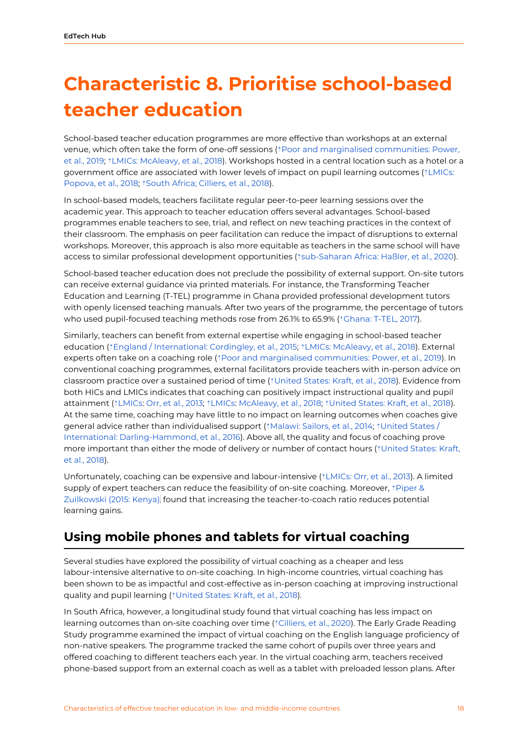## <span id="page-18-0"></span>**Characteristic 8. Prioritise school-based teacher education**

School-based teacher education programmes are more effective than workshops at an external venue, which often take the form of one-off sessions (⇡Poor and marginalised [communities:](https://ref.opendeved.net/zo/zg/2405685/7/26U2C9E5/Poor%20and%20marginalised%20communities:%20Power,%20et%20al.,%202019%E3%80%8Awarning:Poor%20and%20marginalised%20communities:%20Power,%20et%20al.%20(2019)%E3%80%8B) Power, et al., [2019](https://ref.opendeved.net/zo/zg/2405685/7/26U2C9E5/Poor%20and%20marginalised%20communities:%20Power,%20et%20al.,%202019%E3%80%8Awarning:Poor%20and%20marginalised%20communities:%20Power,%20et%20al.%20(2019)%E3%80%8B); ⇡LMICs: [McAleavy,](https://ref.opendeved.net/zo/zg/2405685/7/FXXS4882/LMICs:%20McAleavy,%20et%20al.,%202018%E3%80%8Awarning:Low-%20and%20middle-income%20countries:%20McAleavy,%20et%20al.,%202018%E3%80%8B) et al., 2018). Workshops hosted in a central location such as a hotel or a government office are associated with lower levels of impact on pupil learning outcomes ( $\frac{\text{?} \text{LMICs:}}{}$  $\frac{\text{?} \text{LMICs:}}{}$  $\frac{\text{?} \text{LMICs:}}{}$ [Popova,](https://ref.opendeved.net/zo/zg/2405685/7/SQ5CWK8Q/LMICs:%20Popova,%20et%20al.,%202018%E3%80%8Awarning:Low-%20and%20middle-income%20countries:%20Popova,%20et%20al.%20(2018)%E3%80%8B) et al., 2018; ⇡South Africa; [Cilliers,](https://ref.opendeved.net/zo/zg/2405685/7/WYIY3SSM/South%20Africa;%20Cilliers,%20et%20al.,%202018%E3%80%8Awarning:Cilliers,%20et%20al.%20(2018:%20South%20Africa%E3%80%8B) et al., 2018).

In school-based models, teachers facilitate regular peer-to-peer learning sessions over the academic year. This approach to teacher education offers several advantages. School-based programmes enable teachers to see, trial, and reflect on new teaching practices in the context of their classroom. The emphasis on peer facilitation can reduce the impact of disruptions to external workshops. Moreover, this approach is also more equitable as teachers in the same school will have access to similar professional development opportunities (⇡[sub-Saharan](https://ref.opendeved.net/zo/zg/2405685/7/TRRZUHFS/sub-Saharan%20Africa:%20Ha%C3%9Fler,%20et%20al.,%202020) Africa: Haßler, et al., 2020).

School-based teacher education does not preclude the possibility of external support. On-site tutors can receive external guidance via printed materials. For instance, the Transforming Teacher Education and Learning (T-TEL) programme in Ghana provided professional development tutors with openly licensed teaching manuals. After two years of the programme, the percentage of tutors who used pupil-focused teaching methods rose from 26.1% to 65.9% (⇡[Ghana:](https://ref.opendeved.net/zo/zg/2405685/7/UMGJ8LUJ/Ghana:%20T-TEL,%202017) T-TEL, 2017).

Similarly, teachers can benefit from external expertise while engaging in school-based teacher education (⇡England / [International:](https://ref.opendeved.net/zo/zg/2405685/7/LLH3AAD5/England%20/%20International:%20Cordingley,%20et%20al.,%202015%E3%80%8Awarning:England/International:%20Cordingley,%20et%20al.,%202015%E3%80%8B) Cordingley, et al., 2015; ⇡LMICs: [McAleavy,](https://ref.opendeved.net/zo/zg/2405685/7/FXXS4882/LMICs:%20McAleavy,%20et%20al.,%202018%E3%80%8Awarning:Low-%20and%20middle-income%20countries:%20McAleavy,%20et%20al.,%202018%E3%80%8B) et al., 2018). External experts often take on a coaching role (<sup></sup>↑Poor and marginalised [communities:](https://ref.opendeved.net/zo/zg/2405685/7/26U2C9E5/Poor%20and%20marginalised%20communities:%20Power,%20et%20al.,%202019) Power, et al., 2019). In conventional coaching programmes, external facilitators provide teachers with in-person advice on classroom practice over a sustained period of time (⇡[United](https://ref.opendeved.net/zo/zg/2405685/7/JXICF3W3/United%20States:%20Kraft,%20et%20al.,%202018) States: Kraft, et al., 2018). Evidence from both HICs and LMICs indicates that coaching can positively impact instructional quality and pupil attainment ([⇡](https://ref.opendeved.net/zo/zg/2405685/7/YAT9NL4R/)[LMICs:](https://ref.opendeved.net/zo/zg/2405685/7/YAT9NL4R/LMICs%E3%80%8Awarning:Low-%20and%20middle-income%20countries:%20Orr,%20et%20al.,%202013%E3%80%8B) Orr, et al., [2013;](https://ref.opendeved.net/zo/zg/2405685/7/YAT9NL4R/Orr,%20et%20al.,%202013) [⇡](https://ref.opendeved.net/zo/zg/2405685/7/FXXS4882/)[LMICs](https://ref.opendeved.net/zo/zg/2405685/7/YAT9NL4R/LMICs%E3%80%8Awarning:Low-%20and%20middle-income%20countries:%20Orr,%20et%20al.,%202013%E3%80%8B): [McAleavy,](https://ref.opendeved.net/zo/zg/2405685/7/FXXS4882/McAleavy,%20et%20al.,%202018) et al., 2018; ⇡[United](https://ref.opendeved.net/zo/zg/2405685/7/JXICF3W3/United%20States:%20Kraft,%20et%20al.,%202018) States: Kraft, et al., 2018). At the same time, coaching may have little to no impact on learning outcomes when coaches give general advice rather than individualised support (⇡[Malawi:](https://ref.opendeved.net/zo/zg/2405685/7/IVTVDACJ/Malawi:%20Sailors,%20et%20al.,%202014) Sailors, et al., 2014; ⇡[United](https://ref.opendeved.net/zo/zg/2405685/7/3EICVTPU/United%20States%20/%20International:%20Darling-Hammond,%20et%20al.,%202016%E3%80%8Awarning:United%20States/International:%20Darling-Hammond,%20et%20al.,%202016%E3%80%8B) States / International: [Darling-Hammond,](https://ref.opendeved.net/zo/zg/2405685/7/3EICVTPU/United%20States%20/%20International:%20Darling-Hammond,%20et%20al.,%202016%E3%80%8Awarning:United%20States/International:%20Darling-Hammond,%20et%20al.,%202016%E3%80%8B) et al., 2016). Above all, the quality and focus of coaching prove more important than either the mode of delivery or number of contact hours (⇡[United](https://ref.opendeved.net/zo/zg/2405685/7/JXICF3W3/United%20States:%20Kraft,%20et%20al.,%202018) States: Kraft, et al., [2018\)](https://ref.opendeved.net/zo/zg/2405685/7/JXICF3W3/United%20States:%20Kraft,%20et%20al.,%202018).

Unfortunately, coaching can be expensive and labour-intensive (⇡[LMICs:](https://ref.opendeved.net/zo/zg/2405685/7/YAT9NL4R/LMICs:%20Orr,%20et%20al.,%202013%E3%80%8Awarning:Low-%20and%20middle-income%20countries:%20Orr,%20et%20al.,%202013%E3%80%8B) Orr, et al., 2013). A limited supply of expert teachers can reduce the feasibility of on-site coaching. Moreover, †[Piper](https://ref.opendeved.net/zo/zg/2405685/7/LM7EYD5E/Piper%20&%20Zuilkowski%20(2015:%20Kenya)%20%E3%80%8Awarning:Kenya:%20Piper%20&%20Zuilkowski,%202015%E3%80%8B) & [Zuilkowski](https://ref.opendeved.net/zo/zg/2405685/7/LM7EYD5E/Piper%20&%20Zuilkowski%20(2015:%20Kenya)%20%E3%80%8Awarning:Kenya:%20Piper%20&%20Zuilkowski,%202015%E3%80%8B) (2015: Kenya)[,](https://ref.opendeved.net/zo/zg/2405685/7/LM7EYD5E/Piper%20&%20Zuilkowski%20(2015:%20Kenya)%20%E3%80%8Awarning:Kenya:%20Piper%20&%20Zuilkowski,%202015%E3%80%8B) found that increasing the teacher-to-coach ratio reduces potential learning gains.

#### <span id="page-18-1"></span>**Using mobile phones and tablets for virtual coaching**

Several studies have explored the possibility of virtual coaching as a cheaper and less labour-intensive alternative to on-site coaching. In high-income countries, virtual coaching has been shown to be as impactful and cost-effective as in-person coaching at improving instructional quality and pupil learning (<sup>↑</sup>[United](https://ref.opendeved.net/zo/zg/2405685/7/JXICF3W3/United%20States:%20Kraft,%20et%20al.,%202018) States: Kraft, et al., 2018).

In South Africa, however, a longitudinal study found that virtual coaching has less impact on learning outcomes than on-site coaching over time (⇡[Cilliers,](https://ref.opendeved.net/zo/zg/2405685/7/ZT5C342T/Cilliers,%20et%20al.,%202020) et al., 2020). The Early Grade Reading Study programme examined the impact of virtual coaching on the English language proficiency of non-native speakers. The programme tracked the same cohort of pupils over three years and offered coaching to different teachers each year. In the virtual coaching arm, teachers received phone-based support from an external coach as well as a tablet with preloaded lesson plans. After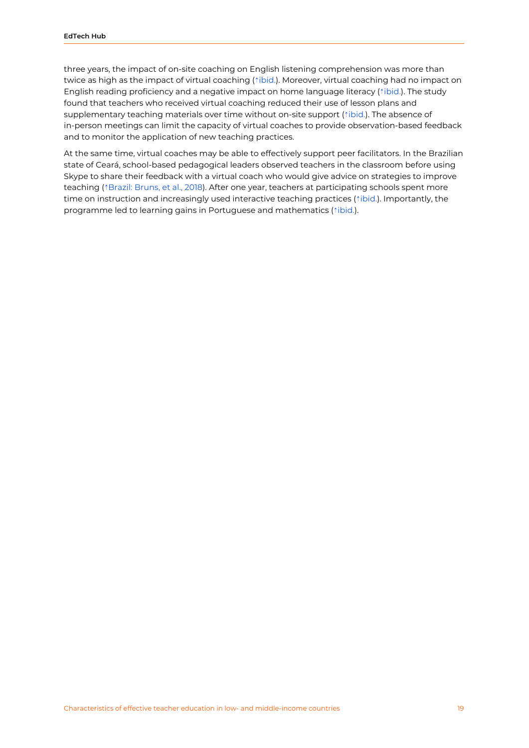three years, the impact of on-site coaching on English listening comprehension was more than twice as high as the impact of virtual coaching (┆[ibid.\)](https://ref.opendeved.net/zo/zg/2405685/7/ZT5C342T/Cilliers,%20et%20al.,%202020). Moreover, virtual coaching had no impact on English reading proficiency and a negative impact on home language literacy (⇡[ibid.\)](https://ref.opendeved.net/zo/zg/2405685/7/ZT5C342T/Cilliers,%20et%20al.,%202020). The study found that teachers who received virtual coaching reduced their use of lesson plans and supplementary teaching materials over time without on-site support ( $\text{filo}.$ ). The absence of in-person meetings can limit the capacity of virtual coaches to provide observation-based feedback and to monitor the application of new teaching practices.

At the same time, virtual coaches may be able to effectively support peer facilitators. In the Brazilian state of Ceará, school-based pedagogical leaders observed teachers in the classroom before using Skype to share their feedback with a virtual coach who would give advice on strategies to improve teaching (⇡Brazil: [Bruns,](https://ref.opendeved.net/zo/zg/2405685/7/7A2ZCMGH/Brazil:%20Bruns,%20et%20al.,%202018) et al., 2018). After one year, teachers at participating schools spent more time on instruction and increasingly used interactive teaching practices ( $\dot{\text{tibid}}$ .). Importantly, the programme led to learning gains in Portuguese and mathematics ( $\dagger$ [ibid.](https://ref.opendeved.net/zo/zg/2405685/7/7A2ZCMGH/ibid.)).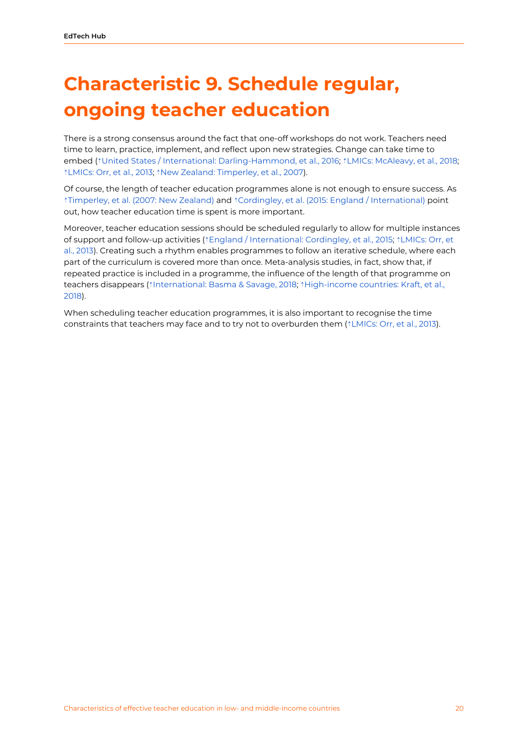# <span id="page-20-0"></span>**Characteristic 9. Schedule regular, ongoing teacher education**

There is a strong consensus around the fact that one-off workshops do not work. Teachers need time to learn, practice, implement, and reflect upon new strategies. Change can take time to embed (⇡United States / International: [Darling-Hammond,](https://ref.opendeved.net/zo/zg/2405685/7/3EICVTPU/United%20States%20/%20International:%20Darling-Hammond,%20et%20al.,%202016%E3%80%8Awarning:United%20States/International:%20Darling-Hammond,%20et%20al.,%202016%E3%80%8B) et al., 2016; ⇡LMICs: [McAleavy,](https://ref.opendeved.net/zo/zg/2405685/7/FXXS4882/LMICs:%20McAleavy,%20et%20al.,%202018%E3%80%8Awarning:Low-%20and%20middle-income%20countries:%20McAleavy,%20et%20al.,%202018%E3%80%8B) et al., 2018; ⇡[LMICs:](https://ref.opendeved.net/zo/zg/2405685/7/YAT9NL4R/LMICs:%20Orr,%20et%20al.,%202013%E3%80%8Awarning:Low-%20and%20middle-income%20countries:%20Orr,%20et%20al.,%202013%E3%80%8B) Orr, et al., 2013; ⇡New Zealand: [Timperley,](https://ref.opendeved.net/zo/zg/2405685/7/FUMAUAXK/New%20Zealand:%20Timperley,%20et%20al.,%202007) et al., 2007).

Of course, the length of teacher education programmes alone is not enough to ensure success. As ⇡[Timperley,](https://ref.opendeved.net/zo/zg/2405685/7/FUMAUAXK/Timperley,%20et%20al.%20(2007:%20New%20Zealand)%E3%80%8Awarning:New%20Zealand:%20Timperley,%20et%20al.%20(2007)%E3%80%8B) et al. (2007: New Zealand) and ⇡Cordingley, et al. (2015: England / [International\)](https://ref.opendeved.net/zo/zg/2405685/7/LLH3AAD5/Cordingley,%20et%20al.%20(2015:%20England%20/%20International)%E3%80%8Awarning:England/International:%20Cordingley,%20et%20al.%20(2015)%E3%80%8B) point out, how teacher education time is spent is more important.

Moreover, teacher education sessions should be scheduled regularly to allow for multiple instances of support and follow-up activities (⇡England / [International:](https://ref.opendeved.net/zo/zg/2405685/7/LLH3AAD5/England%20/%20International:%20Cordingley,%20et%20al.,%202015%E3%80%8Awarning:England/International:%20Cordingley,%20et%20al.,%202015%E3%80%8B) Cordingley, et al., 2015; ⇡[LMICs:](https://ref.opendeved.net/zo/zg/2405685/7/YAT9NL4R/LMICs:%20Orr,%20et%20al.,%202013%E3%80%8Awarning:Low-%20and%20middle-income%20countries:%20Orr,%20et%20al.,%202013%E3%80%8B) Orr, et al., [2013](https://ref.opendeved.net/zo/zg/2405685/7/YAT9NL4R/LMICs:%20Orr,%20et%20al.,%202013%E3%80%8Awarning:Low-%20and%20middle-income%20countries:%20Orr,%20et%20al.,%202013%E3%80%8B)). Creating such a rhythm enables programmes to follow an iterative schedule, where each part of the curriculum is covered more than once. Meta-analysis studies, in fact, show that, if repeated practice is included in a programme, the influence of the length of that programme on teachers disappears (⇡[International:](https://ref.opendeved.net/zo/zg/2405685/7/9XT28XJI/International:%20Basma%20&%20Savage,%202018%E3%80%8Awarning:%20International:%20Basma%20&%20Savage,%202018%E3%80%8B) Basma & Savage, 2018; ⇡[High-income](https://ref.opendeved.net/zo/zg/2405685/7/6L7LJIMQ/High-income%20countries:%20Kraft,%20et%20al.,%202018) countries: Kraft, et al., [2018](https://ref.opendeved.net/zo/zg/2405685/7/6L7LJIMQ/High-income%20countries:%20Kraft,%20et%20al.,%202018)).

When scheduling teacher education programmes, it is also important to recognise the time constraints that teachers may face and to try not to overburden them (*t[LMICs:](https://ref.opendeved.net/zo/zg/2405685/7/YAT9NL4R/LMICs:%20Orr,%20et%20al.,%202013%E3%80%8Awarning:Low-%20and%20middle-income%20countries:%20Orr,%20et%20al.,%202013%E3%80%8B) Orr, et al., 2013).*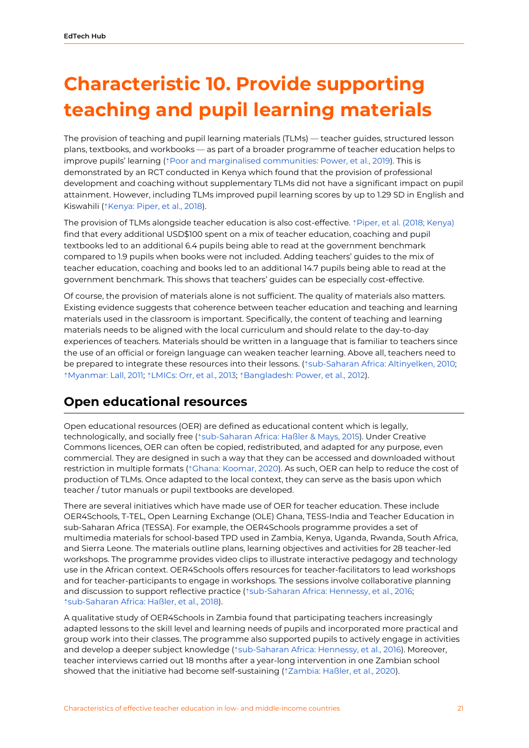# <span id="page-21-0"></span>**Characteristic 10. Provide supporting teaching and pupil learning materials**

The provision of teaching and pupil learning materials (TLMs) — teacher guides, structured lesson plans, textbooks, and workbooks — as part of a broader programme of teacher education helps to improve pupils' learning (⇡Poor and marginalised [communities:](https://ref.opendeved.net/zo/zg/2405685/7/26U2C9E5/Poor%20and%20marginalised%20communities:%20Power,%20et%20al.,%202019) Power, et al., 2019). This is demonstrated by an RCT conducted in Kenya which found that the provision of professional development and coaching without supplementary TLMs did not have a significant impact on pupil attainment. However, including TLMs improved pupil learning scores by up to 1.29 SD in English and Kiswahili (*<u>kenya: Piper, et al., 2018</u>*).

The provision of TLMs alongside teacher education is also cost-effective. ⇡Piper, et al. (2018; [Kenya\)](https://ref.opendeved.net/zo/zg/2405685/7/L36BGXMK/Piper,%20et%20al.%20(2018;%20Kenya)) find that every additional USD\$100 spent on a mix of teacher education, coaching and pupil textbooks led to an additional 6.4 pupils being able to read at the government benchmark compared to 1.9 pupils when books were not included. Adding teachers' guides to the mix of teacher education, coaching and books led to an additional 14.7 pupils being able to read at the government benchmark. This shows that teachers' guides can be especially cost-effective.

Of course, the provision of materials alone is not sufficient. The quality of materials also matters. Existing evidence suggests that coherence between teacher education and teaching and learning materials used in the classroom is important. Specifically, the content of teaching and learning materials needs to be aligned with the local curriculum and should relate to the day-to-day experiences of teachers. Materials should be written in a language that is familiar to teachers since the use of an official or foreign language can weaken teacher learning. Above all, teachers need to be prepared to integrate these resources into their lessons. (⇡[sub-Saharan](https://ref.opendeved.net/zo/zg/2405685/7/LE8JDQQF/sub-Saharan%20Africa:%20Altinyelken,%202010) Africa: Altinyelken, 2010; ⇡[Myanmar:](https://ref.opendeved.net/zo/zg/2405685/7/R89YSEAB/Myanmar:%20Lall,%202011) Lall, 2011; ⇡[LMICs:](https://ref.opendeved.net/zo/zg/2405685/7/YAT9NL4R/LMICs:%20Orr,%20et%20al.,%202013%E3%80%8Awarning:Low-%20and%20middle-income%20countries:%20Orr,%20et%20al.,%202013%E3%80%8B) Orr, et al., 2013; ⇡[Bangladesh:](https://ref.opendeved.net/zo/zg/2405685/7/2298G5YZ/Bangladesh:%20Power,%20et%20al.,%202012) Power, et al., 2012).

### <span id="page-21-1"></span>**Open educational resources**

Open educational resources (OER) are defined as educational content which is legally, technologically, and socially free ( $\dagger$ [sub-Saharan](https://ref.opendeved.net/zo/zg/2405685/7/UP7P7L2D/sub-Saharan%20Africa:%20Ha%C3%9Fler%20&%20Mays,%202015) Africa: Haßler & Mays, 2015). Under Creative Commons licences, OER can often be copied, redistributed, and adapted for any purpose, even commercial. They are designed in such a way that they can be accessed and downloaded without restriction in multiple formats (⇡Ghana: [Koomar,](https://ref.opendeved.net/zo/zg/2405685/7/7JSP4PFC/Ghana:%20Koomar,%202020) 2020). As such, OER can help to reduce the cost of production of TLMs. Once adapted to the local context, they can serve as the basis upon which teacher / tutor manuals or pupil textbooks are developed.

There are several initiatives which have made use of OER for teacher education. These include OER4Schools, T-TEL, Open Learning Exchange (OLE) Ghana, TESS-India and Teacher Education in sub-Saharan Africa (TESSA). For example, the OER4Schools programme provides a set of multimedia materials for school-based TPD used in Zambia, Kenya, Uganda, Rwanda, South Africa, and Sierra Leone. The materials outline plans, learning objectives and activities for 28 teacher-led workshops. The programme provides video clips to illustrate interactive pedagogy and technology use in the African context. OER4Schools offers resources for teacher-facilitators to lead workshops and for teacher-participants to engage in workshops. The sessions involve collaborative planning and discussion to support reflective practice ( $\text{tsub-Saharan Africa:}$  $\text{tsub-Saharan Africa:}$  $\text{tsub-Saharan Africa:}$  Hennessy, et al., 2016; t[sub-Saharan](https://ref.opendeved.net/zo/zg/2405685/7/NZ3GKZCR/sub-Saharan%20Africa:%20Ha%C3%9Fler,%20et%20al.,%202018) Africa: Haßler, et al., 2018).

A qualitative study of OER4Schools in Zambia found that participating teachers increasingly adapted lessons to the skill level and learning needs of pupils and incorporated more practical and group work into their classes. The programme also supported pupils to actively engage in activities and develop a deeper subject knowledge (⇡[sub-Saharan](https://ref.opendeved.net/zo/zg/2405685/7/NAJLZ3FE/sub-Saharan%20Africa:%20Hennessy,%20et%20al.,%202016) Africa: Hennessy, et al., 2016). Moreover, teacher interviews carried out 18 months after a year-long intervention in one Zambian school showed that the initiative had become self-sustaining (⇡[Zambia:](https://ref.opendeved.net/zo/zg/2405685/7/V7S2E5AQ/Zambia:%20Ha%C3%9Fler,%20et%20al.,%202020) Haßler, et al., 2020).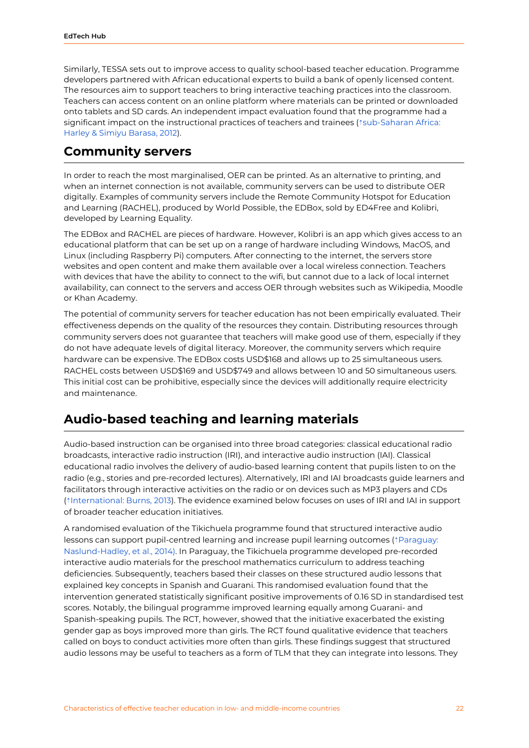Similarly, TESSA sets out to improve access to quality school-based teacher education. Programme developers partnered with African educational experts to build a bank of openly licensed content. The resources aim to support teachers to bring interactive teaching practices into the classroom. Teachers can access content on an online platform where materials can be printed or downloaded onto tablets and SD cards. An independent impact evaluation found that the programme had a significant impact on the instructional practices of teachers and trainees ( $\text{tsub-Saharan Africa:}$  $\text{tsub-Saharan Africa:}$  $\text{tsub-Saharan Africa:}$ Harley & Simiyu [Barasa,](https://ref.opendeved.net/zo/zg/2405685/7/X4HFGDN9/sub-Saharan%20Africa:%20Harley%20&%20Simiyu%20Barasa,%202012) 2012).

#### <span id="page-22-0"></span>**Community servers**

In order to reach the most marginalised, OER can be printed. As an alternative to printing, and when an internet connection is not available, community servers can be used to distribute OER digitally. Examples of community servers include the Remote Community Hotspot for Education and Learning (RACHEL), produced by World Possible, the EDBox, sold by ED4Free and Kolibri, developed by Learning Equality.

The EDBox and RACHEL are pieces of hardware. However, Kolibri is an app which gives access to an educational platform that can be set up on a range of hardware including Windows, MacOS, and Linux (including Raspberry Pi) computers. After connecting to the internet, the servers store websites and open content and make them available over a local wireless connection. Teachers with devices that have the ability to connect to the wifi, but cannot due to a lack of local internet availability, can connect to the servers and access OER through websites such as Wikipedia, Moodle or Khan Academy.

The potential of community servers for teacher education has not been empirically evaluated. Their effectiveness depends on the quality of the resources they contain. Distributing resources through community servers does not guarantee that teachers will make good use of them, especially if they do not have adequate levels of digital literacy. Moreover, the community servers which require hardware can be expensive. The EDBox costs USD\$168 and allows up to 25 simultaneous users. RACHEL costs between USD\$169 and USD\$749 and allows between 10 and 50 simultaneous users. This initial cost can be prohibitive, especially since the devices will additionally require electricity and maintenance.

#### <span id="page-22-1"></span>**Audio-based teaching and learning materials**

Audio-based instruction can be organised into three broad categories: classical educational radio broadcasts, interactive radio instruction (IRI), and interactive audio instruction (IAI). Classical educational radio involves the delivery of audio-based learning content that pupils listen to on the radio (e.g., stories and pre-recorded lectures). Alternatively, IRI and IAI broadcasts guide learners and facilitators through interactive activities on the radio or on devices such as MP3 players and CDs (⇡[International:](https://ref.opendeved.net/zo/zg/2405685/7/QM54QTRZ/International:%20Burns,%202013) Burns, 2013). The evidence examined below focuses on uses of IRI and IAI in support of broader teacher education initiatives.

A randomised evaluation of the Tikichuela programme found that structured interactive audio lessons can support pupil-centred learning and increase pupil learning outcomes (⇡[Paraguay:](https://ref.opendeved.net/zo/zg/2405685/7/HRIPFXGZ/Paraguay:%20Naslund-Hadley,%20et%20al.,%202014)%E3%80%8Awarning:Naslund-Hadley,%20et%20al.%20%20(2014)%E3%80%8B) [Naslund-Hadley,](https://ref.opendeved.net/zo/zg/2405685/7/HRIPFXGZ/Paraguay:%20Naslund-Hadley,%20et%20al.,%202014)%E3%80%8Awarning:Naslund-Hadley,%20et%20al.%20%20(2014)%E3%80%8B) et al., 2014). In Paraguay, the Tikichuela programme developed pre-recorded interactive audio materials for the preschool mathematics curriculum to address teaching deficiencies. Subsequently, teachers based their classes on these structured audio lessons that explained key concepts in Spanish and Guarani. This randomised evaluation found that the intervention generated statistically significant positive improvements of 0.16 SD in standardised test scores. Notably, the bilingual programme improved learning equally among Guarani- and Spanish-speaking pupils. The RCT, however, showed that the initiative exacerbated the existing gender gap as boys improved more than girls. The RCT found qualitative evidence that teachers called on boys to conduct activities more often than girls. These findings suggest that structured audio lessons may be useful to teachers as a form of TLM that they can integrate into lessons. They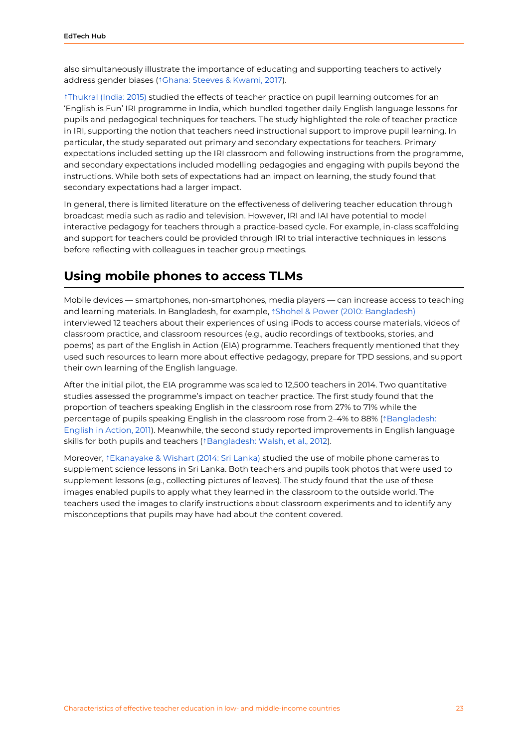also simultaneously illustrate the importance of educating and supporting teachers to actively address gender biases (⇡Ghana: [Steeves](https://ref.opendeved.net/zo/zg/2405685/7/EHX857GT/Ghana:%20Steeves%20&%20Kwami,%202017) & Kwami, 2017).

⇡[Thukral](https://ref.opendeved.net/zo/zg/2405685/7/KFPFIAFG/Thukral%20(India:%202015)) (India: 2015) studied the effects of teacher practice on pupil learning outcomes for an 'English is Fun' IRI programme in India, which bundled together daily English language lessons for pupils and pedagogical techniques for teachers. The study highlighted the role of teacher practice in IRI, supporting the notion that teachers need instructional support to improve pupil learning. In particular, the study separated out primary and secondary expectations for teachers. Primary expectations included setting up the IRI classroom and following instructions from the programme, and secondary expectations included modelling pedagogies and engaging with pupils beyond the instructions. While both sets of expectations had an impact on learning, the study found that secondary expectations had a larger impact.

In general, there is limited literature on the effectiveness of delivering teacher education through broadcast media such as radio and television. However, IRI and IAI have potential to model interactive pedagogy for teachers through a practice-based cycle. For example, in-class scaffolding and support for teachers could be provided through IRI to trial interactive techniques in lessons before reflecting with colleagues in teacher group meetings.

#### <span id="page-23-0"></span>**Using mobile phones to access TLMs**

Mobile devices — smartphones, non-smartphones, media players — can increase access to teaching and learning materials. In Bangladesh, for example, *†Shohel & Power (2010: [Bangladesh\)](https://ref.opendeved.net/zo/zg/2405685/7/UTNGW9R7/Shohel%20&%20Power%20(2010:%20Bangladesh)%E3%80%8Awarning:Bangladesh:%20Shohel%20&%20Power%20%20(2010)%E3%80%8B)* interviewed 12 teachers about their experiences of using iPods to access course materials, videos of classroom practice, and classroom resources (e.g., audio recordings of textbooks, stories, and poems) as part of the English in Action (EIA) programme. Teachers frequently mentioned that they used such resources to learn more about effective pedagogy, prepare for TPD sessions, and support their own learning of the English language.

After the initial pilot, the EIA programme was scaled to 12,500 teachers in 2014. Two quantitative studies assessed the programme's impact on teacher practice. The first study found that the proportion of teachers speaking English in the classroom rose from 27% to 71% while the percentage of pupils speaking English in the classroom rose from 2–4% to 88% (⇡[Bangladesh:](https://ref.opendeved.net/zo/zg/2405685/7/6D7Y5AC8/Bangladesh:%20English%20in%20Action,%202011) [English](https://ref.opendeved.net/zo/zg/2405685/7/6D7Y5AC8/Bangladesh:%20English%20in%20Action,%202011) in Action, 2011). Meanwhile, the second study reported improvements in English language skills for both pupils and teachers (↑[Bangladesh:](https://ref.opendeved.net/zo/zg/2405685/7/XPZGL85X/Bangladesh:%20Walsh,%20et%20al.,%202012) Walsh, et al., 2012).

Moreover, ⇡[Ekanayake](https://ref.opendeved.net/zo/zg/2405685/7/RFWQKYW5/Ekanayake%20&%20Wishart%20(2014:%20Sri%20Lanka)) & Wishart (2014: Sri Lanka) studied the use of mobile phone cameras to supplement science lessons in Sri Lanka. Both teachers and pupils took photos that were used to supplement lessons (e.g., collecting pictures of leaves). The study found that the use of these images enabled pupils to apply what they learned in the classroom to the outside world. The teachers used the images to clarify instructions about classroom experiments and to identify any misconceptions that pupils may have had about the content covered.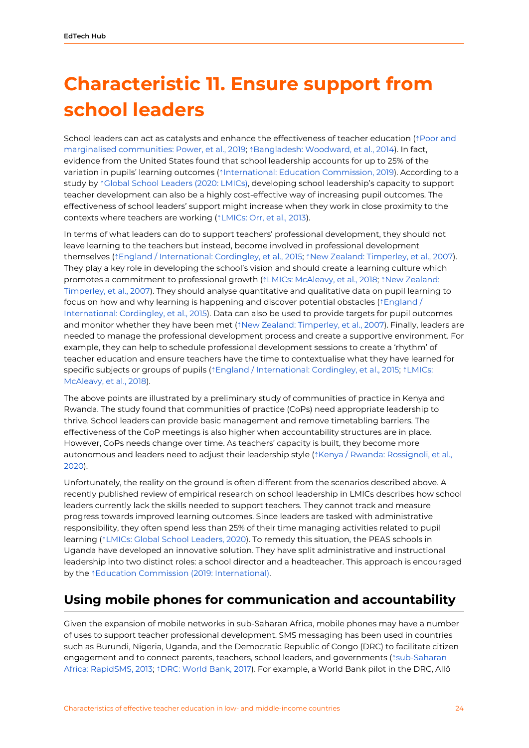## <span id="page-24-0"></span>**Characteristic 11. Ensure support from school leaders**

School leaders can act as catalysts and enhance the effectiveness of teacher education (⇡[Poor](https://ref.opendeved.net/zo/zg/2405685/7/26U2C9E5/Poor%20and%20marginalised%20communities:%20Power,%20et%20al.,%202019) and marginalised [communities:](https://ref.opendeved.net/zo/zg/2405685/7/26U2C9E5/Poor%20and%20marginalised%20communities:%20Power,%20et%20al.,%202019) Power, et al., 2019; ⇡[Bangladesh:](https://ref.opendeved.net/zo/zg/2405685/7/VLPHGQ5H/Bangladesh:%20Woodward,%20et%20al.,%202014) Woodward, et al., 2014). In fact, evidence from the United States found that school leadership accounts for up to 25% of the variation in pupils' learning outcomes (⇡[International:](https://ref.opendeved.net/zo/zg/2405685/7/7JBG673D/International:%20Education%20Commission,%202019%E3%80%8Awarning:%20International:%20Education%20Commission,%202019%E3%80%8B) Education Commission, 2019). According to a study by ⇡Global School [Leaders](https://ref.opendeved.net/zo/zg/2405685/7/R5CJNHL6/Global%20School%20Leaders%20(2020:%20LMICs)%E3%80%8Awarning:Global%20School%20Leaders%20(2020:%20Low-%20and%20middle-income%20countries)%E3%80%8B) (2020: LMICs), developing school leadership's capacity to support teacher development can also be a highly cost-effective way of increasing pupil outcomes. The effectiveness of school leaders' support might increase when they work in close proximity to the contexts where teachers are working (⇡[LMICs:](https://ref.opendeved.net/zo/zg/2405685/7/YAT9NL4R/LMICs:%20Orr,%20et%20al.,%202013%E3%80%8Awarning:Low-%20and%20middle-income%20countries:%20Orr,%20et%20al.,%202013%E3%80%8B) Orr, et al., 2013).

In terms of what leaders can do to support teachers' professional development, they should not leave learning to the teachers but instead, become involved in professional development themselves (⇡England / [International:](https://ref.opendeved.net/zo/zg/2405685/7/LLH3AAD5/England%20/%20International:%20Cordingley,%20et%20al.,%202015) Cordingley, et al., 2015; ⇡New Zealand: [Timperley,](https://ref.opendeved.net/zo/zg/2405685/7/FUMAUAXK/New%20Zealand:%20Timperley,%20et%20al.,%202007) et al., 2007). They play a key role in developing the school's vision and should create a learning culture which promotes a commitment to professional growth (<sup>↑</sup>LMICs: [McAleavy,](https://ref.opendeved.net/zo/zg/2405685/7/FXXS4882/LMICs:%20McAleavy,%20et%20al.,%202018%E3%80%8Awarning:Low-%20and%20middle-income%20countries:%20McAleavy,%20et%20al.,%202018%E3%80%8B) et al., 2018; ↑New [Zealand:](https://ref.opendeved.net/zo/zg/2405685/7/FUMAUAXK/New%20Zealand:%20Timperley,%20et%20al.,%202007) [Timperley,](https://ref.opendeved.net/zo/zg/2405685/7/FUMAUAXK/New%20Zealand:%20Timperley,%20et%20al.,%202007) et al., 2007). They should analyse quantitative and qualitative data on pupil learning to focus on how and why learning is happening and discover potential obstacles ( $\text{fEngland}/$  $\text{fEngland}/$  $\text{fEngland}/$ [International:](https://ref.opendeved.net/zo/zg/2405685/7/LLH3AAD5/England%20/%20International:%20Cordingley,%20et%20al.,%202015) Cordingley, et al., 2015). Data can also be used to provide targets for pupil outcomes and monitor whether they have been met (*t* New Zealand: [Timperley,](https://ref.opendeved.net/zo/zg/2405685/7/FUMAUAXK/New%20Zealand:%20Timperley,%20et%20al.,%202007) et al., 2007). Finally, leaders are needed to manage the professional development process and create a supportive environment. For example, they can help to schedule professional development sessions to create a 'rhythm' of teacher education and ensure teachers have the time to contextualise what they have learned for specific subjects or groups of pupils ( $\dagger$ England / [International:](https://ref.opendeved.net/zo/zg/2405685/7/LLH3AAD5/England%20/%20International:%20Cordingley,%20et%20al.,%202015) Cordingley, et al., 2015;  $\dagger$ [LMICs:](https://ref.opendeved.net/zo/zg/2405685/7/FXXS4882/LMICs:%20McAleavy,%20et%20al.,%202018%E3%80%8Awarning:Low-%20and%20middle-income%20countries:%20McAleavy,%20et%20al.,%202018%E3%80%8B) [McAleavy,](https://ref.opendeved.net/zo/zg/2405685/7/FXXS4882/LMICs:%20McAleavy,%20et%20al.,%202018%E3%80%8Awarning:Low-%20and%20middle-income%20countries:%20McAleavy,%20et%20al.,%202018%E3%80%8B) et al., 2018).

The above points are illustrated by a preliminary study of communities of practice in Kenya and Rwanda. The study found that communities of practice (CoPs) need appropriate leadership to thrive. School leaders can provide basic management and remove timetabling barriers. The effectiveness of the CoP meetings is also higher when accountability structures are in place. However, CoPs needs change over time. As teachers' capacity is built, they become more autonomous and leaders need to adjust their leadership style ( $\uparrow$ Kenya / Rwanda: [Rossignoli,](https://ref.opendeved.net/zo/zg/2405685/7/WFJZTGQZ/Rossignoli,%20et%20al.,%202020) et al., [2020\)](https://ref.opendeved.net/zo/zg/2405685/7/WFJZTGQZ/Rossignoli,%20et%20al.,%202020).

Unfortunately, the reality on the ground is often different from the scenarios described above. A recently published review of empirical research on school leadership in LMICs describes how school leaders currently lack the skills needed to support teachers. They cannot track and measure progress towards improved learning outcomes. Since leaders are tasked with administrative responsibility, they often spend less than 25% of their time managing activities related to pupil learning (⇡LMICs: Global School [Leaders,](https://ref.opendeved.net/zo/zg/2405685/7/R5CJNHL6/Global%20School%20Leaders,%202020) 2020). To remedy this situation, the PEAS schools in Uganda have developed an innovative solution. They have split administrative and instructional leadership into two distinct roles: a school director and a headteacher. This approach is encouraged by the *<u>\*Education Commission</u>* (2019: [International\).](https://ref.opendeved.net/zo/zg/2405685/7/7JBG673D/Education%20Commission%20(2019:%20International)%E3%80%8Awarning:%20International:%20Education%20Commission,%202019%E3%80%8B)

### <span id="page-24-1"></span>**Using mobile phones for communication and accountability**

Given the expansion of mobile networks in sub-Saharan Africa, mobile phones may have a number of uses to support teacher professional development. SMS messaging has been used in countries such as Burundi, Nigeria, Uganda, and the Democratic Republic of Congo (DRC) to facilitate citizen engagement and to connect parents, teachers, school leaders, and governments ( $\epsilon$ [sub-Saharan](https://ref.opendeved.net/zo/zg/2405685/7/FZNZL6J7/sub-Saharan%20Africa:%20RapidSMS,%202013) Africa: [RapidSMS,](https://ref.opendeved.net/zo/zg/2405685/7/FZNZL6J7/sub-Saharan%20Africa:%20RapidSMS,%202013) 2013; ⇡DRC: [World](https://ref.opendeved.net/zo/zg/2405685/7/AALGLPHJ/DRC:%20World%20Bank,%202017) Bank, 2017). For example, a World Bank pilot in the DRC, Allô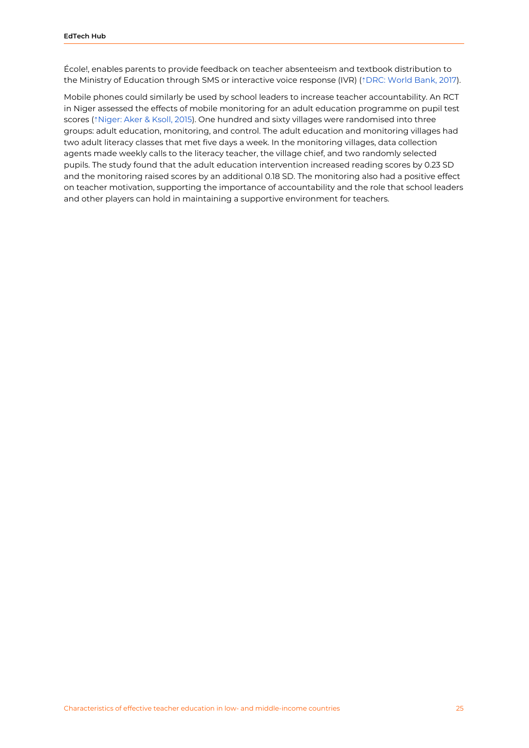École!, enables parents to provide feedback on teacher absenteeism and textbook distribution to the Ministry of Education through SMS or interactive voice response (IVR) ( $\text{`DRC:}$  [World](https://ref.opendeved.net/zo/zg/2405685/7/AALGLPHJ/DRC:%20World%20Bank,%202017) Bank, 2017).

Mobile phones could similarly be used by school leaders to increase teacher accountability. An RCT in Niger assessed the effects of mobile monitoring for an adult education programme on pupil test scores (⇡[Niger:](https://ref.opendeved.net/zo/zg/2405685/7/BINXNTZ6/Niger:%20Aker%20&%20Ksoll,%202015) Aker & Ksoll, 2015). One hundred and sixty villages were randomised into three groups: adult education, monitoring, and control. The adult education and monitoring villages had two adult literacy classes that met five days a week. In the monitoring villages, data collection agents made weekly calls to the literacy teacher, the village chief, and two randomly selected pupils. The study found that the adult education intervention increased reading scores by 0.23 SD and the monitoring raised scores by an additional 0.18 SD. The monitoring also had a positive effect on teacher motivation, supporting the importance of accountability and the role that school leaders and other players can hold in maintaining a supportive environment for teachers.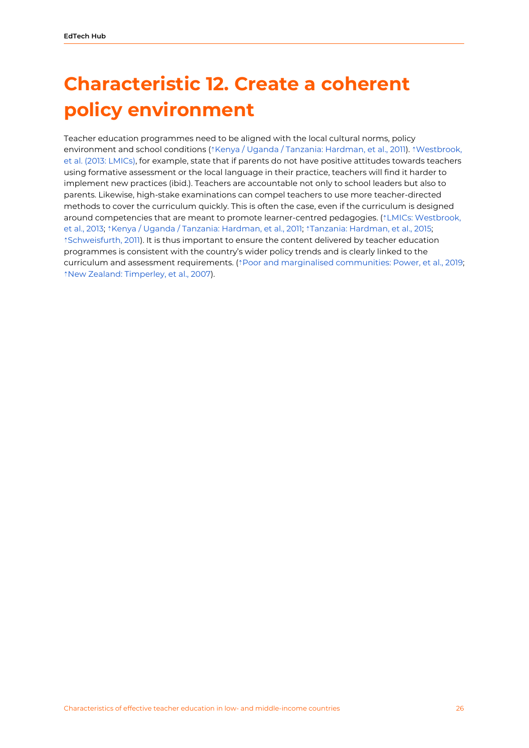## <span id="page-26-0"></span>**Characteristic 12. Create a coherent policy environment**

Teacher education programmes need to be aligned with the local cultural norms, policy environment and school conditions (⇡Kenya / Uganda / Tanzania: [Hardman,](https://ref.opendeved.net/zo/zg/2405685/7/J57J3RGT/Kenya%20/%20Uganda%20/%20Tanzania:%20Hardman,%20et%20al.,%202011) et al., 2011). ⇡[Westbrook,](https://ref.opendeved.net/zo/zg/2405685/7/C85ZIVDI/Westbrook,%20et%20al.%20(2013:%20LMICs)%E3%80%8Awarning:%20Westbrook,%20et%20al.%20(Low-%20and%20middle-income%20countries:%202013)%E3%80%8B) et al. (2013: [LMICs\)](https://ref.opendeved.net/zo/zg/2405685/7/C85ZIVDI/Westbrook,%20et%20al.%20(2013:%20LMICs)%E3%80%8Awarning:%20Westbrook,%20et%20al.%20(Low-%20and%20middle-income%20countries:%202013)%E3%80%8B), for example, state that if parents do not have positive attitudes towards teachers using formative assessment or the local language in their practice, teachers will find it harder to implement new practices (ibid.). Teachers are accountable not only to school leaders but also to parents. Likewise, high-stake examinations can compel teachers to use more teacher-directed methods to cover the curriculum quickly. This is often the case, even if the curriculum is designed around competencies that are meant to promote learner-centred pedagogies. ( $\uparrow$ LMICs: [Westbrook,](https://ref.opendeved.net/zo/zg/2405685/7/C85ZIVDI/Low-%20and%20middle-income%20countries:%20Westbrook,%20et%20al.,%202013) et al., [2013;](https://ref.opendeved.net/zo/zg/2405685/7/C85ZIVDI/Low-%20and%20middle-income%20countries:%20Westbrook,%20et%20al.,%202013) ⇡Kenya / Uganda / Tanzania: [Hardman,](https://ref.opendeved.net/zo/zg/2405685/7/J57J3RGT/Kenya%20/%20Uganda%20/%20Tanzania:%20Hardman,%20et%20al.,%202011) et al., 2011; ⇡Tanzania: [Hardman,](https://ref.opendeved.net/zo/zg/2405685/7/N44VX4DB/Tanzania:%20Hardman,%20et%20al.,%202015) et al., 2015; ⇡[Schweisfurth,](https://ref.opendeved.net/zo/zg/2405685/7/LDEHPJCR/Schweisfurth,%202011) 2011). It is thus important to ensure the content delivered by teacher education programmes is consistent with the country's wider policy trends and is clearly linked to the curriculum and assessment requirements. (⇡Poor and marginalised [communities:](https://ref.opendeved.net/zo/zg/2405685/7/26U2C9E5/Poor%20and%20marginalised%20communities:%20Power,%20et%20al.,%202019) Power, et al., 2019; ⇡New Zealand: [Timperley,](https://ref.opendeved.net/zo/zg/2405685/7/FUMAUAXK/New%20Zealand:%20Timperley,%20et%20al.,%202007) et al., 2007).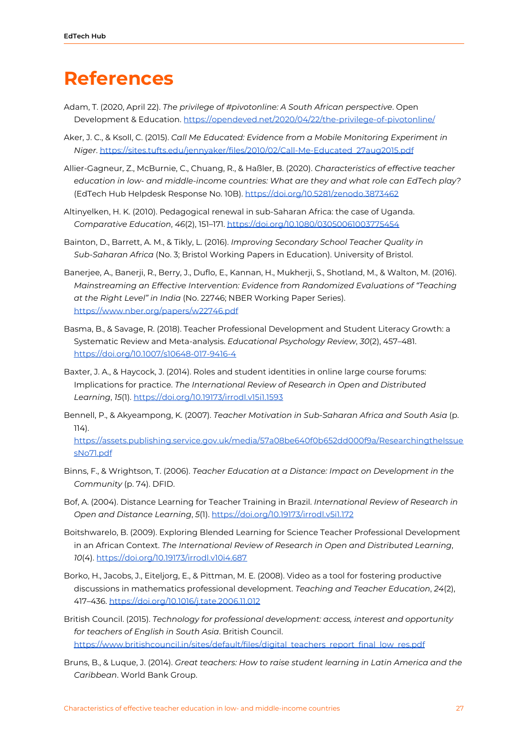### <span id="page-27-0"></span>**References**

- Adam, T. (2020, April 22). *The privilege of #pivotonline: A South African perspective*. Open Development & Education[.](https://opendeved.net/2020/04/22/the-privilege-of-pivotonline/) <https://opendeved.net/2020/04/22/the-privilege-of-pivotonline/>
- Aker, J. C., & Ksoll, C. (2015). *Call Me Educated: Evidence from a Mobile Monitoring Experiment in Niger*. [https://sites.tufts.edu/jennyaker/files/2010/02/Call-Me-Educated\\_27aug2015.pdf](https://sites.tufts.edu/jennyaker/files/2010/02/Call-Me-Educated_27aug2015.pdf)
- Allier-Gagneur, Z., McBurnie, C., Chuang, R., & Haßler, B. (2020). *Characteristics of effective teacher education in low- and middle-income countries: What are they and what role can EdTech play?* (EdTech Hub Helpdesk Response No. 10B). <https://doi.org/10.5281/zenodo.3873462>
- Altinyelken, H. K. (2010). Pedagogical renewal in sub‐Saharan Africa: the case of Uganda. *Comparative Education*, *46*(2), 151–171. <https://doi.org/10.1080/03050061003775454>
- Bainton, D., Barrett, A. M., & Tikly, L. (2016). *Improving Secondary School Teacher Quality in Sub-Saharan Africa* (No. 3; Bristol Working Papers in Education). University of Bristol.
- Banerjee, A., Banerji, R., Berry, J., Duflo, E., Kannan, H., Mukherji, S., Shotland, M., & Walton, M. (2016). *Mainstreaming an Effective Intervention: Evidence from Randomized Evaluations of "Teaching at the Right Level" in India* (No. 22746; NBER Working Paper Series). <https://www.nber.org/papers/w22746.pdf>
- Basma, B., & Savage, R. (2018). Teacher Professional Development and Student Literacy Growth: a Systematic Review and Meta-analysis. *Educational Psychology Review*, *30*(2), 457–481. <https://doi.org/10.1007/s10648-017-9416-4>
- Baxter, J. A., & Haycock, J. (2014). Roles and student identities in online large course forums: Implications for practice. *The International Review of Research in Open and Distributed Learning*, *15*(1). <https://doi.org/10.19173/irrodl.v15i1.1593>
- Bennell, P., & Akyeampong, K. (2007). *Teacher Motivation in Sub-Saharan Africa and South Asia* (p. 114).

[https://assets.publishing.service.gov.uk/media/57a08be640f0b652dd000f9a/ResearchingtheIssue](https://assets.publishing.service.gov.uk/media/57a08be640f0b652dd000f9a/ResearchingtheIssuesNo71.pdf) [sNo71.pdf](https://assets.publishing.service.gov.uk/media/57a08be640f0b652dd000f9a/ResearchingtheIssuesNo71.pdf)

- Binns, F., & Wrightson, T. (2006). *Teacher Education at a Distance: Impact on Development in the Community* (p. 74). DFID.
- Bof, A. (2004). Distance Learning for Teacher Training in Brazil. *International Review of Research in Open and Distance Learning*, *5*(1). <https://doi.org/10.19173/irrodl.v5i1.172>
- Boitshwarelo, B. (2009). Exploring Blended Learning for Science Teacher Professional Development in an African Context. *The International Review of Research in Open and Distributed Learning*, *10*(4). <https://doi.org/10.19173/irrodl.v10i4.687>
- Borko, H., Jacobs, J., Eiteljorg, E., & Pittman, M. E. (2008). Video as a tool for fostering productive discussions in mathematics professional development. *Teaching and Teacher Education*, *24*(2), 417–436. <https://doi.org/10.1016/j.tate.2006.11.012>
- British Council. (2015). *Technology for professional development: access, interest and opportunity for teachers of English in South Asia*. British Council[.](https://www.britishcouncil.in/sites/default/files/digital_teachers_report_final_low_res.pdf) [https://www.britishcouncil.in/sites/default/files/digital\\_teachers\\_report\\_final\\_low\\_res.pdf](https://www.britishcouncil.in/sites/default/files/digital_teachers_report_final_low_res.pdf)
- Bruns, B., & Luque, J. (2014). *Great teachers: How to raise student learning in Latin America and the Caribbean*. World Bank Group[.](https://www.worldbank.org/content/dam/Worldbank/document/LAC/Great_Teachers-How_to_Raise_Student_Learning-Barbara-Bruns-Advance%20Edition.pdf)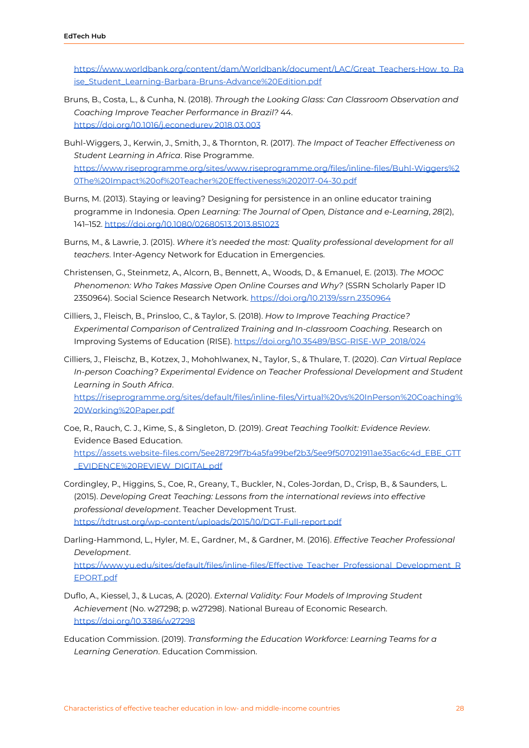[https://www.worldbank.org/content/dam/Worldbank/document/LAC/Great\\_Teachers-How\\_to\\_Ra](https://www.worldbank.org/content/dam/Worldbank/document/LAC/Great_Teachers-How_to_Raise_Student_Learning-Barbara-Bruns-Advance%20Edition.pdf) [ise\\_Student\\_Learning-Barbara-Bruns-Advance%20Edition.pdf](https://www.worldbank.org/content/dam/Worldbank/document/LAC/Great_Teachers-How_to_Raise_Student_Learning-Barbara-Bruns-Advance%20Edition.pdf)

- Bruns, B., Costa, L., & Cunha, N. (2018). *Through the Looking Glass: Can Classroom Observation and Coaching Improve Teacher Performance in Brazil?* 44[.](https://doi.org/10.1016/j.econedurev.2018.03.003) <https://doi.org/10.1016/j.econedurev.2018.03.003>
- Buhl-Wiggers, J., Kerwin, J., Smith, J., & Thornton, R. (2017). *The Impact of Teacher Effectiveness on Student Learning in Africa*. Rise Programme[.](https://www.riseprogramme.org/sites/www.riseprogramme.org/files/inline-files/Buhl-Wiggers%20The%20Impact%20of%20Teacher%20Effectiveness%202017-04-30.pdf) [https://www.riseprogramme.org/sites/www.riseprogramme.org/files/inline-files/Buhl-Wiggers%2](https://www.riseprogramme.org/sites/www.riseprogramme.org/files/inline-files/Buhl-Wiggers%20The%20Impact%20of%20Teacher%20Effectiveness%202017-04-30.pdf) [0The%20Impact%20of%20Teacher%20Effectiveness%202017-04-30.pdf](https://www.riseprogramme.org/sites/www.riseprogramme.org/files/inline-files/Buhl-Wiggers%20The%20Impact%20of%20Teacher%20Effectiveness%202017-04-30.pdf)
- Burns, M. (2013). Staying or leaving? Designing for persistence in an online educator training programme in Indonesia. *Open Learning: The Journal of Open, Distance and e-Learning*, *28*(2), 141–152. <https://doi.org/10.1080/02680513.2013.851023>
- Burns, M., & Lawrie, J. (2015). *Where it's needed the most: Quality professional development for all teachers*. Inter-Agency Network for Education in Emergencies.
- Christensen, G., Steinmetz, A., Alcorn, B., Bennett, A., Woods, D., & Emanuel, E. (2013). *The MOOC Phenomenon: Who Takes Massive Open Online Courses and Why?* (SSRN Scholarly Paper ID 2350964). Social Science Research Network[.](https://doi.org/10.2139/ssrn.2350964) <https://doi.org/10.2139/ssrn.2350964>
- Cilliers, J., Fleisch, B., Prinsloo, C., & Taylor, S. (2018). *How to Improve Teaching Practice? Experimental Comparison of Centralized Training and In-classroom Coaching*. Research on Improving Systems of Education (RISE). [https://doi.org/10.35489/BSG-RISE-WP\\_2018/024](https://doi.org/10.35489/BSG-RISE-WP_2018/024)
- Cilliers, J., Fleischz, B., Kotzex, J., Mohohlwanex, N., Taylor, S., & Thulare, T. (2020). *Can Virtual Replace In-person Coaching? Experimental Evidence on Teacher Professional Development and Student Learning in South Africa*.

[https://riseprogramme.org/sites/default/files/inline-files/Virtual%20vs%20InPerson%20Coaching%](https://riseprogramme.org/sites/default/files/inline-files/Virtual%20vs%20InPerson%20Coaching%20Working%20Paper.pdf) [20Working%20Paper.pdf](https://riseprogramme.org/sites/default/files/inline-files/Virtual%20vs%20InPerson%20Coaching%20Working%20Paper.pdf)

- Coe, R., Rauch, C. J., Kime, S., & Singleton, D. (2019). *Great Teaching Toolkit: Evidence Review*. Evidence Based Education. [https://assets.website-files.com/5ee28729f7b4a5fa99bef2b3/5ee9f507021911ae35ac6c4d\\_EBE\\_GTT](https://assets.website-files.com/5ee28729f7b4a5fa99bef2b3/5ee9f507021911ae35ac6c4d_EBE_GTT_EVIDENCE%20REVIEW_DIGITAL.pdf) [\\_EVIDENCE%20REVIEW\\_DIGITAL.pdf](https://assets.website-files.com/5ee28729f7b4a5fa99bef2b3/5ee9f507021911ae35ac6c4d_EBE_GTT_EVIDENCE%20REVIEW_DIGITAL.pdf)
- Cordingley, P., Higgins, S., Coe, R., Greany, T., Buckler, N., Coles-Jordan, D., Crisp, B., & Saunders, L. (2015). *Developing Great Teaching: Lessons from the international reviews into effective professional development*. Teacher Development Trust. <https://tdtrust.org/wp-content/uploads/2015/10/DGT-Full-report.pdf>
- Darling-Hammond, L., Hyler, M. E., Gardner, M., & Gardner, M. (2016). *Effective Teacher Professional Development*[.](https://www.yu.edu/sites/default/files/inline-files/Effective_Teacher_Professional_Development_REPORT.pdf) [https://www.yu.edu/sites/default/files/inline-files/Effective\\_Teacher\\_Professional\\_Development\\_R](https://www.yu.edu/sites/default/files/inline-files/Effective_Teacher_Professional_Development_REPORT.pdf) [EPORT.pdf](https://www.yu.edu/sites/default/files/inline-files/Effective_Teacher_Professional_Development_REPORT.pdf)
- Duflo, A., Kiessel, J., & Lucas, A. (2020). *External Validity: Four Models of Improving Student Achievement* (No. w27298; p. w27298). National Bureau of Economic Research. <https://doi.org/10.3386/w27298>
- Education Commission. (2019). *Transforming the Education Workforce: Learning Teams for a Learning Generation*. Education Commission[.](https://educationcommission.org/wp-content/uploads/2019/09/Transforming-the-Education-Workforce-Full-Report.pdf)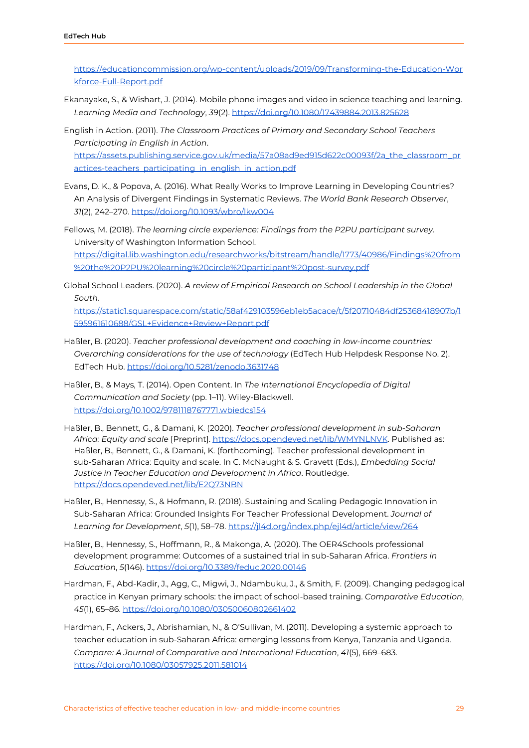[https://educationcommission.org/wp-content/uploads/2019/09/Transforming-the-Education-Wor](https://educationcommission.org/wp-content/uploads/2019/09/Transforming-the-Education-Workforce-Full-Report.pdf) [kforce-Full-Report.pdf](https://educationcommission.org/wp-content/uploads/2019/09/Transforming-the-Education-Workforce-Full-Report.pdf)

- Ekanayake, S., & Wishart, J. (2014). Mobile phone images and video in science teaching and learning. *Learning Media and Technology*, *39*(2)[.](https://doi.org/10.1080/17439884.2013.825628) <https://doi.org/10.1080/17439884.2013.825628>
- English in Action. (2011). *The Classroom Practices of Primary and Secondary School Teachers Participating in English in Action*[.](https://assets.publishing.service.gov.uk/media/57a08ad9ed915d622c00093f/2a_the_classroom_practices-teachers_participating_in_english_in_action.pdf) [https://assets.publishing.service.gov.uk/media/57a08ad9ed915d622c00093f/2a\\_the\\_classroom\\_pr](https://assets.publishing.service.gov.uk/media/57a08ad9ed915d622c00093f/2a_the_classroom_practices-teachers_participating_in_english_in_action.pdf) [actices-teachers\\_participating\\_in\\_english\\_in\\_action.pdf](https://assets.publishing.service.gov.uk/media/57a08ad9ed915d622c00093f/2a_the_classroom_practices-teachers_participating_in_english_in_action.pdf)
- Evans, D. K., & Popova, A. (2016). What Really Works to Improve Learning in Developing Countries? An Analysis of Divergent Findings in Systematic Reviews. *The World Bank Research Observer*, *31*(2), 242–270. <https://doi.org/10.1093/wbro/lkw004>
- Fellows, M. (2018). *The learning circle experience: Findings from the P2PU participant survey*. University of Washington Information School[.](https://digital.lib.washington.edu/researchworks/bitstream/handle/1773/40986/Findings%20from%20the%20P2PU%20learning%20circle%20participant%20post-survey.pdf) [https://digital.lib.washington.edu/researchworks/bitstream/handle/1773/40986/Findings%20from](https://digital.lib.washington.edu/researchworks/bitstream/handle/1773/40986/Findings%20from%20the%20P2PU%20learning%20circle%20participant%20post-survey.pdf) [%20the%20P2PU%20learning%20circle%20participant%20post-survey.pdf](https://digital.lib.washington.edu/researchworks/bitstream/handle/1773/40986/Findings%20from%20the%20P2PU%20learning%20circle%20participant%20post-survey.pdf)
- Global School Leaders. (2020). *A review of Empirical Research on School Leadership in the Global South*.

[https://static1.squarespace.com/static/58af429103596eb1eb5acace/t/5f20710484df25368418907b/1](https://static1.squarespace.com/static/58af429103596eb1eb5acace/t/5f20710484df25368418907b/1595961610688/GSL+Evidence+Review+Report.pdf) [595961610688/GSL+Evidence+Review+Report.pdf](https://static1.squarespace.com/static/58af429103596eb1eb5acace/t/5f20710484df25368418907b/1595961610688/GSL+Evidence+Review+Report.pdf)

- Haßler, B. (2020). *Teacher professional development and coaching in low-income countries: Overarching considerations for the use of technology* (EdTech Hub Helpdesk Response No. 2). EdTech Hub. <https://doi.org/10.5281/zenodo.3631748>
- Haßler, B., & Mays, T. (2014). Open Content. In *The International Encyclopedia of Digital Communication and Society* (pp. 1–11). Wiley-Blackwell. <https://doi.org/10.1002/9781118767771.wbiedcs154>
- Haßler, B., Bennett, G., & Damani, K. (2020). *Teacher professional development in sub-Saharan Africa: Equity and scale* [Preprint][.](https://docs.opendeved.net/lib/WMYNLNVK) <https://docs.opendeved.net/lib/WMYNLNVK>. Published as: Haßler, B., Bennett, G., & Damani, K. (forthcoming). Teacher professional development in sub-Saharan Africa: Equity and scale. In C. McNaught & S. Gravett (Eds.), *Embedding Social Justice in Teacher Education and Development in Africa*. Routledge[.](https://docs.opendeved.net/lib/E2Q73NBN) <https://docs.opendeved.net/lib/E2Q73NBN>
- Haßler, B., Hennessy, S., & Hofmann, R. (2018). Sustaining and Scaling Pedagogic Innovation in Sub-Saharan Africa: Grounded Insights For Teacher Professional Development. *Journal of Learning for Development*, *5*(1), 58–78. <https://jl4d.org/index.php/ejl4d/article/view/264>
- Haßler, B., Hennessy, S., Hoffmann, R., & Makonga, A. (2020). The OER4Schools professional development programme: Outcomes of a sustained trial in sub-Saharan Africa. *Frontiers in Education*, *5*(146)[.](https://doi.org/10.3389/feduc.2020.00146) <https://doi.org/10.3389/feduc.2020.00146>
- Hardman, F., Abd‐Kadir, J., Agg, C., Migwi, J., Ndambuku, J., & Smith, F. (2009). Changing pedagogical practice in Kenyan primary schools: the impact of school‐based training. *Comparative Education*, *45*(1), 65–86[.](https://doi.org/10.1080/03050060802661402) <https://doi.org/10.1080/03050060802661402>
- Hardman, F., Ackers, J., Abrishamian, N., & O'Sullivan, M. (2011). Developing a systemic approach to teacher education in sub-Saharan Africa: emerging lessons from Kenya, Tanzania and Uganda. *Compare: A Journal of Comparative and International Education*, *41*(5), 669–683. <https://doi.org/10.1080/03057925.2011.581014>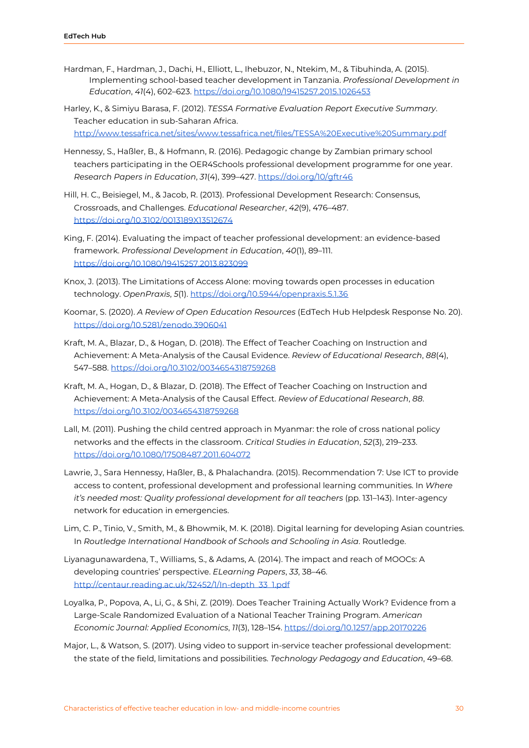- Hardman, F., Hardman, J., Dachi, H., Elliott, L., Ihebuzor, N., Ntekim, M., & Tibuhinda, A. (2015). Implementing school-based teacher development in Tanzania. *Professional Development in Education*, *41*(4), 602–623[.](https://doi.org/10.1080/19415257.2015.1026453) <https://doi.org/10.1080/19415257.2015.1026453>
- Harley, K., & Simiyu Barasa, F. (2012). *TESSA Formative Evaluation Report Executive Summary*. Teacher education in sub-Saharan Africa. <http://www.tessafrica.net/sites/www.tessafrica.net/files/TESSA%20Executive%20Summary.pdf>
- Hennessy, S., Haßler, B., & Hofmann, R. (2016). Pedagogic change by Zambian primary school teachers participating in the OER4Schools professional development programme for one year. *Research Papers in Education*, *31*(4), 399–427[.](https://doi.org/10/gftr46) <https://doi.org/10/gftr46>
- Hill, H. C., Beisiegel, M., & Jacob, R. (2013). Professional Development Research: Consensus, Crossroads, and Challenges. *Educational Researcher*, *42*(9), 476–487. <https://doi.org/10.3102/0013189X13512674>
- King, F. (2014). Evaluating the impact of teacher professional development: an evidence-based framework. *Professional Development in Education*, *40*(1), 89–111. <https://doi.org/10.1080/19415257.2013.823099>
- Knox, J. (2013). The Limitations of Access Alone: moving towards open processes in education technology. *OpenPraxis*, *5*(1). <https://doi.org/10.5944/openpraxis.5.1.36>
- Koomar, S. (2020). *A Review of Open Education Resources* (EdTech Hub Helpdesk Response No. 20). <https://doi.org/10.5281/zenodo.3906041>
- Kraft, M. A., Blazar, D., & Hogan, D. (2018). The Effect of Teacher Coaching on Instruction and Achievement: A Meta-Analysis of the Causal Evidence. *Review of Educational Research*, *88*(4), 547–588[.](https://doi.org/10.3102/0034654318759268) <https://doi.org/10.3102/0034654318759268>
- Kraft, M. A., Hogan, D., & Blazar, D. (2018). The Effect of Teacher Coaching on Instruction and Achievement: A Meta-Analysis of the Causal Effect. *Review of Educational Research*, *88*[.](https://doi.org/10.3102/0034654318759268) <https://doi.org/10.3102/0034654318759268>
- Lall, M. (2011). Pushing the child centred approach in Myanmar: the role of cross national policy networks and the effects in the classroom. *Critical Studies in Education*, *52*(3), 219–233. <https://doi.org/10.1080/17508487.2011.604072>
- Lawrie, J., Sara Hennessy, Haßler, B., & Phalachandra. (2015). Recommendation 7: Use ICT to provide access to content, professional development and professional learning communities. In *Where it's needed most: Quality professional development for all teachers* (pp. 131–143). Inter-agency network for education in emergencies.
- Lim, C. P., Tinio, V., Smith, M., & Bhowmik, M. K. (2018). Digital learning for developing Asian countries. In *Routledge International Handbook of Schools and Schooling in Asia*. Routledge.
- Liyanagunawardena, T., Williams, S., & Adams, A. (2014). The impact and reach of MOOCs: A developing countries' perspective. *ELearning Papers*, *33*, 38–46[.](http://centaur.reading.ac.uk/32452/1/In-depth_33_1.pdf) [http://centaur.reading.ac.uk/32452/1/In-depth\\_33\\_1.pdf](http://centaur.reading.ac.uk/32452/1/In-depth_33_1.pdf)
- Loyalka, P., Popova, A., Li, G., & Shi, Z. (2019). Does Teacher Training Actually Work? Evidence from a Large-Scale Randomized Evaluation of a National Teacher Training Program. *American Economic Journal: Applied Economics*, *11*(3), 128–154. <https://doi.org/10.1257/app.20170226>
- Major, L., & Watson, S. (2017). Using video to support in-service teacher professional development: the state of the field, limitations and possibilities. *Technology Pedagogy and Education*, 49–68[.](https://www.researchgate.net/publication/319423259_Using_video_to_support_in-service_teacher_professional_development_the_state_of_the_field_limitations_and_possibilities)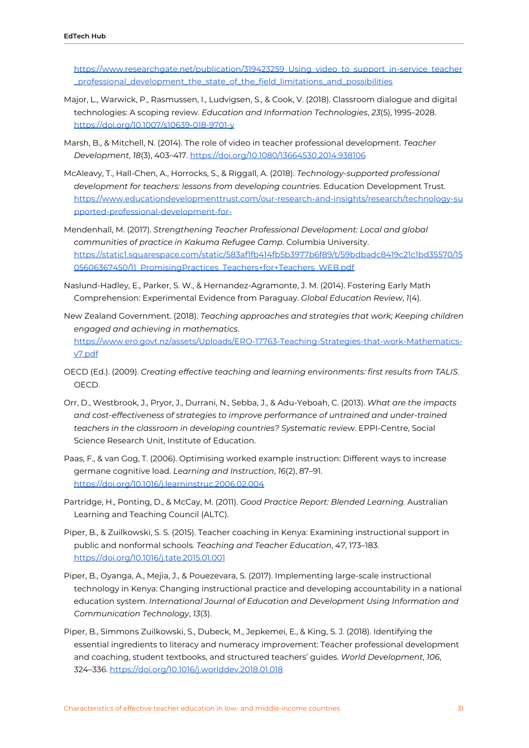[https://www.researchgate.net/publication/319423259\\_Using\\_video\\_to\\_support\\_in-service\\_teacher](https://www.researchgate.net/publication/319423259_Using_video_to_support_in-service_teacher_professional_development_the_state_of_the_field_limitations_and_possibilities) [\\_professional\\_development\\_the\\_state\\_of\\_the\\_field\\_limitations\\_and\\_possibilities](https://www.researchgate.net/publication/319423259_Using_video_to_support_in-service_teacher_professional_development_the_state_of_the_field_limitations_and_possibilities)

- Major, L., Warwick, P., Rasmussen, I., Ludvigsen, S., & Cook, V. (2018). Classroom dialogue and digital technologies: A scoping review. *Education and Information Technologies*, *23*(5), 1995–2028. <https://doi.org/10.1007/s10639-018-9701-y>
- Marsh, B., & Mitchell, N. (2014). The role of video in teacher professional development. *Teacher Development*, *18*(3), 403–417. <https://doi.org/10.1080/13664530.2014.938106>
- McAleavy, T., Hall-Chen, A., Horrocks, S., & Riggall, A. (2018). *Technology-supported professional development for teachers: lessons from developing countries*. Education Development Trust[.](https://www.educationdevelopmenttrust.com/our-research-and-insights/research/technology-supported-professional-development-for-) [https://www.educationdevelopmenttrust.com/our-research-and-insights/research/technology-su](https://www.educationdevelopmenttrust.com/our-research-and-insights/research/technology-supported-professional-development-for-) [pported-professional-development-for-](https://www.educationdevelopmenttrust.com/our-research-and-insights/research/technology-supported-professional-development-for-)
- Mendenhall, M. (2017). *Strengthening Teacher Professional Development: Local and global communities of practice in Kakuma Refugee Camp*. Columbia University. [https://static1.squarespace.com/static/583af1fb414fb5b3977b6f89/t/59bdbadc8419c21c1bd35570/15](https://static1.squarespace.com/static/583af1fb414fb5b3977b6f89/t/59bdbadc8419c21c1bd35570/1505606367450/11_PromisingPractices_Teachers+for+Teachers_WEB.pdf) 05606367450/11 PromisingPractices Teachers+for+Teachers WEB.pdf
- Naslund-Hadley, E., Parker, S. W., & Hernandez-Agramonte, J. M. (2014). Fostering Early Math Comprehension: Experimental Evidence from Paraguay. *Global Education Review*, *1*(4).
- New Zealand Government. (2018). *Teaching approaches and strategies that work; Keeping children engaged and achieving in mathematics*. [https://www.ero.govt.nz/assets/Uploads/ERO-17763-Teaching-Strategies-that-work-Mathematics](https://www.ero.govt.nz/assets/Uploads/ERO-17763-Teaching-Strategies-that-work-Mathematics-v7.pdf)[v7.pdf](https://www.ero.govt.nz/assets/Uploads/ERO-17763-Teaching-Strategies-that-work-Mathematics-v7.pdf)
- OECD (Ed.). (2009). *Creating effective teaching and learning environments: first results from TALIS*. OECD.
- Orr, D., Westbrook, J., Pryor, J., Durrani, N., Sebba, J., & Adu-Yeboah, C. (2013). *What are the impacts and cost-effectiveness of strategies to improve performance of untrained and under-trained teachers in the classroom in developing countries? Systematic review*. EPPI-Centre, Social Science Research Unit, Institute of Education.
- Paas, F., & van Gog, T. (2006). Optimising worked example instruction: Different ways to increase germane cognitive load. *Learning and Instruction*, *16*(2), 87–91[.](https://doi.org/10.1016/j.learninstruc.2006.02.004) <https://doi.org/10.1016/j.learninstruc.2006.02.004>
- Partridge, H., Ponting, D., & McCay, M. (2011). *Good Practice Report: Blended Learning.* Australian Learning and Teaching Council (ALTC).
- Piper, B., & Zuilkowski, S. S. (2015). Teacher coaching in Kenya: Examining instructional support in public and nonformal schools. *Teaching and Teacher Education*, *47*, 173–183. <https://doi.org/10.1016/j.tate.2015.01.001>
- Piper, B., Oyanga, A., Mejia, J., & Pouezevara, S. (2017). Implementing large-scale instructional technology in Kenya: Changing instructional practice and developing accountability in a national education system. *International Journal of Education and Development Using Information and Communication Technology*, *13*(3).
- Piper, B., Simmons Zuilkowski, S., Dubeck, M., Jepkemei, E., & King, S. J. (2018). Identifying the essential ingredients to literacy and numeracy improvement: Teacher professional development and coaching, student textbooks, and structured teachers' guides. *World Development*, *106*, 324–336. <https://doi.org/10.1016/j.worlddev.2018.01.018>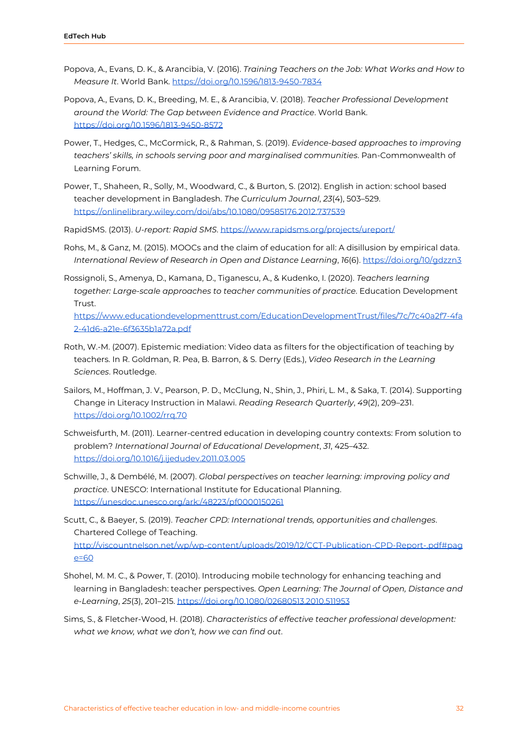- Popova, A., Evans, D. K., & Arancibia, V. (2016). *Training Teachers on the Job: What Works and How to Measure It*. World Bank[.](https://doi.org/10.1596/1813-9450-7834) <https://doi.org/10.1596/1813-9450-7834>
- Popova, A., Evans, D. K., Breeding, M. E., & Arancibia, V. (2018). *Teacher Professional Development around the World: The Gap between Evidence and Practice*. World Bank[.](https://doi.org/10.1596/1813-9450-8572) <https://doi.org/10.1596/1813-9450-8572>
- Power, T., Hedges, C., McCormick, R., & Rahman, S. (2019). *Evidence-based approaches to improving teachers' skills, in schools serving poor and marginalised communities*. Pan-Commonwealth of Learning Forum.
- Power, T., Shaheen, R., Solly, M., Woodward, C., & Burton, S. (2012). English in action: school based teacher development in Bangladesh. *The Curriculum Journal*, *23*(4), 503–529. <https://onlinelibrary.wiley.com/doi/abs/10.1080/09585176.2012.737539>
- RapidSMS. (2013). *U-report: Rapid SMS*[.](https://www.rapidsms.org/projects/ureport/) <https://www.rapidsms.org/projects/ureport/>
- Rohs, M., & Ganz, M. (2015). MOOCs and the claim of education for all: A disillusion by empirical data. *International Review of Research in Open and Distance Learning*, *16*(6). <https://doi.org/10/gdzzn3>
- Rossignoli, S., Amenya, D., Kamana, D., Tiganescu, A., & Kudenko, I. (2020). *Teachers learning together: Large-scale approaches to teacher communities of practice*. Education Development **Trust**

[https://www.educationdevelopmenttrust.com/EducationDevelopmentTrust/files/7c/7c40a2f7-4fa](https://www.educationdevelopmenttrust.com/EducationDevelopmentTrust/files/7c/7c40a2f7-4fa2-41d6-a21e-6f3635b1a72a.pdf) [2-41d6-a21e-6f3635b1a72a.pdf](https://www.educationdevelopmenttrust.com/EducationDevelopmentTrust/files/7c/7c40a2f7-4fa2-41d6-a21e-6f3635b1a72a.pdf)

- Roth, W.-M. (2007). Epistemic mediation: Video data as filters for the objectification of teaching by teachers. In R. Goldman, R. Pea, B. Barron, & S. Derry (Eds.), *Video Research in the Learning Sciences*. Routledge.
- Sailors, M., Hoffman, J. V., Pearson, P. D., McClung, N., Shin, J., Phiri, L. M., & Saka, T. (2014). Supporting Change in Literacy Instruction in Malawi. *Reading Research Quarterly*, *49*(2), 209–231[.](https://doi.org/10.1002/rrq.70) <https://doi.org/10.1002/rrq.70>
- Schweisfurth, M. (2011). Learner-centred education in developing country contexts: From solution to problem? *International Journal of Educational Development*, *31*, 425–432. <https://doi.org/10.1016/j.ijedudev.2011.03.005>
- Schwille, J., & Dembélé, M. (2007). *Global perspectives on teacher learning: improving policy and practice*. UNESCO: International Institute for Educational Planning. <https://unesdoc.unesco.org/ark:/48223/pf0000150261>
- Scutt, C., & Baeyer, S. (2019). *Teacher CPD: International trends, opportunities and challenges*. Chartered College of Teaching. [http://viscountnelson.net/wp/wp-content/uploads/2019/12/CCT-Publication-CPD-Report-.pdf#pag](http://viscountnelson.net/wp/wp-content/uploads/2019/12/CCT-Publication-CPD-Report-.pdf#page=60) [e=60](http://viscountnelson.net/wp/wp-content/uploads/2019/12/CCT-Publication-CPD-Report-.pdf#page=60)
- Shohel, M. M. C., & Power, T. (2010). Introducing mobile technology for enhancing teaching and learning in Bangladesh: teacher perspectives. *Open Learning: The Journal of Open, Distance and e-Learning*, *25*(3), 201–215[.](https://doi.org/10.1080/02680513.2010.511953) <https://doi.org/10.1080/02680513.2010.511953>
- Sims, S., & Fletcher-Wood, H. (2018). *Characteristics of effective teacher professional development: what we know, what we don't, how we can find out*.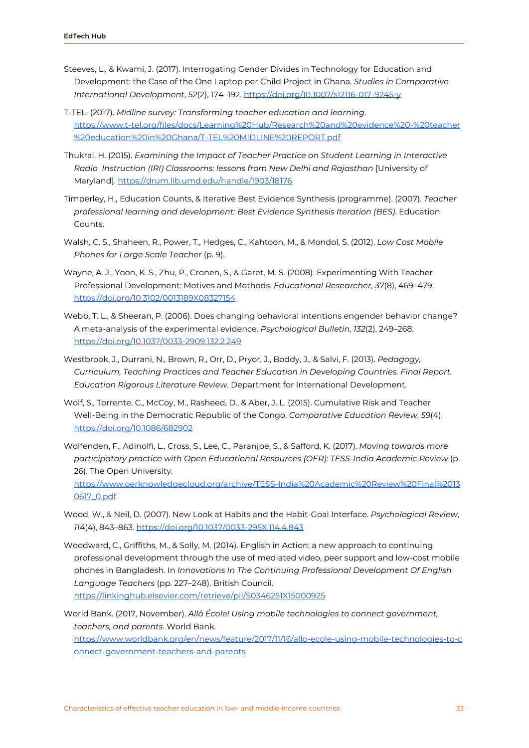- Steeves, L., & Kwami, J. (2017). Interrogating Gender Divides in Technology for Education and Development: the Case of the One Laptop per Child Project in Ghana. *Studies in Comparative International Development*, *52*(2), 174–192[.](https://doi.org/10.1007/s12116-017-9245-y) <https://doi.org/10.1007/s12116-017-9245-y>
- T-TEL. (2017). *Midline survey: Transforming teacher education and learning*. [https://www.t-tel.org/files/docs/Learning%20Hub/Research%20and%20evidence%20-%20teacher](https://www.t-tel.org/files/docs/Learning%20Hub/Research%20and%20evidence%20-%20teacher%20education%20in%20Ghana/T-TEL%20MIDLINE%20REPORT.pdf) [%20education%20in%20Ghana/T-TEL%20MIDLINE%20REPORT.pdf](https://www.t-tel.org/files/docs/Learning%20Hub/Research%20and%20evidence%20-%20teacher%20education%20in%20Ghana/T-TEL%20MIDLINE%20REPORT.pdf)
- Thukral, H. (2015). *Examining the Impact of Teacher Practice on Student Learning in Interactive Radio Instruction (IRI) Classrooms: lessons from New Delhi and Rajasthan* [University of Maryland]. <https://drum.lib.umd.edu/handle/1903/18176>
- Timperley, H., Education Counts, & Iterative Best Evidence Synthesis (programme). (2007). *Teacher professional learning and development: Best Evidence Synthesis Iteration (BES)*. Education Counts.
- Walsh, C. S., Shaheen, R., Power, T., Hedges, C., Kahtoon, M., & Mondol, S. (2012). *Low Cost Mobile Phones for Large Scale Teacher* (p. 9).
- Wayne, A. J., Yoon, K. S., Zhu, P., Cronen, S., & Garet, M. S. (2008). Experimenting With Teacher Professional Development: Motives and Methods. *Educational Researcher*, *37*(8), 469–479[.](https://doi.org/10.3102/0013189X08327154) <https://doi.org/10.3102/0013189X08327154>
- Webb, T. L., & Sheeran, P. (2006). Does changing behavioral intentions engender behavior change? A meta-analysis of the experimental evidence. *Psychological Bulletin*, *132*(2), 249–268. <https://doi.org/10.1037/0033-2909.132.2.249>
- Westbrook, J., Durrani, N., Brown, R., Orr, D., Pryor, J., Boddy, J., & Salvi, F. (2013). *Pedagogy, Curriculum, Teaching Practices and Teacher Education in Developing Countries. Final Report. Education Rigorous Literature Review*. Department for International Development.
- Wolf, S., Torrente, C., McCoy, M., Rasheed, D., & Aber, J. L. (2015). Cumulative Risk and Teacher Well-Being in the Democratic Republic of the Congo. *Comparative Education Review*, *59*(4)[.](https://doi.org/10.1086/682902) <https://doi.org/10.1086/682902>
- Wolfenden, F., Adinolfi, L., Cross, S., Lee, C., Paranjpe, S., & Safford, K. (2017). *Moving towards more participatory practice with Open Educational Resources (OER): TESS-India Academic Review* (p. 26). The Open University[.](https://www.oerknowledgecloud.org/archive/TESS-India%20Academic%20Review%20Final%20130617_0.pdf) [https://www.oerknowledgecloud.org/archive/TESS-India%20Academic%20Review%20Final%2013](https://www.oerknowledgecloud.org/archive/TESS-India%20Academic%20Review%20Final%20130617_0.pdf) [0617\\_0.pdf](https://www.oerknowledgecloud.org/archive/TESS-India%20Academic%20Review%20Final%20130617_0.pdf)
- Wood, W., & Neil, D. (2007). New Look at Habits and the Habit-Goal Interface. *Psychological Review*, *114*(4), 843–863. <https://doi.org/10.1037/0033-295X.114.4.843>
- Woodward, C., Griffiths, M., & Solly, M. (2014). English in Action: a new approach to continuing professional development through the use of mediated video, peer support and low-cost mobile phones in Bangladesh. In *Innovations In The Continuing Professional Development Of English Language Teachers* (pp. 227–248). British Council. <https://linkinghub.elsevier.com/retrieve/pii/S0346251X15000925>

World Bank. (2017, November). *Allô École! Using mobile technologies to connect government, teachers, and parents*. World Bank[.](https://www.worldbank.org/en/news/feature/2017/11/16/allo-ecole-using-mobile-technologies-to-connect-government-teachers-and-parents) [https://www.worldbank.org/en/news/feature/2017/11/16/allo-ecole-using-mobile-technologies-to-c](https://www.worldbank.org/en/news/feature/2017/11/16/allo-ecole-using-mobile-technologies-to-connect-government-teachers-and-parents) [onnect-government-teachers-and-parents](https://www.worldbank.org/en/news/feature/2017/11/16/allo-ecole-using-mobile-technologies-to-connect-government-teachers-and-parents)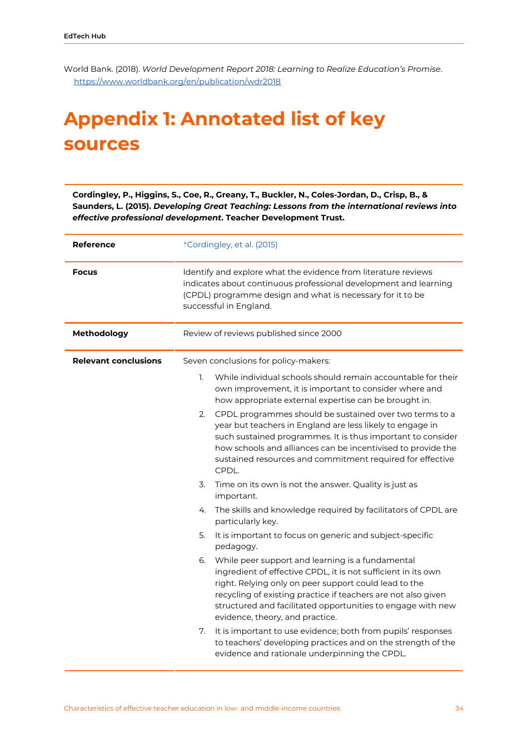World Bank. (2018). *World Development Report 2018: Learning to Realize Education's Promise*[.](https://www.worldbank.org/en/publication/wdr2018) <https://www.worldbank.org/en/publication/wdr2018>

### <span id="page-34-0"></span>**Appendix 1: Annotated list of key sources**

**Cordingley, P., Higgins, S., Coe, R., Greany, T., Buckler, N., Coles-Jordan, D., Crisp, B., & Saunders, L. (2015).** *Developing Great Teaching: Lessons from the international reviews into effective professional development***. Teacher Development Trust.**

| <b>Reference</b>            | <i><b>*Cordingley, et al. (2015)</b></i>                                                                                                                                                                                                                                                                                                            |  |
|-----------------------------|-----------------------------------------------------------------------------------------------------------------------------------------------------------------------------------------------------------------------------------------------------------------------------------------------------------------------------------------------------|--|
| <b>Focus</b>                | Identify and explore what the evidence from literature reviews<br>indicates about continuous professional development and learning<br>(CPDL) programme design and what is necessary for it to be<br>successful in England.                                                                                                                          |  |
| Methodology                 | Review of reviews published since 2000                                                                                                                                                                                                                                                                                                              |  |
| <b>Relevant conclusions</b> | Seven conclusions for policy-makers:                                                                                                                                                                                                                                                                                                                |  |
|                             | While individual schools should remain accountable for their<br>1.<br>own improvement, it is important to consider where and<br>how appropriate external expertise can be brought in.                                                                                                                                                               |  |
|                             | CPDL programmes should be sustained over two terms to a<br>2.<br>year but teachers in England are less likely to engage in<br>such sustained programmes. It is thus important to consider<br>how schools and alliances can be incentivised to provide the<br>sustained resources and commitment required for effective<br>CPDL.                     |  |
|                             | 3.<br>Time on its own is not the answer. Quality is just as<br>important.                                                                                                                                                                                                                                                                           |  |
|                             | The skills and knowledge required by facilitators of CPDL are<br>4.<br>particularly key.                                                                                                                                                                                                                                                            |  |
|                             | It is important to focus on generic and subject-specific<br>5.<br>pedagogy.                                                                                                                                                                                                                                                                         |  |
|                             | While peer support and learning is a fundamental<br>6.<br>ingredient of effective CPDL, it is not sufficient in its own<br>right. Relying only on peer support could lead to the<br>recycling of existing practice if teachers are not also given<br>structured and facilitated opportunities to engage with new<br>evidence, theory, and practice. |  |
|                             | It is important to use evidence; both from pupils' responses<br>7.<br>to teachers' developing practices and on the strength of the<br>evidence and rationale underpinning the CPDL.                                                                                                                                                                 |  |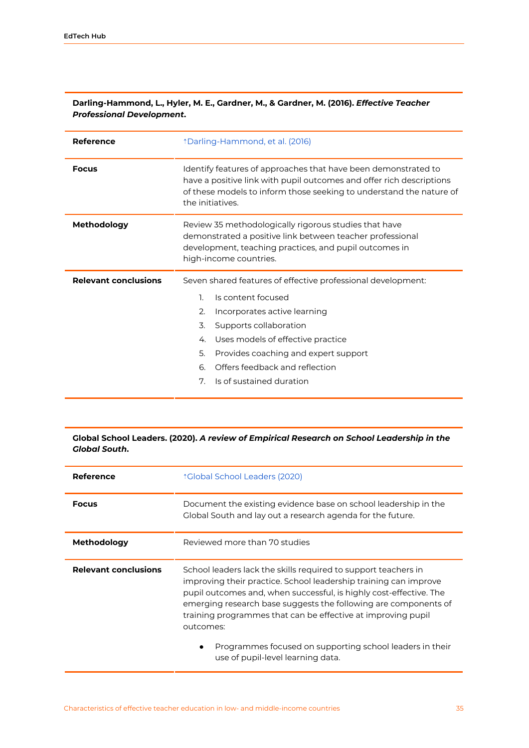| <b>Reference</b>            | <i><b>Darling-Hammond, et al. (2016)</b></i>                                                                                                                                                                                                                                                                                      |  |  |
|-----------------------------|-----------------------------------------------------------------------------------------------------------------------------------------------------------------------------------------------------------------------------------------------------------------------------------------------------------------------------------|--|--|
| <b>Focus</b>                | Identify features of approaches that have been demonstrated to<br>have a positive link with pupil outcomes and offer rich descriptions<br>of these models to inform those seeking to understand the nature of<br>the initiatives.                                                                                                 |  |  |
| <b>Methodology</b>          | Review 35 methodologically rigorous studies that have<br>demonstrated a positive link between teacher professional<br>development, teaching practices, and pupil outcomes in<br>high-income countries.                                                                                                                            |  |  |
| <b>Relevant conclusions</b> | Seven shared features of effective professional development:<br>1.<br>Is content focused<br>2.<br>Incorporates active learning<br>3.<br>Supports collaboration<br>Uses models of effective practice<br>4.<br>5.<br>Provides coaching and expert support<br>Offers feedback and reflection<br>6.<br>Is of sustained duration<br>7. |  |  |

#### **Darling-Hammond, L., Hyler, M. E., Gardner, M., & Gardner, M. (2016).** *Effective Teacher Professional Development***[.](https://www.yu.edu/sites/default/files/inline-files/Effective_Teacher_Professional_Development_REPORT.pdf)**

#### **Global School Leaders. (2020).** *A review of Empirical Research on School Leadership in the Global South***.**

| Reference                   | ↑Global School Leaders (2020)                                                                                                                                                                                                                                                                                                                                                                                                                             |
|-----------------------------|-----------------------------------------------------------------------------------------------------------------------------------------------------------------------------------------------------------------------------------------------------------------------------------------------------------------------------------------------------------------------------------------------------------------------------------------------------------|
| <b>Focus</b>                | Document the existing evidence base on school leadership in the<br>Global South and lay out a research agenda for the future.                                                                                                                                                                                                                                                                                                                             |
| Methodology                 | Reviewed more than 70 studies                                                                                                                                                                                                                                                                                                                                                                                                                             |
| <b>Relevant conclusions</b> | School leaders lack the skills required to support teachers in<br>improving their practice. School leadership training can improve<br>pupil outcomes and, when successful, is highly cost-effective. The<br>emerging research base suggests the following are components of<br>training programmes that can be effective at improving pupil<br>outcomes:<br>Programmes focused on supporting school leaders in their<br>use of pupil-level learning data. |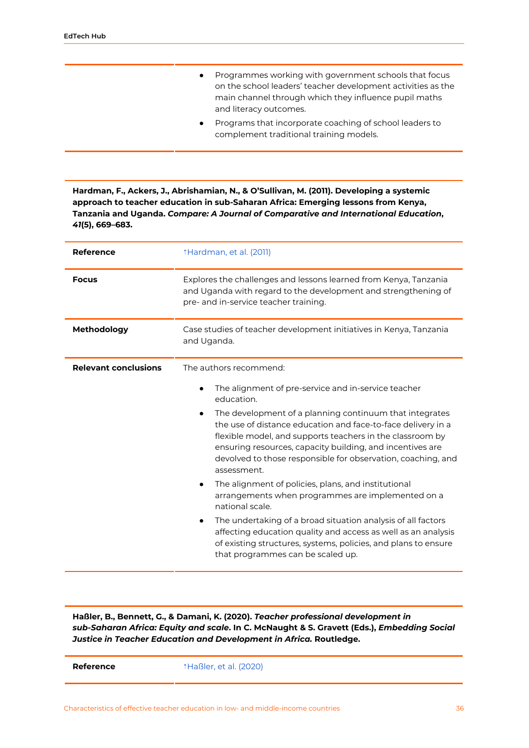- Programmes working with government schools that focus on the school leaders' teacher development activities as the main channel through which they influence pupil maths and literacy outcomes.
- Programs that incorporate coaching of school leaders to complement traditional training models.

**Hardman, F., Ackers, J., Abrishamian, N., & O'Sullivan, M. (2011). Developing a systemic approach to teacher education in sub-Saharan Africa: Emerging lessons from Kenya, Tanzania and Uganda.** *Compare: A Journal of Comparative and International Education***,** *41***(5), 669–683.**

| <b>Reference</b>            | <b>Mardman, et al. (2011)</b>                                                                                                                                                                                                                                                                                                                                                                                                                                                                                                                                                                                                                                                                   |  |  |
|-----------------------------|-------------------------------------------------------------------------------------------------------------------------------------------------------------------------------------------------------------------------------------------------------------------------------------------------------------------------------------------------------------------------------------------------------------------------------------------------------------------------------------------------------------------------------------------------------------------------------------------------------------------------------------------------------------------------------------------------|--|--|
| <b>Focus</b>                | Explores the challenges and lessons learned from Kenya, Tanzania<br>and Uganda with regard to the development and strengthening of<br>pre- and in-service teacher training.                                                                                                                                                                                                                                                                                                                                                                                                                                                                                                                     |  |  |
| Methodology                 | Case studies of teacher development initiatives in Kenya, Tanzania<br>and Uganda.                                                                                                                                                                                                                                                                                                                                                                                                                                                                                                                                                                                                               |  |  |
| <b>Relevant conclusions</b> | The authors recommend:<br>The alignment of pre-service and in-service teacher<br>education.<br>The development of a planning continuum that integrates<br>the use of distance education and face-to-face delivery in a<br>flexible model, and supports teachers in the classroom by<br>ensuring resources, capacity building, and incentives are<br>devolved to those responsible for observation, coaching, and<br>assessment.<br>The alignment of policies, plans, and institutional<br>arrangements when programmes are implemented on a<br>national scale.<br>The undertaking of a broad situation analysis of all factors<br>affecting education quality and access as well as an analysis |  |  |
|                             | of existing structures, systems, policies, and plans to ensure<br>that programmes can be scaled up.                                                                                                                                                                                                                                                                                                                                                                                                                                                                                                                                                                                             |  |  |

**Haßler, B., Bennett, G., & Damani, K. (2020).** *Teacher professional development in sub-Saharan Africa: Equity and scale***. In C. McNaught & S. Gravett (Eds.),** *Embedding Social Justice in Teacher Education and Development in Africa.* **Routledge.**

**Reference**  $\uparrow$  [Haßler,](https://ref.opendeved.net/zo/zg/2405685/7/TRRZUHFS/Ha%C3%9Fler,%20et%20al.%20(2020)) et al. (2020)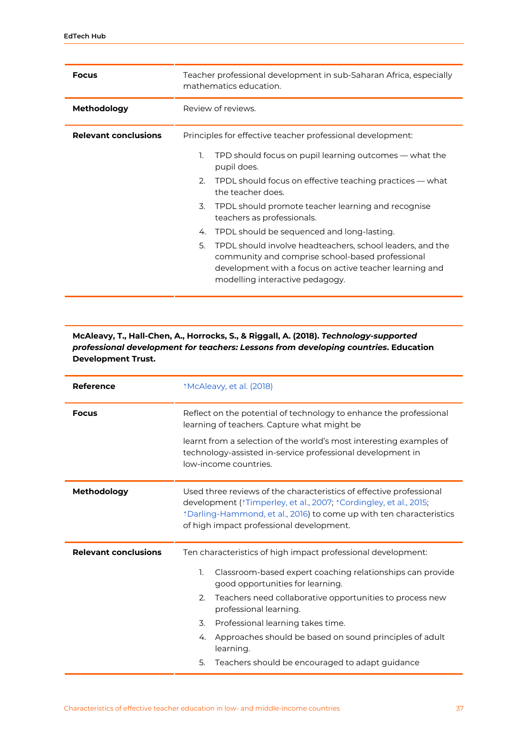| <b>Focus</b>                | Teacher professional development in sub-Saharan Africa, especially<br>mathematics education.                                                                                                                      |  |
|-----------------------------|-------------------------------------------------------------------------------------------------------------------------------------------------------------------------------------------------------------------|--|
| <b>Methodology</b>          | Review of reviews.                                                                                                                                                                                                |  |
| <b>Relevant conclusions</b> | Principles for effective teacher professional development:                                                                                                                                                        |  |
|                             | TPD should focus on pupil learning outcomes — what the<br>1.<br>pupil does.                                                                                                                                       |  |
|                             | TPDL should focus on effective teaching practices — what<br>2.<br>the teacher does.                                                                                                                               |  |
|                             | TPDL should promote teacher learning and recognise<br>3.<br>teachers as professionals.                                                                                                                            |  |
|                             | TPDL should be sequenced and long-lasting.<br>4.                                                                                                                                                                  |  |
|                             | 5.<br>TPDL should involve headteachers, school leaders, and the<br>community and comprise school-based professional<br>development with a focus on active teacher learning and<br>modelling interactive pedagogy. |  |

#### **McAleavy, T., Hall-Chen, A., Horrocks, S., & Riggall, A. (2018).** *Technology-supported professional development for teachers: Lessons from developing countries***. Education Development Trust.**

| <b>Reference</b>            | <i><b>McAleavy, et al. (2018)</b></i>                                                                                                                                                                                                                                     |  |  |
|-----------------------------|---------------------------------------------------------------------------------------------------------------------------------------------------------------------------------------------------------------------------------------------------------------------------|--|--|
| <b>Focus</b>                | Reflect on the potential of technology to enhance the professional<br>learning of teachers. Capture what might be                                                                                                                                                         |  |  |
|                             | learnt from a selection of the world's most interesting examples of<br>technology-assisted in-service professional development in<br>low-income countries.                                                                                                                |  |  |
| Methodology                 | Used three reviews of the characteristics of effective professional<br>development (*Timperley, et al., 2007; *Cordingley, et al., 2015;<br><i><b>*Darling-Hammond, et al., 2016) to come up with ten characteristics</b></i><br>of high impact professional development. |  |  |
| <b>Relevant conclusions</b> | Ten characteristics of high impact professional development:                                                                                                                                                                                                              |  |  |
|                             | 1.<br>Classroom-based expert coaching relationships can provide<br>good opportunities for learning.                                                                                                                                                                       |  |  |
|                             | Teachers need collaborative opportunities to process new<br>2.<br>professional learning.                                                                                                                                                                                  |  |  |
|                             | Professional learning takes time.<br>3.                                                                                                                                                                                                                                   |  |  |
|                             | Approaches should be based on sound principles of adult<br>4.<br>learning.                                                                                                                                                                                                |  |  |
|                             | Teachers should be encouraged to adapt guidance<br>5.                                                                                                                                                                                                                     |  |  |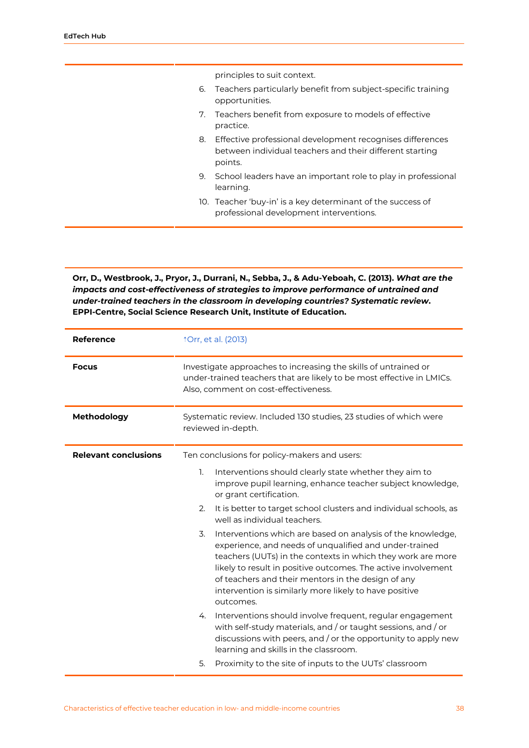principles to suit context.

- 6. Teachers particularly benefit from subject-specific training opportunities.
- 7. Teachers benefit from exposure to models of effective practice.
- 8. Effective professional development recognises differences between individual teachers and their different starting points.
- 9. School leaders have an important role to play in professional learning.
- 10. Teacher 'buy-in' is a key determinant of the success of professional development interventions.

**Orr, D., Westbrook, J., Pryor, J., Durrani, N., Sebba, J., & Adu-Yeboah, C. (2013).** *What are the impacts and cost-effectiveness of strategies to improve performance of untrained and under-trained teachers in the classroom in developing countries? Systematic review***. EPPI-Centre, Social Science Research Unit, Institute of Education.**

| <b>Reference</b>            | <b>Orr, et al. (2013)</b>                                                                                                                                                                                                                                                                                                                                                                |  |
|-----------------------------|------------------------------------------------------------------------------------------------------------------------------------------------------------------------------------------------------------------------------------------------------------------------------------------------------------------------------------------------------------------------------------------|--|
| <b>Focus</b>                | Investigate approaches to increasing the skills of untrained or<br>under-trained teachers that are likely to be most effective in LMICs.<br>Also, comment on cost-effectiveness.                                                                                                                                                                                                         |  |
| Methodology                 | Systematic review. Included 130 studies, 23 studies of which were<br>reviewed in-depth.                                                                                                                                                                                                                                                                                                  |  |
| <b>Relevant conclusions</b> | Ten conclusions for policy-makers and users:                                                                                                                                                                                                                                                                                                                                             |  |
|                             | Interventions should clearly state whether they aim to<br>1.<br>improve pupil learning, enhance teacher subject knowledge,<br>or grant certification.                                                                                                                                                                                                                                    |  |
|                             | 2.<br>It is better to target school clusters and individual schools, as<br>well as individual teachers.                                                                                                                                                                                                                                                                                  |  |
|                             | 3.<br>Interventions which are based on analysis of the knowledge,<br>experience, and needs of unqualified and under-trained<br>teachers (UUTs) in the contexts in which they work are more<br>likely to result in positive outcomes. The active involvement<br>of teachers and their mentors in the design of any<br>intervention is similarly more likely to have positive<br>outcomes. |  |
|                             | Interventions should involve frequent, regular engagement<br>4.<br>with self-study materials, and / or taught sessions, and / or<br>discussions with peers, and / or the opportunity to apply new<br>learning and skills in the classroom.                                                                                                                                               |  |
|                             | Proximity to the site of inputs to the UUTs' classroom<br>5.                                                                                                                                                                                                                                                                                                                             |  |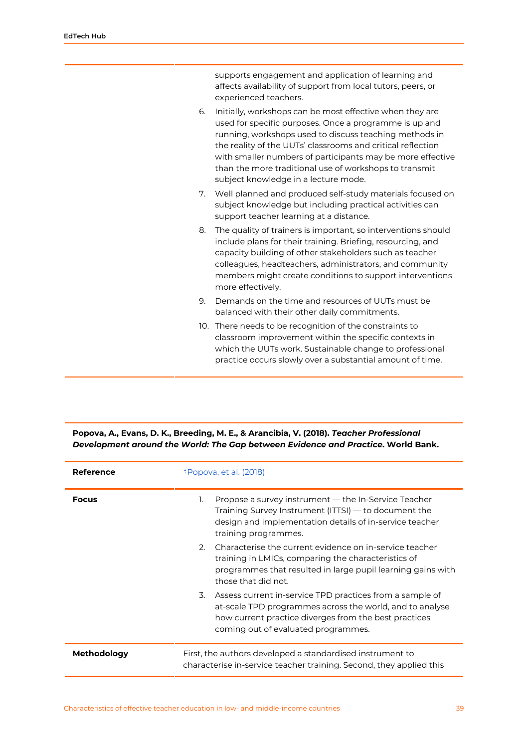|    | supports engagement and application of learning and<br>affects availability of support from local tutors, peers, or<br>experienced teachers.                                                                                                                                                                                                                                                                |
|----|-------------------------------------------------------------------------------------------------------------------------------------------------------------------------------------------------------------------------------------------------------------------------------------------------------------------------------------------------------------------------------------------------------------|
| 6. | Initially, workshops can be most effective when they are<br>used for specific purposes. Once a programme is up and<br>running, workshops used to discuss teaching methods in<br>the reality of the UUTs' classrooms and critical reflection<br>with smaller numbers of participants may be more effective<br>than the more traditional use of workshops to transmit<br>subject knowledge in a lecture mode. |
| 7. | Well planned and produced self-study materials focused on<br>subject knowledge but including practical activities can<br>support teacher learning at a distance.                                                                                                                                                                                                                                            |
| 8. | The quality of trainers is important, so interventions should<br>include plans for their training. Briefing, resourcing, and<br>capacity building of other stakeholders such as teacher<br>colleagues, headteachers, administrators, and community<br>members might create conditions to support interventions<br>more effectively.                                                                         |
| 9. | Demands on the time and resources of UUTs must be<br>balanced with their other daily commitments.                                                                                                                                                                                                                                                                                                           |
|    | 10. There needs to be recognition of the constraints to<br>classroom improvement within the specific contexts in<br>which the UUTs work. Sustainable change to professional                                                                                                                                                                                                                                 |

practice occurs slowly over a substantial amount of time.

| Reference    | <i><b>T</b></i> Popova, et al. (2018)                                                                                                                                                                                      |  |
|--------------|----------------------------------------------------------------------------------------------------------------------------------------------------------------------------------------------------------------------------|--|
| <b>Focus</b> | Propose a survey instrument — the In-Service Teacher<br>1.<br>Training Survey Instrument (ITTSI) — to document the<br>design and implementation details of in-service teacher<br>training programmes.                      |  |
|              | Characterise the current evidence on in-service teacher<br>2.<br>training in LMICs, comparing the characteristics of<br>programmes that resulted in large pupil learning gains with<br>those that did not.                 |  |
|              | Assess current in-service TPD practices from a sample of<br>3.<br>at-scale TPD programmes across the world, and to analyse<br>how current practice diverges from the best practices<br>coming out of evaluated programmes. |  |
| Methodology  | First, the authors developed a standardised instrument to<br>characterise in-service teacher training. Second, they applied this                                                                                           |  |

#### **Popova, A., Evans, D. K., Breeding, M. E., & Arancibia, V. (2018).** *Teacher Professional Development around the World: The Gap between Evidence and Practice***. World Bank.**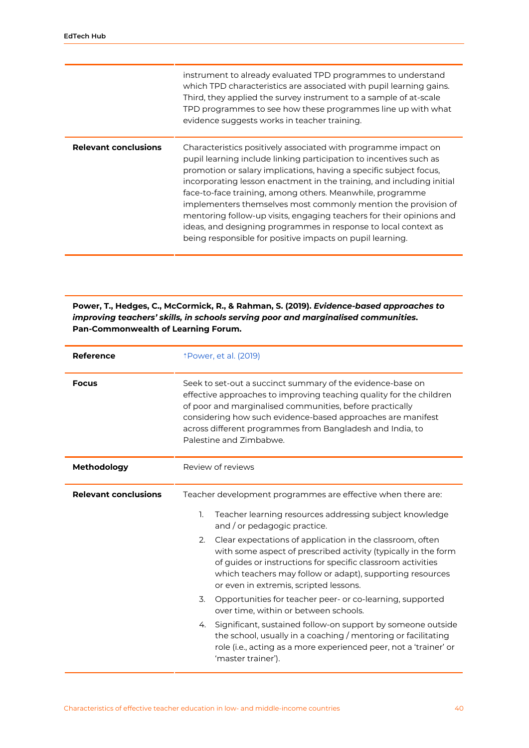|                             | instrument to already evaluated TPD programmes to understand<br>which TPD characteristics are associated with pupil learning gains.<br>Third, they applied the survey instrument to a sample of at-scale<br>TPD programmes to see how these programmes line up with what<br>evidence suggests works in teacher training.                                                                                                                                                                                                                                                                                                   |
|-----------------------------|----------------------------------------------------------------------------------------------------------------------------------------------------------------------------------------------------------------------------------------------------------------------------------------------------------------------------------------------------------------------------------------------------------------------------------------------------------------------------------------------------------------------------------------------------------------------------------------------------------------------------|
| <b>Relevant conclusions</b> | Characteristics positively associated with programme impact on<br>pupil learning include linking participation to incentives such as<br>promotion or salary implications, having a specific subject focus,<br>incorporating lesson enactment in the training, and including initial<br>face-to-face training, among others. Meanwhile, programme<br>implementers themselves most commonly mention the provision of<br>mentoring follow-up visits, engaging teachers for their opinions and<br>ideas, and designing programmes in response to local context as<br>being responsible for positive impacts on pupil learning. |

**Power, T., Hedges, C., McCormick, R., & Rahman, S. (2019).** *Evidence-based approaches to improving teachers' skills, in schools serving poor and marginalised communities***. Pan-Commonwealth of Learning Forum.**

| <b>Reference</b>            | <i><b>TPower, et al. (2019)</b></i>                                                                                                                                                                                                                                                                                                                  |
|-----------------------------|------------------------------------------------------------------------------------------------------------------------------------------------------------------------------------------------------------------------------------------------------------------------------------------------------------------------------------------------------|
| <b>Focus</b>                | Seek to set-out a succinct summary of the evidence-base on<br>effective approaches to improving teaching quality for the children<br>of poor and marginalised communities, before practically<br>considering how such evidence-based approaches are manifest<br>across different programmes from Bangladesh and India, to<br>Palestine and Zimbabwe. |
| Methodology                 | Review of reviews                                                                                                                                                                                                                                                                                                                                    |
| <b>Relevant conclusions</b> | Teacher development programmes are effective when there are:                                                                                                                                                                                                                                                                                         |
|                             | Teacher learning resources addressing subject knowledge<br>1.<br>and / or pedagogic practice.                                                                                                                                                                                                                                                        |
|                             | Clear expectations of application in the classroom, often<br>2.<br>with some aspect of prescribed activity (typically in the form<br>of guides or instructions for specific classroom activities<br>which teachers may follow or adapt), supporting resources<br>or even in extremis, scripted lessons.                                              |
|                             | 3.<br>Opportunities for teacher peer- or co-learning, supported<br>over time, within or between schools.                                                                                                                                                                                                                                             |
|                             | Significant, sustained follow-on support by someone outside<br>4.<br>the school, usually in a coaching / mentoring or facilitating<br>role (i.e., acting as a more experienced peer, not a 'trainer' or<br>'master trainer').                                                                                                                        |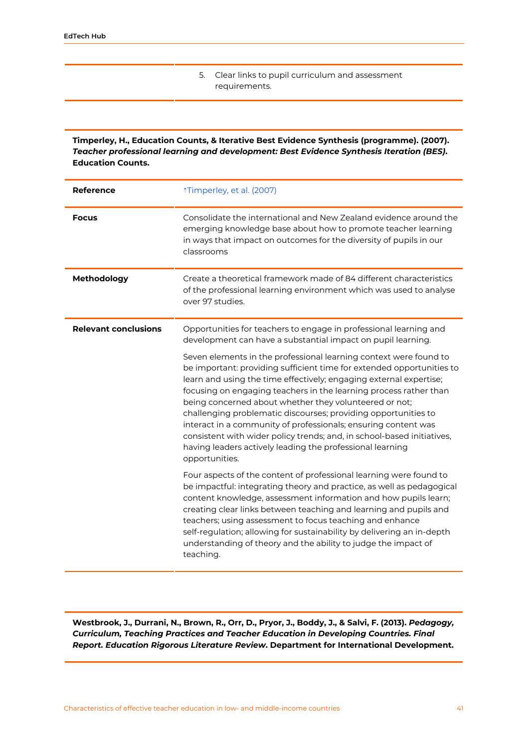5. Clear links to pupil curriculum and assessment requirements.

**Timperley, H., Education Counts, & Iterative Best Evidence Synthesis (programme). (2007).** *Teacher professional learning and development: Best Evidence Synthesis Iteration (BES)***. Education Counts.**

| <b>Reference</b>            | <i><b>Timperley, et al. (2007)</b></i>                                                                                                                                                                                                                                                                                                                                                                                                                                                                                                                                                                                                       |
|-----------------------------|----------------------------------------------------------------------------------------------------------------------------------------------------------------------------------------------------------------------------------------------------------------------------------------------------------------------------------------------------------------------------------------------------------------------------------------------------------------------------------------------------------------------------------------------------------------------------------------------------------------------------------------------|
| <b>Focus</b>                | Consolidate the international and New Zealand evidence around the<br>emerging knowledge base about how to promote teacher learning<br>in ways that impact on outcomes for the diversity of pupils in our<br>classrooms                                                                                                                                                                                                                                                                                                                                                                                                                       |
| Methodology                 | Create a theoretical framework made of 84 different characteristics<br>of the professional learning environment which was used to analyse<br>over 97 studies.                                                                                                                                                                                                                                                                                                                                                                                                                                                                                |
| <b>Relevant conclusions</b> | Opportunities for teachers to engage in professional learning and<br>development can have a substantial impact on pupil learning.                                                                                                                                                                                                                                                                                                                                                                                                                                                                                                            |
|                             | Seven elements in the professional learning context were found to<br>be important: providing sufficient time for extended opportunities to<br>learn and using the time effectively; engaging external expertise;<br>focusing on engaging teachers in the learning process rather than<br>being concerned about whether they volunteered or not;<br>challenging problematic discourses; providing opportunities to<br>interact in a community of professionals; ensuring content was<br>consistent with wider policy trends; and, in school-based initiatives,<br>having leaders actively leading the professional learning<br>opportunities. |
|                             | Four aspects of the content of professional learning were found to<br>be impactful: integrating theory and practice, as well as pedagogical<br>content knowledge, assessment information and how pupils learn;<br>creating clear links between teaching and learning and pupils and<br>teachers; using assessment to focus teaching and enhance<br>self-regulation; allowing for sustainability by delivering an in-depth<br>understanding of theory and the ability to judge the impact of<br>teaching.                                                                                                                                     |

**Westbrook, J., Durrani, N., Brown, R., Orr, D., Pryor, J., Boddy, J., & Salvi, F. (2013).** *Pedagogy, Curriculum, Teaching Practices and Teacher Education in Developing Countries. Final Report. Education Rigorous Literature Review***. Department for International Development.**